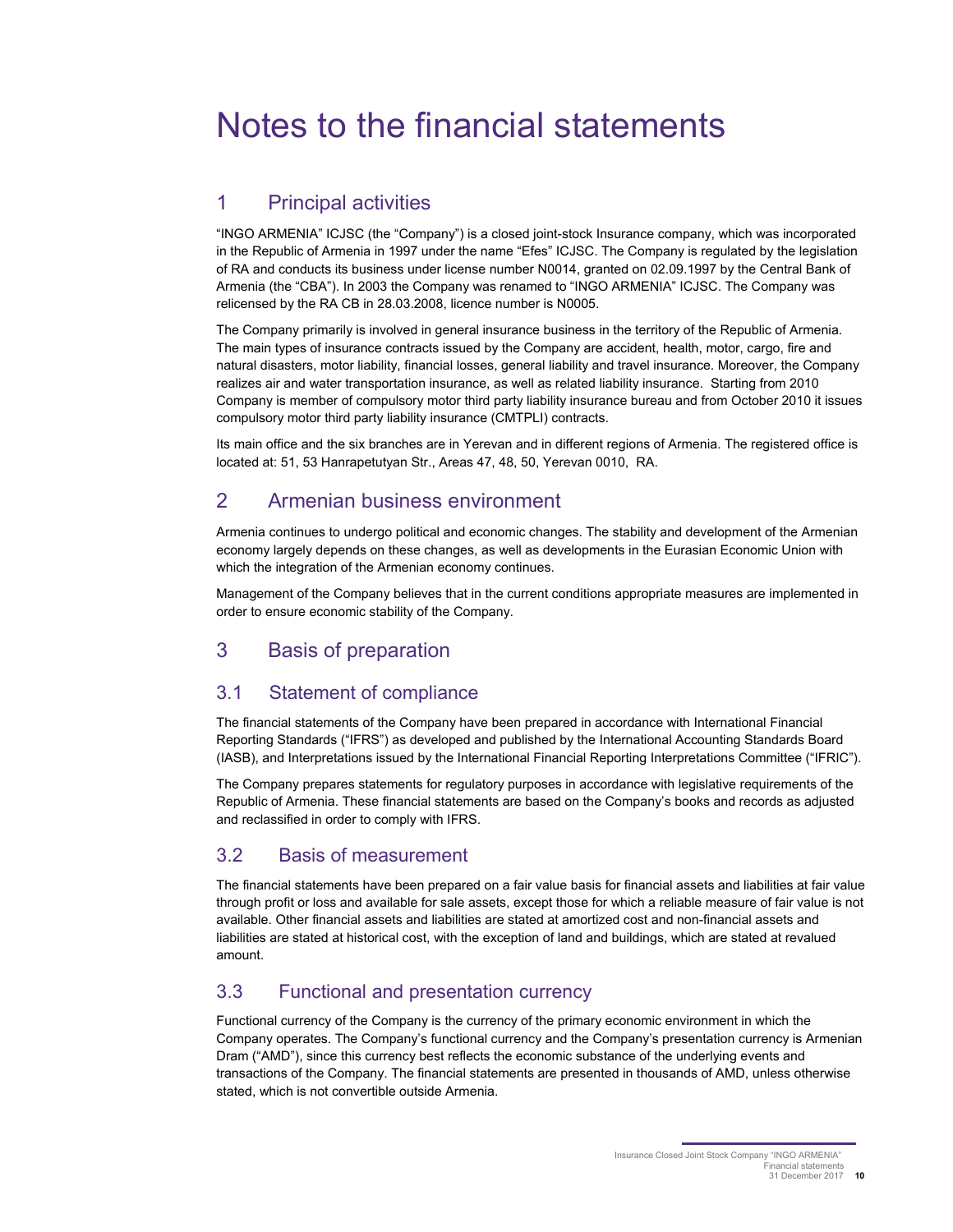# Notes to the financial statements

## 1 Principal activities

"INGO ARMENIA" ICJSC (the "Company") is a closed joint-stock Insurance company, which was incorporated in the Republic of Armenia in 1997 under the name "Efes" ICJSC. The Company is regulated by the legislation of RA and conducts its business under license number N0014, granted on 02.09.1997 by the Central Bank of Armenia (the "CBA"). In 2003 the Company was renamed to "INGO ARMENIA" ICJSC. The Company was relicensed by the RA CB in 28.03.2008, licence number is N0005.

The Company primarily is involved in general insurance business in the territory of the Republic of Armenia. The main types of insurance contracts issued by the Company are accident, health, motor, cargo, fire and natural disasters, motor liability, financial losses, general liability and travel insurance. Moreover, the Company realizes air and water transportation insurance, as well as related liability insurance. Starting from 2010 Company is member of compulsory motor third party liability insurance bureau and from October 2010 it issues compulsory motor third party liability insurance (CMTPLI) contracts.

Its main office and the six branches are in Yerevan and in different regions of Armenia. The registered office is located at: 51, 53 Hanrapetutyan Str., Areas 47, 48, 50, Yerevan 0010, RA.

## 2 Armenian business environment

Armenia continues to undergo political and economic changes. The stability and development of the Armenian economy largely depends on these changes, as well as developments in the Eurasian Economic Union with which the integration of the Armenian economy continues.

Management of the Company believes that in the current conditions appropriate measures are implemented in order to ensure economic stability of the Company.

## 3 Basis of preparation

## 3.1 Statement of compliance

The financial statements of the Company have been prepared in accordance with International Financial Reporting Standards ("IFRS") as developed and published by the International Accounting Standards Board (IASB), and Interpretations issued by the International Financial Reporting Interpretations Committee ("IFRIC").

The Company prepares statements for regulatory purposes in accordance with legislative requirements of the Republic of Armenia. These financial statements are based on the Company's books and records as adjusted and reclassified in order to comply with IFRS.

## 3.2 Basis of measurement

The financial statements have been prepared on a fair value basis for financial assets and liabilities at fair value through profit or loss and available for sale assets, except those for which a reliable measure of fair value is not available. Other financial assets and liabilities are stated at amortized cost and non-financial assets and liabilities are stated at historical cost, with the exception of land and buildings, which are stated at revalued amount.

## 3.3 Functional and presentation currency

Functional currency of the Company is the currency of the primary economic environment in which the Company operates. The Company's functional currency and the Company's presentation currency is Armenian Dram ("AMD"), since this currency best reflects the economic substance of the underlying events and transactions of the Company. The financial statements are presented in thousands of AMD, unless otherwise stated, which is not convertible outside Armenia.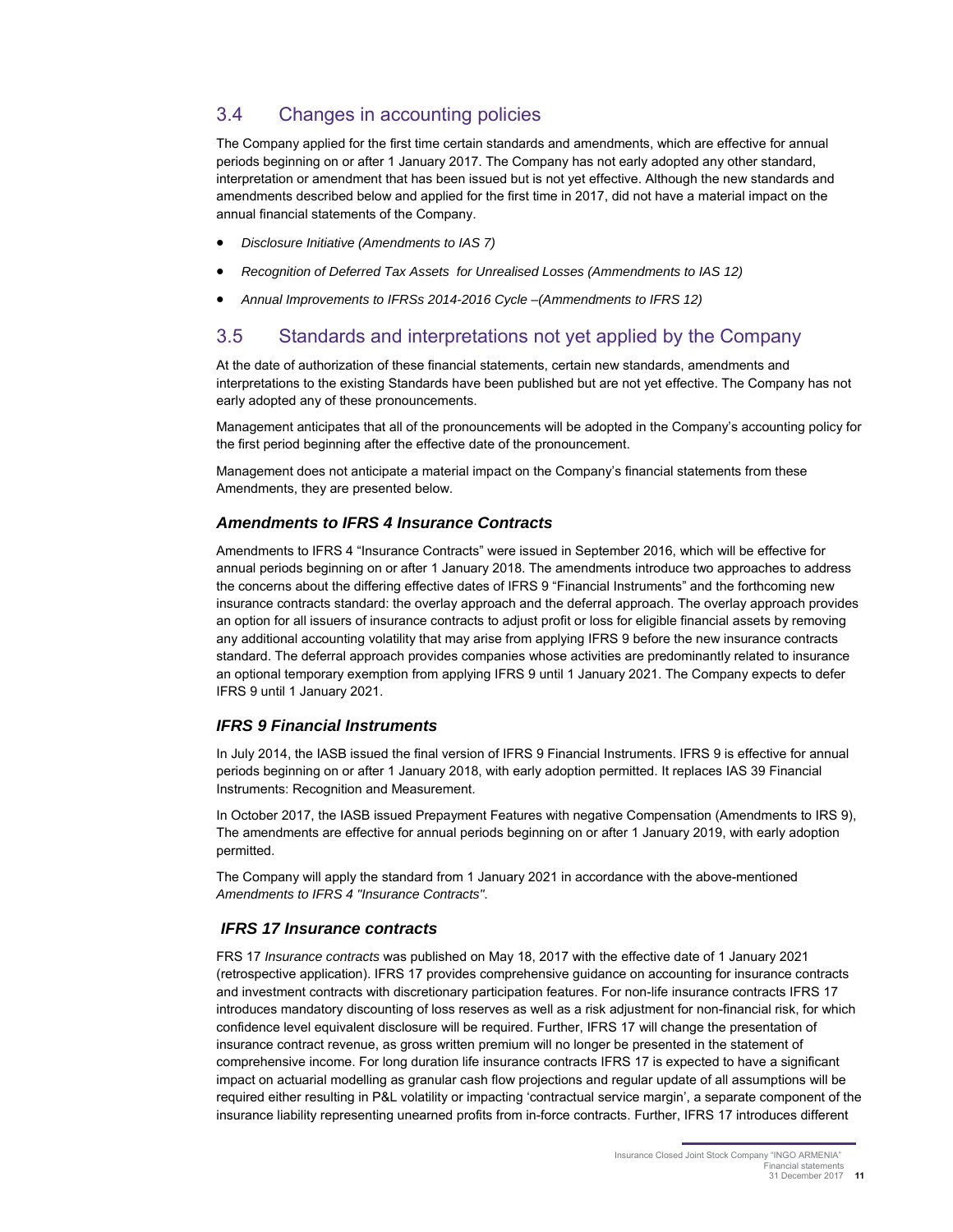## 3.4 Changes in accounting policies

The Company applied for the first time certain standards and amendments, which are effective for annual periods beginning on or after 1 January 2017. The Company has not early adopted any other standard, interpretation or amendment that has been issued but is not yet effective. Although the new standards and amendments described below and applied for the first time in 2017, did not have a material impact on the annual financial statements of the Company.

- Disclosure Initiative (Amendments to IAS 7)
- Recognition of Deferred Tax Assets for Unrealised Losses (Ammendments to IAS 12)
- Annual Improvements to IFRSs 2014-2016 Cycle –(Ammendments to IFRS 12)

### 3.5 Standards and interpretations not yet applied by the Company

At the date of authorization of these financial statements, certain new standards, amendments and interpretations to the existing Standards have been published but are not yet effective. The Company has not early adopted any of these pronouncements.

Management anticipates that all of the pronouncements will be adopted in the Company's accounting policy for the first period beginning after the effective date of the pronouncement.

Management does not anticipate a material impact on the Company's financial statements from these Amendments, they are presented below.

#### **Amendments to IFRS 4 Insurance Contracts**

Amendments to IFRS 4 "Insurance Contracts" were issued in September 2016, which will be effective for annual periods beginning on or after 1 January 2018. The amendments introduce two approaches to address the concerns about the differing effective dates of IFRS 9 "Financial Instruments" and the forthcoming new insurance contracts standard: the overlay approach and the deferral approach. The overlay approach provides an option for all issuers of insurance contracts to adjust profit or loss for eligible financial assets by removing any additional accounting volatility that may arise from applying IFRS 9 before the new insurance contracts standard. The deferral approach provides companies whose activities are predominantly related to insurance an optional temporary exemption from applying IFRS 9 until 1 January 2021. The Company expects to defer IFRS 9 until 1 January 2021.

#### **IFRS 9 Financial Instruments**

In July 2014, the IASB issued the final version of IFRS 9 Financial Instruments. IFRS 9 is effective for annual periods beginning on or after 1 January 2018, with early adoption permitted. It replaces IAS 39 Financial Instruments: Recognition and Measurement.

In October 2017, the IASB issued Prepayment Features with negative Compensation (Amendments to IRS 9), The amendments are effective for annual periods beginning on or after 1 January 2019, with early adoption permitted.

The Company will apply the standard from 1 January 2021 in accordance with the above-mentioned Amendments to IFRS 4 "Insurance Contracts".

#### **IFRS 17 Insurance contracts**

FRS 17 Insurance contracts was published on May 18, 2017 with the effective date of 1 January 2021 (retrospective application). IFRS 17 provides comprehensive guidance on accounting for insurance contracts and investment contracts with discretionary participation features. For non-life insurance contracts IFRS 17 introduces mandatory discounting of loss reserves as well as a risk adjustment for non-financial risk, for which confidence level equivalent disclosure will be required. Further, IFRS 17 will change the presentation of insurance contract revenue, as gross written premium will no longer be presented in the statement of comprehensive income. For long duration life insurance contracts IFRS 17 is expected to have a significant impact on actuarial modelling as granular cash flow projections and regular update of all assumptions will be required either resulting in P&L volatility or impacting 'contractual service margin', a separate component of the insurance liability representing unearned profits from in-force contracts. Further, IFRS 17 introduces different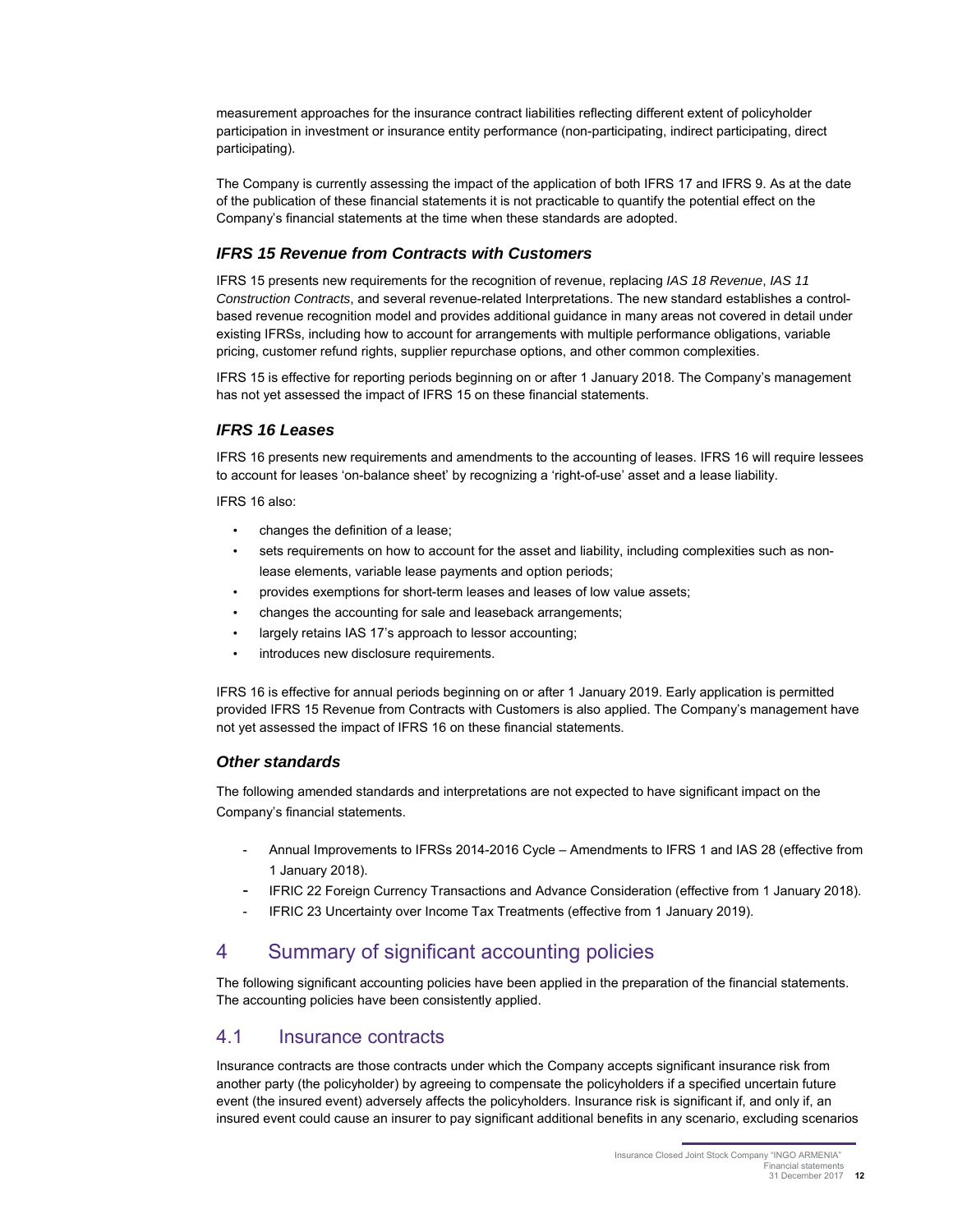measurement approaches for the insurance contract liabilities reflecting different extent of policyholder participation in investment or insurance entity performance (non-participating, indirect participating, direct participating).

The Company is currently assessing the impact of the application of both IFRS 17 and IFRS 9. As at the date of the publication of these financial statements it is not practicable to quantify the potential effect on the Company's financial statements at the time when these standards are adopted.

#### **IFRS 15 Revenue from Contracts with Customers**

IFRS 15 presents new requirements for the recognition of revenue, replacing IAS 18 Revenue, IAS 11 Construction Contracts, and several revenue-related Interpretations. The new standard establishes a controlbased revenue recognition model and provides additional guidance in many areas not covered in detail under existing IFRSs, including how to account for arrangements with multiple performance obligations, variable pricing, customer refund rights, supplier repurchase options, and other common complexities.

IFRS 15 is effective for reporting periods beginning on or after 1 January 2018. The Company's management has not yet assessed the impact of IFRS 15 on these financial statements.

#### **IFRS 16 Leases**

IFRS 16 presents new requirements and amendments to the accounting of leases. IFRS 16 will require lessees to account for leases 'on-balance sheet' by recognizing a 'right-of-use' asset and a lease liability.

IFRS 16 also:

- changes the definition of a lease;
- sets requirements on how to account for the asset and liability, including complexities such as nonlease elements, variable lease payments and option periods;
- provides exemptions for short-term leases and leases of low value assets;
- changes the accounting for sale and leaseback arrangements;
- largely retains IAS 17's approach to lessor accounting;
- introduces new disclosure requirements.

IFRS 16 is effective for annual periods beginning on or after 1 January 2019. Early application is permitted provided IFRS 15 Revenue from Contracts with Customers is also applied. The Company's management have not yet assessed the impact of IFRS 16 on these financial statements.

#### **Other standards**

The following amended standards and interpretations are not expected to have significant impact on the Company's financial statements.

- Annual Improvements to IFRSs 2014-2016 Cycle Amendments to IFRS 1 and IAS 28 (effective from 1 January 2018).
- IFRIC 22 Foreign Currency Transactions and Advance Consideration (effective from 1 January 2018).
- IFRIC 23 Uncertainty over Income Tax Treatments (effective from 1 January 2019).

## 4 Summary of significant accounting policies

The following significant accounting policies have been applied in the preparation of the financial statements. The accounting policies have been consistently applied.

### 4.1 Insurance contracts

Insurance contracts are those contracts under which the Company accepts significant insurance risk from another party (the policyholder) by agreeing to compensate the policyholders if a specified uncertain future event (the insured event) adversely affects the policyholders. Insurance risk is significant if, and only if, an insured event could cause an insurer to pay significant additional benefits in any scenario, excluding scenarios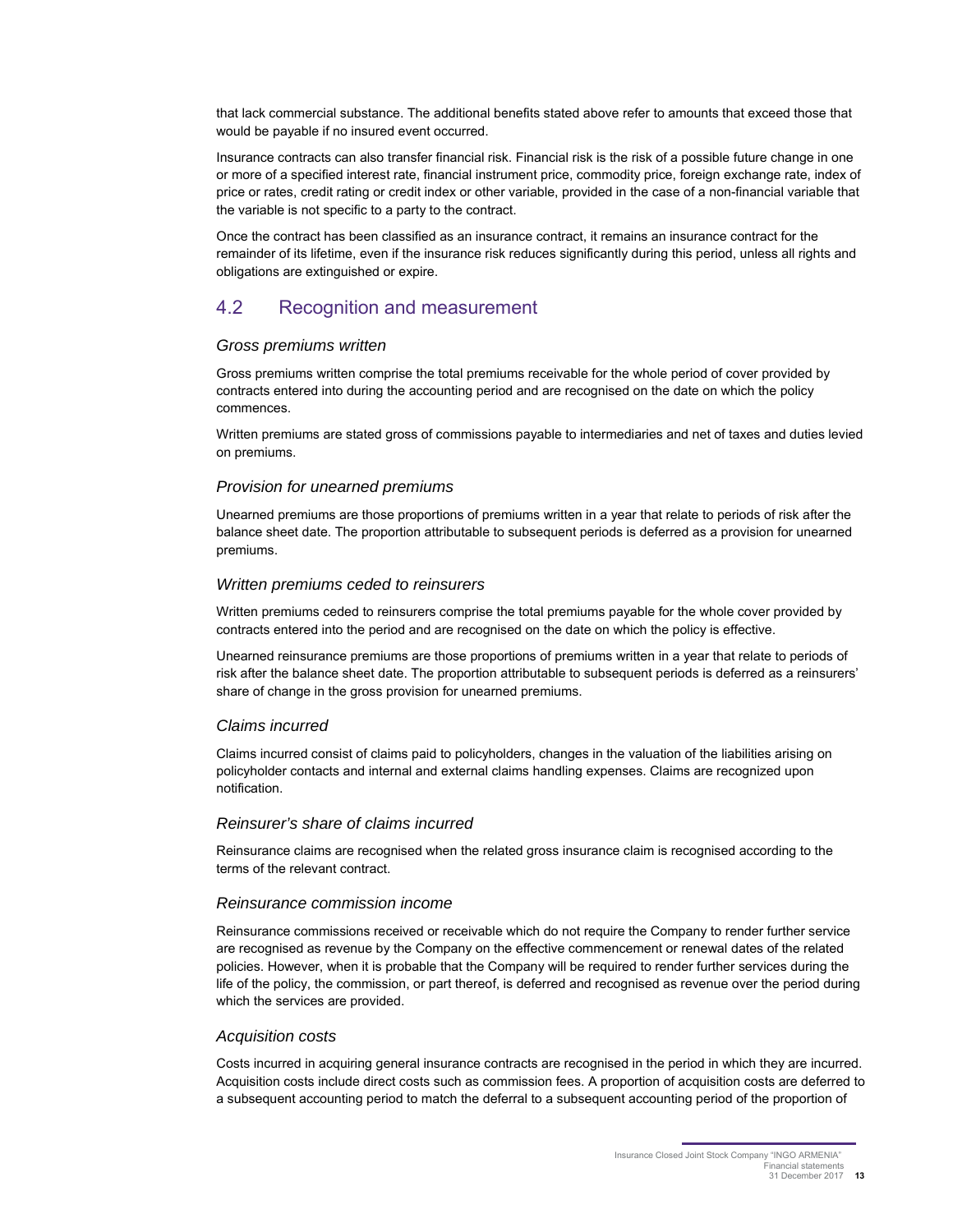that lack commercial substance. The additional benefits stated above refer to amounts that exceed those that would be payable if no insured event occurred.

Insurance contracts can also transfer financial risk. Financial risk is the risk of a possible future change in one or more of a specified interest rate, financial instrument price, commodity price, foreign exchange rate, index of price or rates, credit rating or credit index or other variable, provided in the case of a non-financial variable that the variable is not specific to a party to the contract.

Once the contract has been classified as an insurance contract, it remains an insurance contract for the remainder of its lifetime, even if the insurance risk reduces significantly during this period, unless all rights and obligations are extinguished or expire.

### 4.2 Recognition and measurement

#### Gross premiums written

Gross premiums written comprise the total premiums receivable for the whole period of cover provided by contracts entered into during the accounting period and are recognised on the date on which the policy commences.

Written premiums are stated gross of commissions payable to intermediaries and net of taxes and duties levied on premiums.

#### Provision for unearned premiums

Unearned premiums are those proportions of premiums written in a year that relate to periods of risk after the balance sheet date. The proportion attributable to subsequent periods is deferred as a provision for unearned premiums.

#### Written premiums ceded to reinsurers

Written premiums ceded to reinsurers comprise the total premiums payable for the whole cover provided by contracts entered into the period and are recognised on the date on which the policy is effective.

Unearned reinsurance premiums are those proportions of premiums written in a year that relate to periods of risk after the balance sheet date. The proportion attributable to subsequent periods is deferred as a reinsurers' share of change in the gross provision for unearned premiums.

#### Claims incurred

Claims incurred consist of claims paid to policyholders, changes in the valuation of the liabilities arising on policyholder contacts and internal and external claims handling expenses. Claims are recognized upon notification.

#### Reinsurer's share of claims incurred

Reinsurance claims are recognised when the related gross insurance claim is recognised according to the terms of the relevant contract.

#### Reinsurance commission income

Reinsurance commissions received or receivable which do not require the Company to render further service are recognised as revenue by the Company on the effective commencement or renewal dates of the related policies. However, when it is probable that the Company will be required to render further services during the life of the policy, the commission, or part thereof, is deferred and recognised as revenue over the period during which the services are provided.

#### Acquisition costs

Costs incurred in acquiring general insurance contracts are recognised in the period in which they are incurred. Acquisition costs include direct costs such as commission fees. A proportion of acquisition costs are deferred to a subsequent accounting period to match the deferral to a subsequent accounting period of the proportion of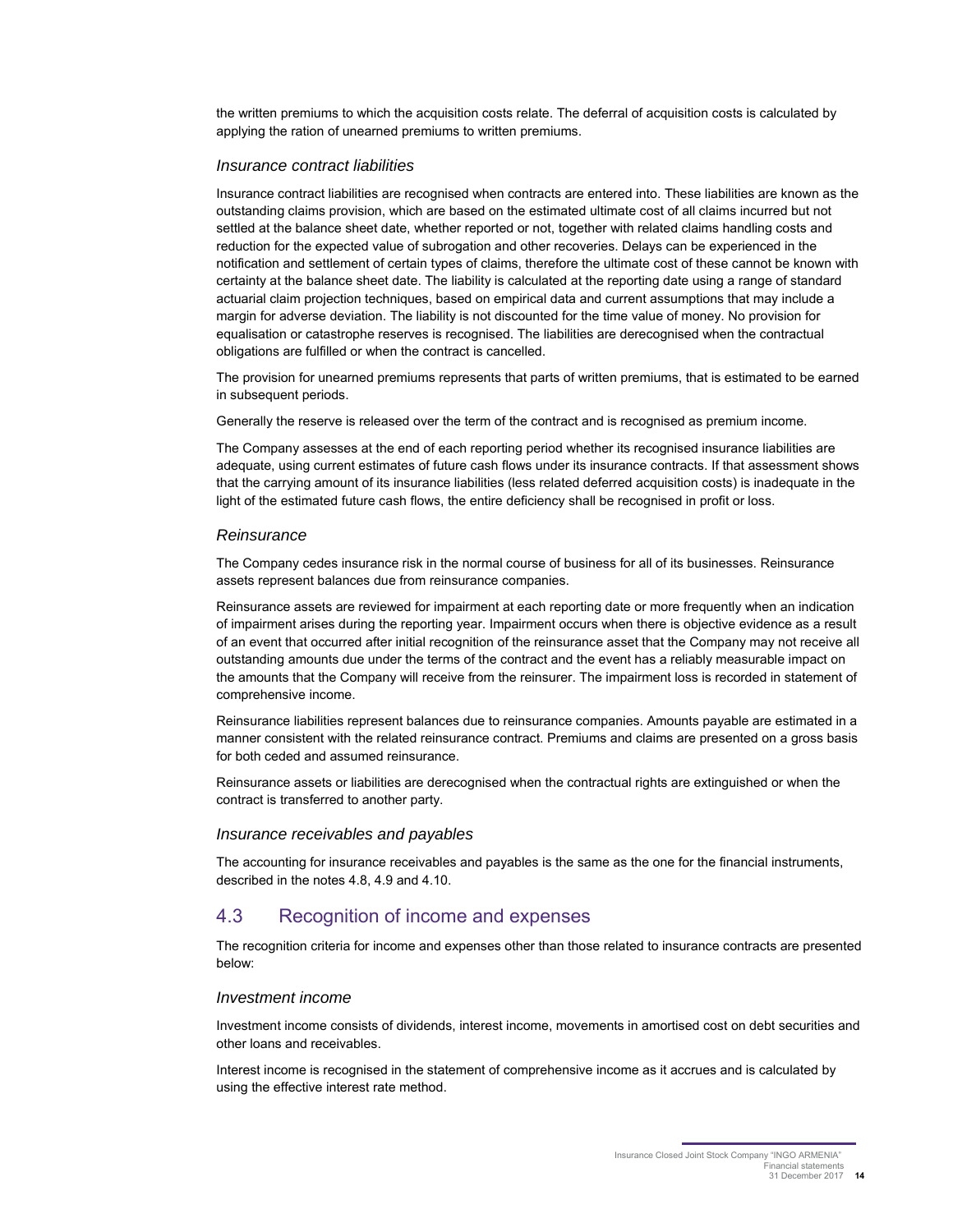the written premiums to which the acquisition costs relate. The deferral of acquisition costs is calculated by applying the ration of unearned premiums to written premiums.

#### Insurance contract liabilities

Insurance contract liabilities are recognised when contracts are entered into. These liabilities are known as the outstanding claims provision, which are based on the estimated ultimate cost of all claims incurred but not settled at the balance sheet date, whether reported or not, together with related claims handling costs and reduction for the expected value of subrogation and other recoveries. Delays can be experienced in the notification and settlement of certain types of claims, therefore the ultimate cost of these cannot be known with certainty at the balance sheet date. The liability is calculated at the reporting date using a range of standard actuarial claim projection techniques, based on empirical data and current assumptions that may include a margin for adverse deviation. The liability is not discounted for the time value of money. No provision for equalisation or catastrophe reserves is recognised. The liabilities are derecognised when the contractual obligations are fulfilled or when the contract is cancelled.

The provision for unearned premiums represents that parts of written premiums, that is estimated to be earned in subsequent periods.

Generally the reserve is released over the term of the contract and is recognised as premium income.

The Company assesses at the end of each reporting period whether its recognised insurance liabilities are adequate, using current estimates of future cash flows under its insurance contracts. If that assessment shows that the carrying amount of its insurance liabilities (less related deferred acquisition costs) is inadequate in the light of the estimated future cash flows, the entire deficiency shall be recognised in profit or loss.

#### **Reinsurance**

The Company cedes insurance risk in the normal course of business for all of its businesses. Reinsurance assets represent balances due from reinsurance companies.

Reinsurance assets are reviewed for impairment at each reporting date or more frequently when an indication of impairment arises during the reporting year. Impairment occurs when there is objective evidence as a result of an event that occurred after initial recognition of the reinsurance asset that the Company may not receive all outstanding amounts due under the terms of the contract and the event has a reliably measurable impact on the amounts that the Company will receive from the reinsurer. The impairment loss is recorded in statement of comprehensive income.

Reinsurance liabilities represent balances due to reinsurance companies. Amounts payable are estimated in a manner consistent with the related reinsurance contract. Premiums and claims are presented on a gross basis for both ceded and assumed reinsurance.

Reinsurance assets or liabilities are derecognised when the contractual rights are extinguished or when the contract is transferred to another party.

#### Insurance receivables and payables

The accounting for insurance receivables and payables is the same as the one for the financial instruments, described in the notes 4.8, 4.9 and 4.10.

#### 4.3 Recognition of income and expenses

The recognition criteria for income and expenses other than those related to insurance contracts are presented below:

#### Investment income

Investment income consists of dividends, interest income, movements in amortised cost on debt securities and other loans and receivables.

Interest income is recognised in the statement of comprehensive income as it accrues and is calculated by using the effective interest rate method.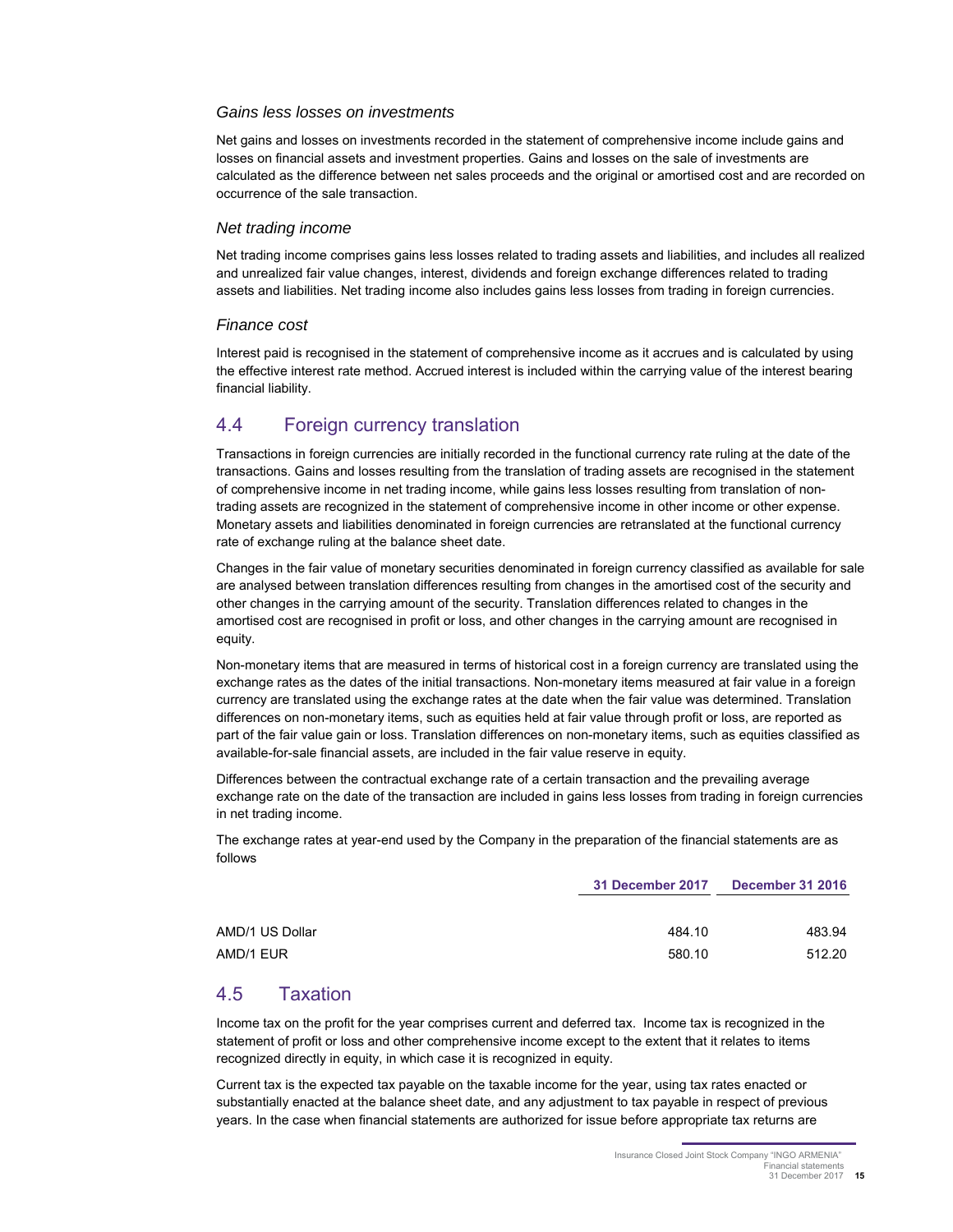#### Gains less losses on investments

Net gains and losses on investments recorded in the statement of comprehensive income include gains and losses on financial assets and investment properties. Gains and losses on the sale of investments are calculated as the difference between net sales proceeds and the original or amortised cost and are recorded on occurrence of the sale transaction.

#### Net trading income

Net trading income comprises gains less losses related to trading assets and liabilities, and includes all realized and unrealized fair value changes, interest, dividends and foreign exchange differences related to trading assets and liabilities. Net trading income also includes gains less losses from trading in foreign currencies.

#### Finance cost

Interest paid is recognised in the statement of comprehensive income as it accrues and is calculated by using the effective interest rate method. Accrued interest is included within the carrying value of the interest bearing financial liability.

### 4.4 Foreign currency translation

Transactions in foreign currencies are initially recorded in the functional currency rate ruling at the date of the transactions. Gains and losses resulting from the translation of trading assets are recognised in the statement of comprehensive income in net trading income, while gains less losses resulting from translation of nontrading assets are recognized in the statement of comprehensive income in other income or other expense. Monetary assets and liabilities denominated in foreign currencies are retranslated at the functional currency rate of exchange ruling at the balance sheet date.

Changes in the fair value of monetary securities denominated in foreign currency classified as available for sale are analysed between translation differences resulting from changes in the amortised cost of the security and other changes in the carrying amount of the security. Translation differences related to changes in the amortised cost are recognised in profit or loss, and other changes in the carrying amount are recognised in equity.

Non-monetary items that are measured in terms of historical cost in a foreign currency are translated using the exchange rates as the dates of the initial transactions. Non-monetary items measured at fair value in a foreign currency are translated using the exchange rates at the date when the fair value was determined. Translation differences on non-monetary items, such as equities held at fair value through profit or loss, are reported as part of the fair value gain or loss. Translation differences on non-monetary items, such as equities classified as available-for-sale financial assets, are included in the fair value reserve in equity.

Differences between the contractual exchange rate of a certain transaction and the prevailing average exchange rate on the date of the transaction are included in gains less losses from trading in foreign currencies in net trading income.

The exchange rates at year-end used by the Company in the preparation of the financial statements are as follows

|                 | 31 December 2017 | <b>December 31 2016</b> |  |
|-----------------|------------------|-------------------------|--|
| AMD/1 US Dollar | 484.10           | 483.94                  |  |
| AMD/1 EUR       | 580.10           | 512.20                  |  |

## 4.5 Taxation

Income tax on the profit for the year comprises current and deferred tax. Income tax is recognized in the statement of profit or loss and other comprehensive income except to the extent that it relates to items recognized directly in equity, in which case it is recognized in equity.

Current tax is the expected tax payable on the taxable income for the year, using tax rates enacted or substantially enacted at the balance sheet date, and any adjustment to tax payable in respect of previous years. In the case when financial statements are authorized for issue before appropriate tax returns are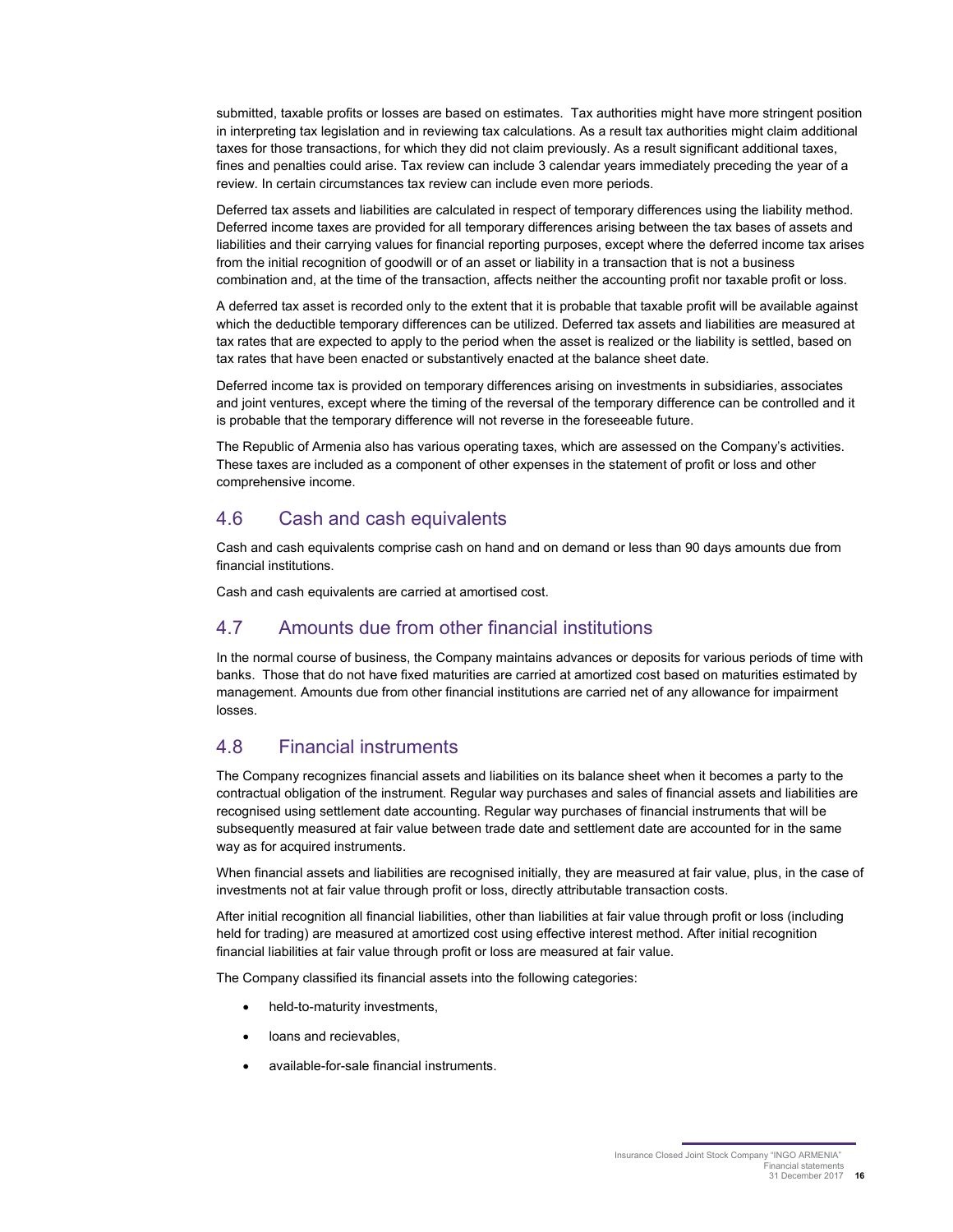submitted, taxable profits or losses are based on estimates. Tax authorities might have more stringent position in interpreting tax legislation and in reviewing tax calculations. As a result tax authorities might claim additional taxes for those transactions, for which they did not claim previously. As a result significant additional taxes, fines and penalties could arise. Tax review can include 3 calendar years immediately preceding the year of a review. In certain circumstances tax review can include even more periods.

Deferred tax assets and liabilities are calculated in respect of temporary differences using the liability method. Deferred income taxes are provided for all temporary differences arising between the tax bases of assets and liabilities and their carrying values for financial reporting purposes, except where the deferred income tax arises from the initial recognition of goodwill or of an asset or liability in a transaction that is not a business combination and, at the time of the transaction, affects neither the accounting profit nor taxable profit or loss.

A deferred tax asset is recorded only to the extent that it is probable that taxable profit will be available against which the deductible temporary differences can be utilized. Deferred tax assets and liabilities are measured at tax rates that are expected to apply to the period when the asset is realized or the liability is settled, based on tax rates that have been enacted or substantively enacted at the balance sheet date.

Deferred income tax is provided on temporary differences arising on investments in subsidiaries, associates and joint ventures, except where the timing of the reversal of the temporary difference can be controlled and it is probable that the temporary difference will not reverse in the foreseeable future.

The Republic of Armenia also has various operating taxes, which are assessed on the Company's activities. These taxes are included as a component of other expenses in the statement of profit or loss and other comprehensive income.

#### 4.6 Cash and cash equivalents

Cash and cash equivalents comprise cash on hand and on demand or less than 90 days amounts due from financial institutions.

Cash and cash equivalents are carried at amortised cost.

## 4.7 Amounts due from other financial institutions

In the normal course of business, the Company maintains advances or deposits for various periods of time with banks. Those that do not have fixed maturities are carried at amortized cost based on maturities estimated by management. Amounts due from other financial institutions are carried net of any allowance for impairment losses.

## 4.8 Financial instruments

The Company recognizes financial assets and liabilities on its balance sheet when it becomes a party to the contractual obligation of the instrument. Regular way purchases and sales of financial assets and liabilities are recognised using settlement date accounting. Regular way purchases of financial instruments that will be subsequently measured at fair value between trade date and settlement date are accounted for in the same way as for acquired instruments.

When financial assets and liabilities are recognised initially, they are measured at fair value, plus, in the case of investments not at fair value through profit or loss, directly attributable transaction costs.

After initial recognition all financial liabilities, other than liabilities at fair value through profit or loss (including held for trading) are measured at amortized cost using effective interest method. After initial recognition financial liabilities at fair value through profit or loss are measured at fair value.

The Company classified its financial assets into the following categories:

- held-to-maturity investments,
- loans and recievables,
- available-for-sale financial instruments.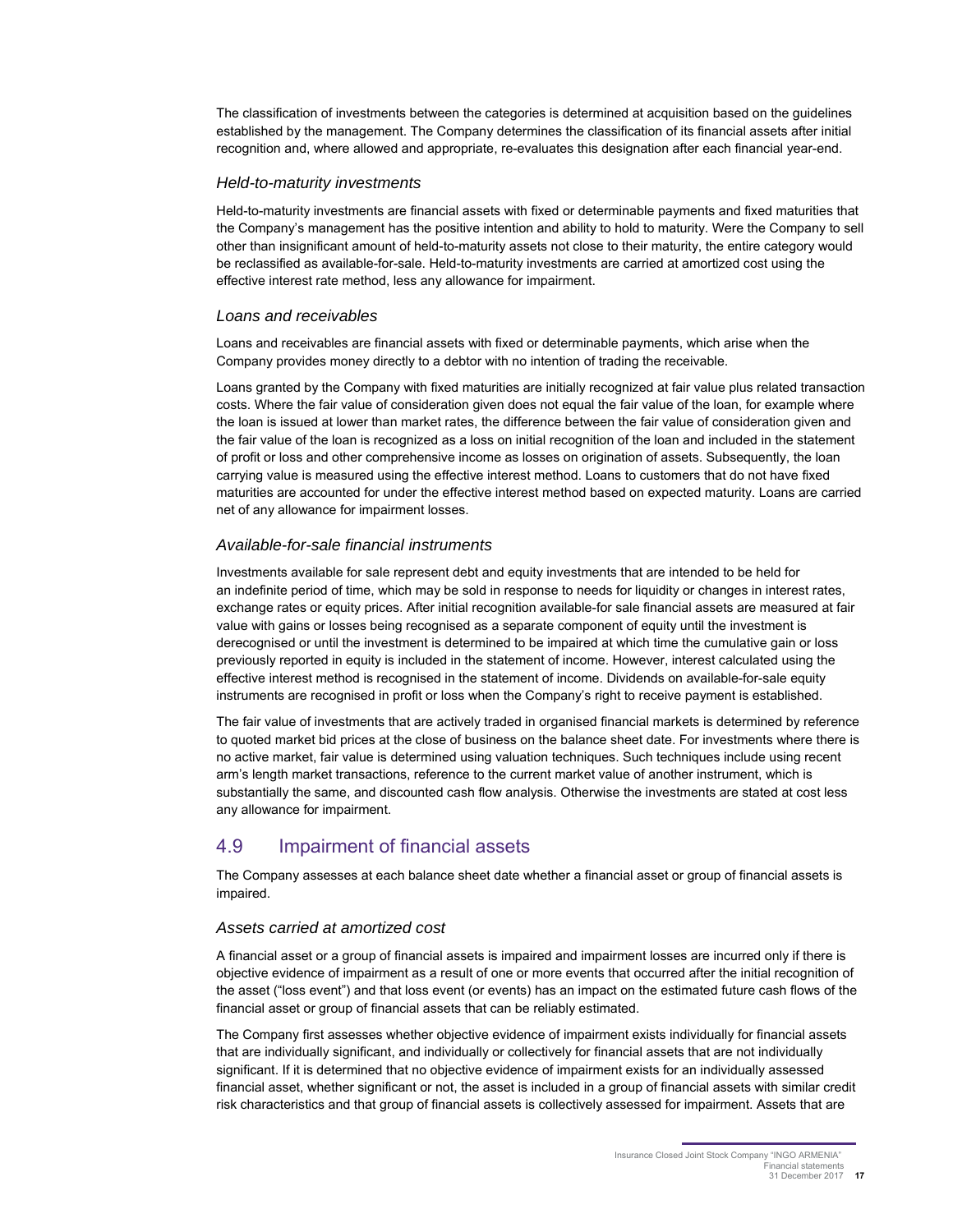The classification of investments between the categories is determined at acquisition based on the guidelines established by the management. The Company determines the classification of its financial assets after initial recognition and, where allowed and appropriate, re-evaluates this designation after each financial year-end.

#### Held-to-maturity investments

Held-to-maturity investments are financial assets with fixed or determinable payments and fixed maturities that the Company's management has the positive intention and ability to hold to maturity. Were the Company to sell other than insignificant amount of held-to-maturity assets not close to their maturity, the entire category would be reclassified as available-for-sale. Held-to-maturity investments are carried at amortized cost using the effective interest rate method, less any allowance for impairment.

#### Loans and receivables

Loans and receivables are financial assets with fixed or determinable payments, which arise when the Company provides money directly to a debtor with no intention of trading the receivable.

Loans granted by the Company with fixed maturities are initially recognized at fair value plus related transaction costs. Where the fair value of consideration given does not equal the fair value of the loan, for example where the loan is issued at lower than market rates, the difference between the fair value of consideration given and the fair value of the loan is recognized as a loss on initial recognition of the loan and included in the statement of profit or loss and other comprehensive income as losses on origination of assets. Subsequently, the loan carrying value is measured using the effective interest method. Loans to customers that do not have fixed maturities are accounted for under the effective interest method based on expected maturity. Loans are carried net of any allowance for impairment losses.

#### Available-for-sale financial instruments

Investments available for sale represent debt and equity investments that are intended to be held for an indefinite period of time, which may be sold in response to needs for liquidity or changes in interest rates, exchange rates or equity prices. After initial recognition available-for sale financial assets are measured at fair value with gains or losses being recognised as a separate component of equity until the investment is derecognised or until the investment is determined to be impaired at which time the cumulative gain or loss previously reported in equity is included in the statement of income. However, interest calculated using the effective interest method is recognised in the statement of income. Dividends on available-for-sale equity instruments are recognised in profit or loss when the Company's right to receive payment is established.

The fair value of investments that are actively traded in organised financial markets is determined by reference to quoted market bid prices at the close of business on the balance sheet date. For investments where there is no active market, fair value is determined using valuation techniques. Such techniques include using recent arm's length market transactions, reference to the current market value of another instrument, which is substantially the same, and discounted cash flow analysis. Otherwise the investments are stated at cost less any allowance for impairment.

## 4.9 Impairment of financial assets

The Company assesses at each balance sheet date whether a financial asset or group of financial assets is impaired.

#### Assets carried at amortized cost

A financial asset or a group of financial assets is impaired and impairment losses are incurred only if there is objective evidence of impairment as a result of one or more events that occurred after the initial recognition of the asset ("loss event") and that loss event (or events) has an impact on the estimated future cash flows of the financial asset or group of financial assets that can be reliably estimated.

The Company first assesses whether objective evidence of impairment exists individually for financial assets that are individually significant, and individually or collectively for financial assets that are not individually significant. If it is determined that no objective evidence of impairment exists for an individually assessed financial asset, whether significant or not, the asset is included in a group of financial assets with similar credit risk characteristics and that group of financial assets is collectively assessed for impairment. Assets that are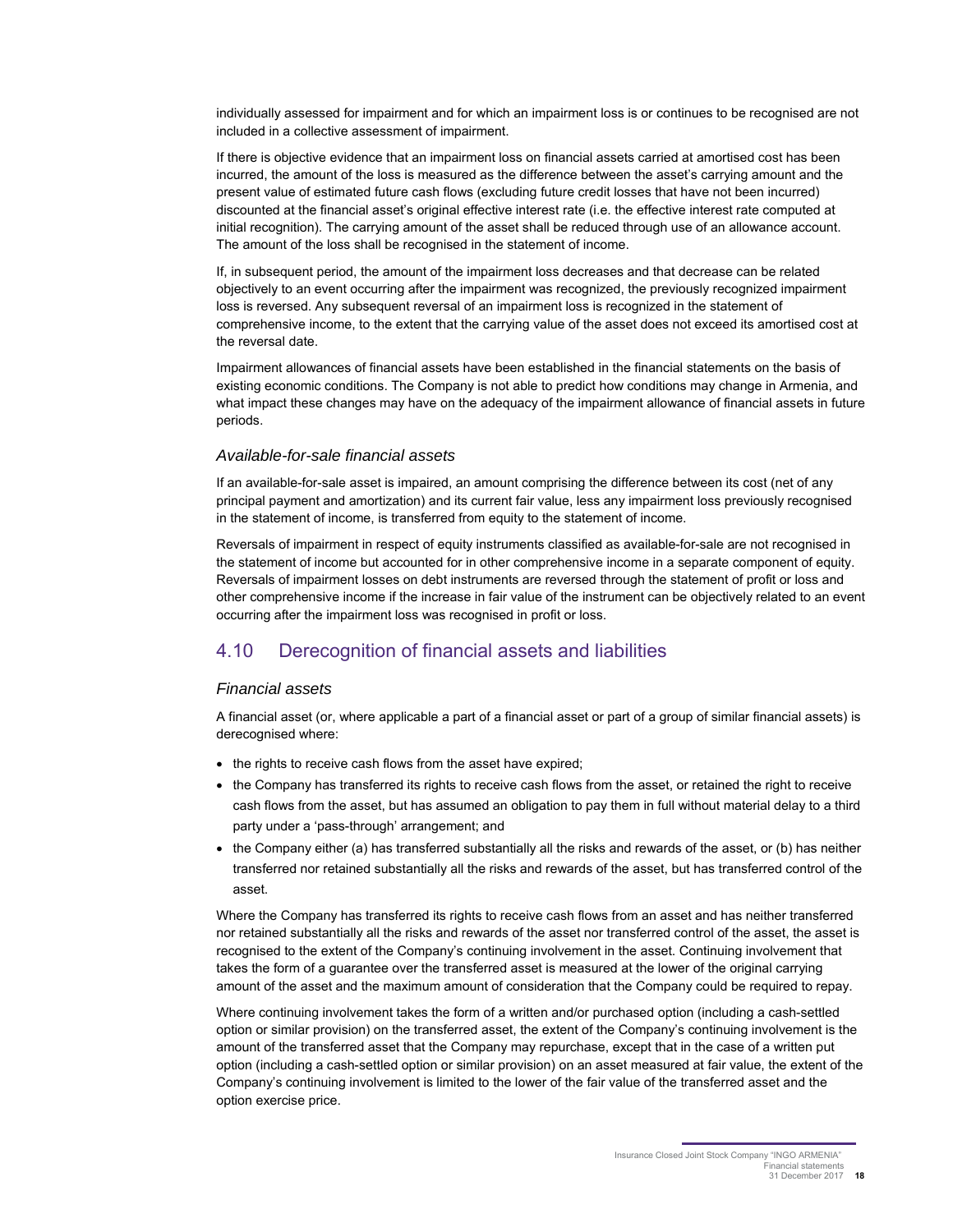individually assessed for impairment and for which an impairment loss is or continues to be recognised are not included in a collective assessment of impairment.

If there is objective evidence that an impairment loss on financial assets carried at amortised cost has been incurred, the amount of the loss is measured as the difference between the asset's carrying amount and the present value of estimated future cash flows (excluding future credit losses that have not been incurred) discounted at the financial asset's original effective interest rate (i.e. the effective interest rate computed at initial recognition). The carrying amount of the asset shall be reduced through use of an allowance account. The amount of the loss shall be recognised in the statement of income.

If, in subsequent period, the amount of the impairment loss decreases and that decrease can be related objectively to an event occurring after the impairment was recognized, the previously recognized impairment loss is reversed. Any subsequent reversal of an impairment loss is recognized in the statement of comprehensive income, to the extent that the carrying value of the asset does not exceed its amortised cost at the reversal date.

Impairment allowances of financial assets have been established in the financial statements on the basis of existing economic conditions. The Company is not able to predict how conditions may change in Armenia, and what impact these changes may have on the adequacy of the impairment allowance of financial assets in future periods.

#### Available-for-sale financial assets

If an available-for-sale asset is impaired, an amount comprising the difference between its cost (net of any principal payment and amortization) and its current fair value, less any impairment loss previously recognised in the statement of income, is transferred from equity to the statement of income.

Reversals of impairment in respect of equity instruments classified as available-for-sale are not recognised in the statement of income but accounted for in other comprehensive income in a separate component of equity. Reversals of impairment losses on debt instruments are reversed through the statement of profit or loss and other comprehensive income if the increase in fair value of the instrument can be objectively related to an event occurring after the impairment loss was recognised in profit or loss.

## 4.10 Derecognition of financial assets and liabilities

#### Financial assets

A financial asset (or, where applicable a part of a financial asset or part of a group of similar financial assets) is derecognised where:

- the rights to receive cash flows from the asset have expired;
- the Company has transferred its rights to receive cash flows from the asset, or retained the right to receive cash flows from the asset, but has assumed an obligation to pay them in full without material delay to a third party under a 'pass-through' arrangement; and
- the Company either (a) has transferred substantially all the risks and rewards of the asset, or (b) has neither transferred nor retained substantially all the risks and rewards of the asset, but has transferred control of the asset.

Where the Company has transferred its rights to receive cash flows from an asset and has neither transferred nor retained substantially all the risks and rewards of the asset nor transferred control of the asset, the asset is recognised to the extent of the Company's continuing involvement in the asset. Continuing involvement that takes the form of a guarantee over the transferred asset is measured at the lower of the original carrying amount of the asset and the maximum amount of consideration that the Company could be required to repay.

Where continuing involvement takes the form of a written and/or purchased option (including a cash-settled option or similar provision) on the transferred asset, the extent of the Company's continuing involvement is the amount of the transferred asset that the Company may repurchase, except that in the case of a written put option (including a cash-settled option or similar provision) on an asset measured at fair value, the extent of the Company's continuing involvement is limited to the lower of the fair value of the transferred asset and the option exercise price.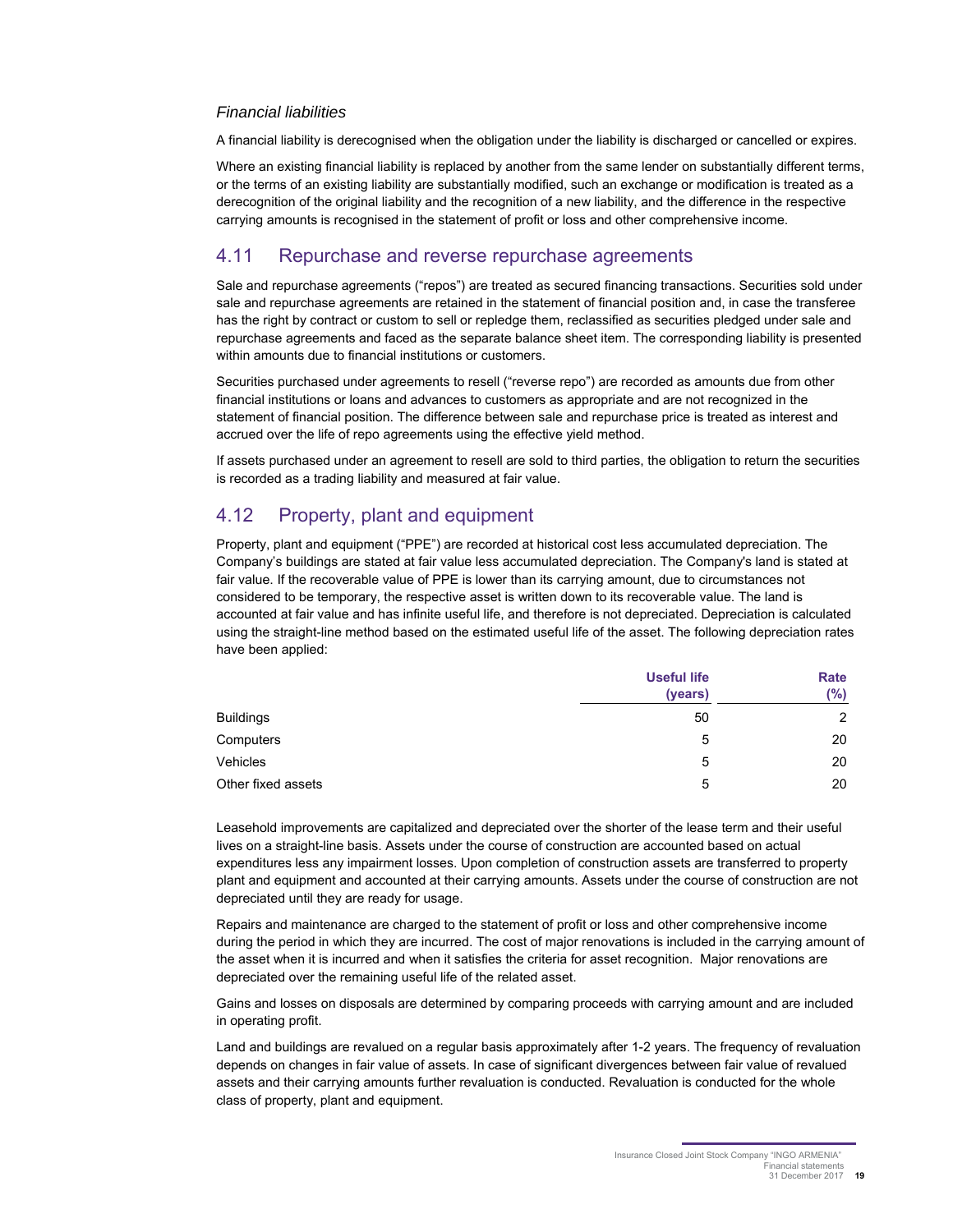#### Financial liabilities

A financial liability is derecognised when the obligation under the liability is discharged or cancelled or expires.

Where an existing financial liability is replaced by another from the same lender on substantially different terms, or the terms of an existing liability are substantially modified, such an exchange or modification is treated as a derecognition of the original liability and the recognition of a new liability, and the difference in the respective carrying amounts is recognised in the statement of profit or loss and other comprehensive income.

### 4.11 Repurchase and reverse repurchase agreements

Sale and repurchase agreements ("repos") are treated as secured financing transactions. Securities sold under sale and repurchase agreements are retained in the statement of financial position and, in case the transferee has the right by contract or custom to sell or repledge them, reclassified as securities pledged under sale and repurchase agreements and faced as the separate balance sheet item. The corresponding liability is presented within amounts due to financial institutions or customers.

Securities purchased under agreements to resell ("reverse repo") are recorded as amounts due from other financial institutions or loans and advances to customers as appropriate and are not recognized in the statement of financial position. The difference between sale and repurchase price is treated as interest and accrued over the life of repo agreements using the effective yield method.

If assets purchased under an agreement to resell are sold to third parties, the obligation to return the securities is recorded as a trading liability and measured at fair value.

## 4.12 Property, plant and equipment

Property, plant and equipment ("PPE") are recorded at historical cost less accumulated depreciation. The Company's buildings are stated at fair value less accumulated depreciation. The Company's land is stated at fair value. If the recoverable value of PPE is lower than its carrying amount, due to circumstances not considered to be temporary, the respective asset is written down to its recoverable value. The land is accounted at fair value and has infinite useful life, and therefore is not depreciated. Depreciation is calculated using the straight-line method based on the estimated useful life of the asset. The following depreciation rates have been applied:

|                    | <b>Useful life</b><br>(years) | Rate<br>(%) |
|--------------------|-------------------------------|-------------|
| <b>Buildings</b>   | 50                            | 2           |
| Computers          | 5                             | 20          |
| Vehicles           | 5                             | 20          |
| Other fixed assets | 5                             | 20          |

Leasehold improvements are capitalized and depreciated over the shorter of the lease term and their useful lives on a straight-line basis. Assets under the course of construction are accounted based on actual expenditures less any impairment losses. Upon completion of construction assets are transferred to property plant and equipment and accounted at their carrying amounts. Assets under the course of construction are not depreciated until they are ready for usage.

Repairs and maintenance are charged to the statement of profit or loss and other comprehensive income during the period in which they are incurred. The cost of major renovations is included in the carrying amount of the asset when it is incurred and when it satisfies the criteria for asset recognition. Major renovations are depreciated over the remaining useful life of the related asset.

Gains and losses on disposals are determined by comparing proceeds with carrying amount and are included in operating profit.

Land and buildings are revalued on a regular basis approximately after 1-2 years. The frequency of revaluation depends on changes in fair value of assets. In case of significant divergences between fair value of revalued assets and their carrying amounts further revaluation is conducted. Revaluation is conducted for the whole class of property, plant and equipment.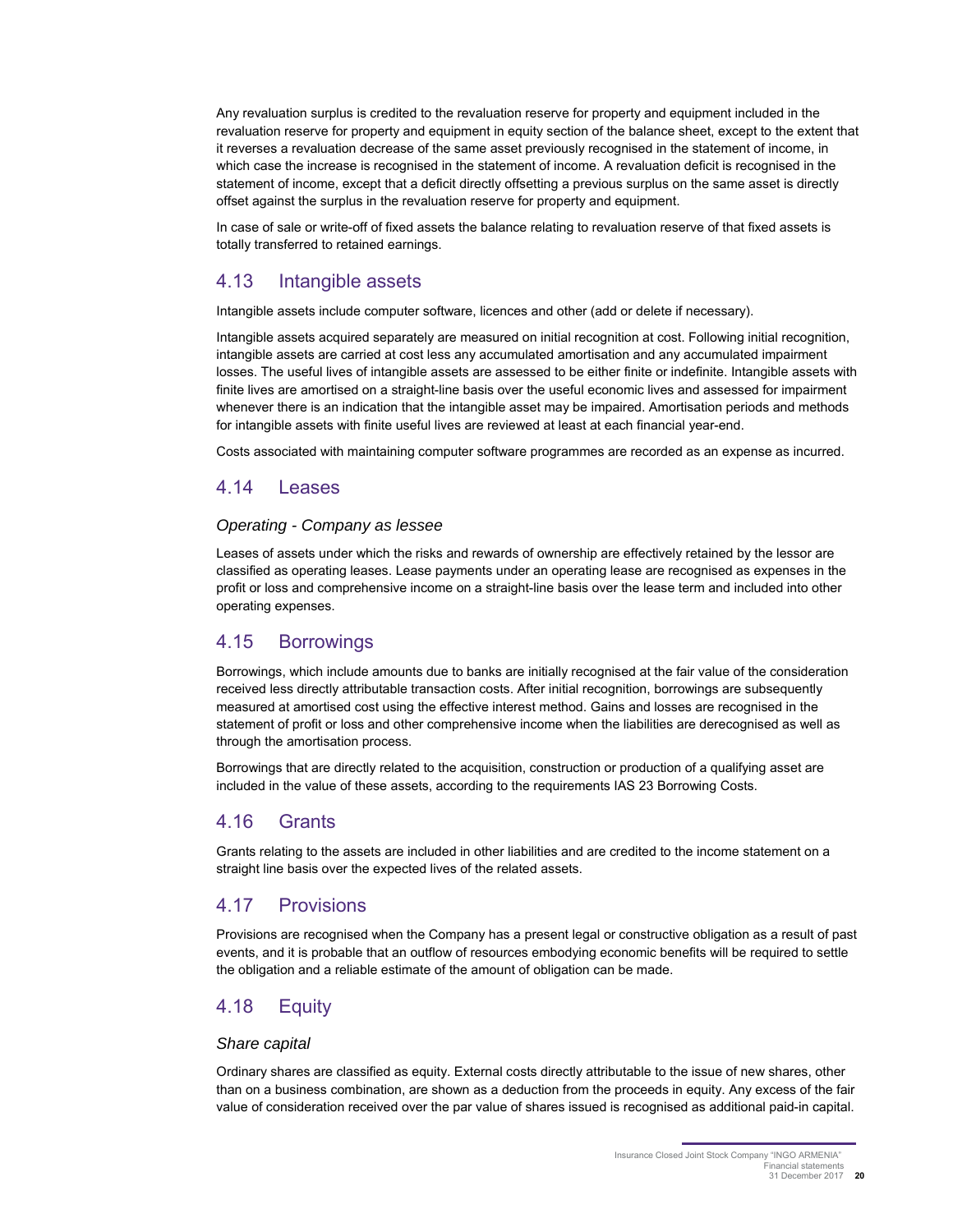Any revaluation surplus is credited to the revaluation reserve for property and equipment included in the revaluation reserve for property and equipment in equity section of the balance sheet, except to the extent that it reverses a revaluation decrease of the same asset previously recognised in the statement of income, in which case the increase is recognised in the statement of income. A revaluation deficit is recognised in the statement of income, except that a deficit directly offsetting a previous surplus on the same asset is directly offset against the surplus in the revaluation reserve for property and equipment.

In case of sale or write-off of fixed assets the balance relating to revaluation reserve of that fixed assets is totally transferred to retained earnings.

### 4.13 Intangible assets

Intangible assets include computer software, licences and other (add or delete if necessary).

Intangible assets acquired separately are measured on initial recognition at cost. Following initial recognition, intangible assets are carried at cost less any accumulated amortisation and any accumulated impairment losses. The useful lives of intangible assets are assessed to be either finite or indefinite. Intangible assets with finite lives are amortised on a straight-line basis over the useful economic lives and assessed for impairment whenever there is an indication that the intangible asset may be impaired. Amortisation periods and methods for intangible assets with finite useful lives are reviewed at least at each financial year-end.

Costs associated with maintaining computer software programmes are recorded as an expense as incurred.

#### 4.14 Leases

#### Operating - Company as lessee

Leases of assets under which the risks and rewards of ownership are effectively retained by the lessor are classified as operating leases. Lease payments under an operating lease are recognised as expenses in the profit or loss and comprehensive income on a straight-line basis over the lease term and included into other operating expenses.

### 4.15 Borrowings

Borrowings, which include amounts due to banks are initially recognised at the fair value of the consideration received less directly attributable transaction costs. After initial recognition, borrowings are subsequently measured at amortised cost using the effective interest method. Gains and losses are recognised in the statement of profit or loss and other comprehensive income when the liabilities are derecognised as well as through the amortisation process.

Borrowings that are directly related to the acquisition, construction or production of a qualifying asset are included in the value of these assets, according to the requirements IAS 23 Borrowing Costs.

#### 4.16 Grants

Grants relating to the assets are included in other liabilities and are credited to the income statement on a straight line basis over the expected lives of the related assets.

### 4.17 Provisions

Provisions are recognised when the Company has a present legal or constructive obligation as a result of past events, and it is probable that an outflow of resources embodying economic benefits will be required to settle the obligation and a reliable estimate of the amount of obligation can be made.

### 4.18 Equity

#### Share capital

Ordinary shares are classified as equity. External costs directly attributable to the issue of new shares, other than on a business combination, are shown as a deduction from the proceeds in equity. Any excess of the fair value of consideration received over the par value of shares issued is recognised as additional paid-in capital.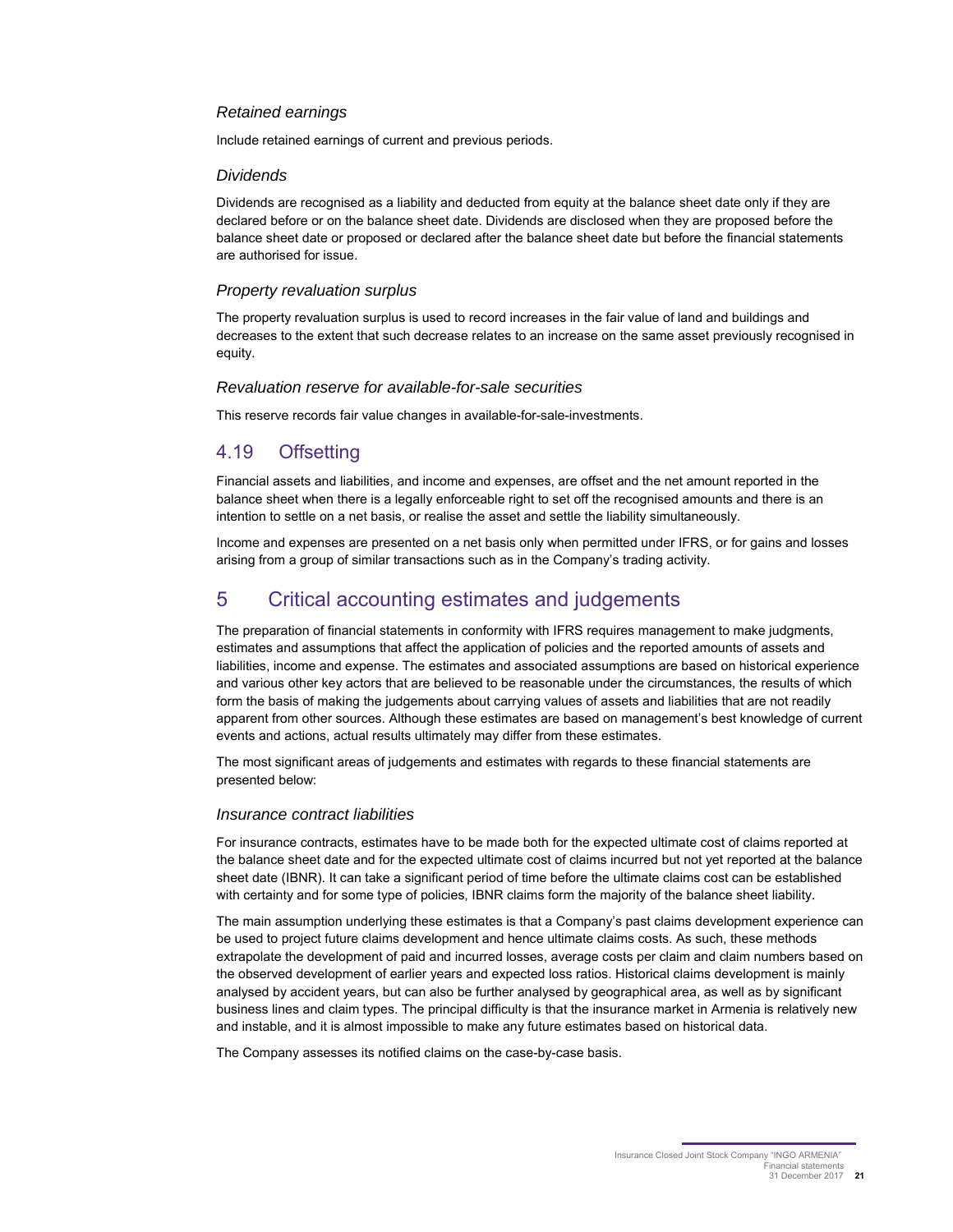#### Retained earnings

Include retained earnings of current and previous periods.

#### **Dividends**

Dividends are recognised as a liability and deducted from equity at the balance sheet date only if they are declared before or on the balance sheet date. Dividends are disclosed when they are proposed before the balance sheet date or proposed or declared after the balance sheet date but before the financial statements are authorised for issue.

#### Property revaluation surplus

The property revaluation surplus is used to record increases in the fair value of land and buildings and decreases to the extent that such decrease relates to an increase on the same asset previously recognised in equity.

#### Revaluation reserve for available-for-sale securities

This reserve records fair value changes in available-for-sale-investments.

### 4.19 Offsetting

Financial assets and liabilities, and income and expenses, are offset and the net amount reported in the balance sheet when there is a legally enforceable right to set off the recognised amounts and there is an intention to settle on a net basis, or realise the asset and settle the liability simultaneously.

Income and expenses are presented on a net basis only when permitted under IFRS, or for gains and losses arising from a group of similar transactions such as in the Company's trading activity.

## 5 Critical accounting estimates and judgements

The preparation of financial statements in conformity with IFRS requires management to make judgments, estimates and assumptions that affect the application of policies and the reported amounts of assets and liabilities, income and expense. The estimates and associated assumptions are based on historical experience and various other key actors that are believed to be reasonable under the circumstances, the results of which form the basis of making the judgements about carrying values of assets and liabilities that are not readily apparent from other sources. Although these estimates are based on management's best knowledge of current events and actions, actual results ultimately may differ from these estimates.

The most significant areas of judgements and estimates with regards to these financial statements are presented below:

#### Insurance contract liabilities

For insurance contracts, estimates have to be made both for the expected ultimate cost of claims reported at the balance sheet date and for the expected ultimate cost of claims incurred but not yet reported at the balance sheet date (IBNR). It can take a significant period of time before the ultimate claims cost can be established with certainty and for some type of policies, IBNR claims form the majority of the balance sheet liability.

The main assumption underlying these estimates is that a Company's past claims development experience can be used to project future claims development and hence ultimate claims costs. As such, these methods extrapolate the development of paid and incurred losses, average costs per claim and claim numbers based on the observed development of earlier years and expected loss ratios. Historical claims development is mainly analysed by accident years, but can also be further analysed by geographical area, as well as by significant business lines and claim types. The principal difficulty is that the insurance market in Armenia is relatively new and instable, and it is almost impossible to make any future estimates based on historical data.

The Company assesses its notified claims on the case-by-case basis.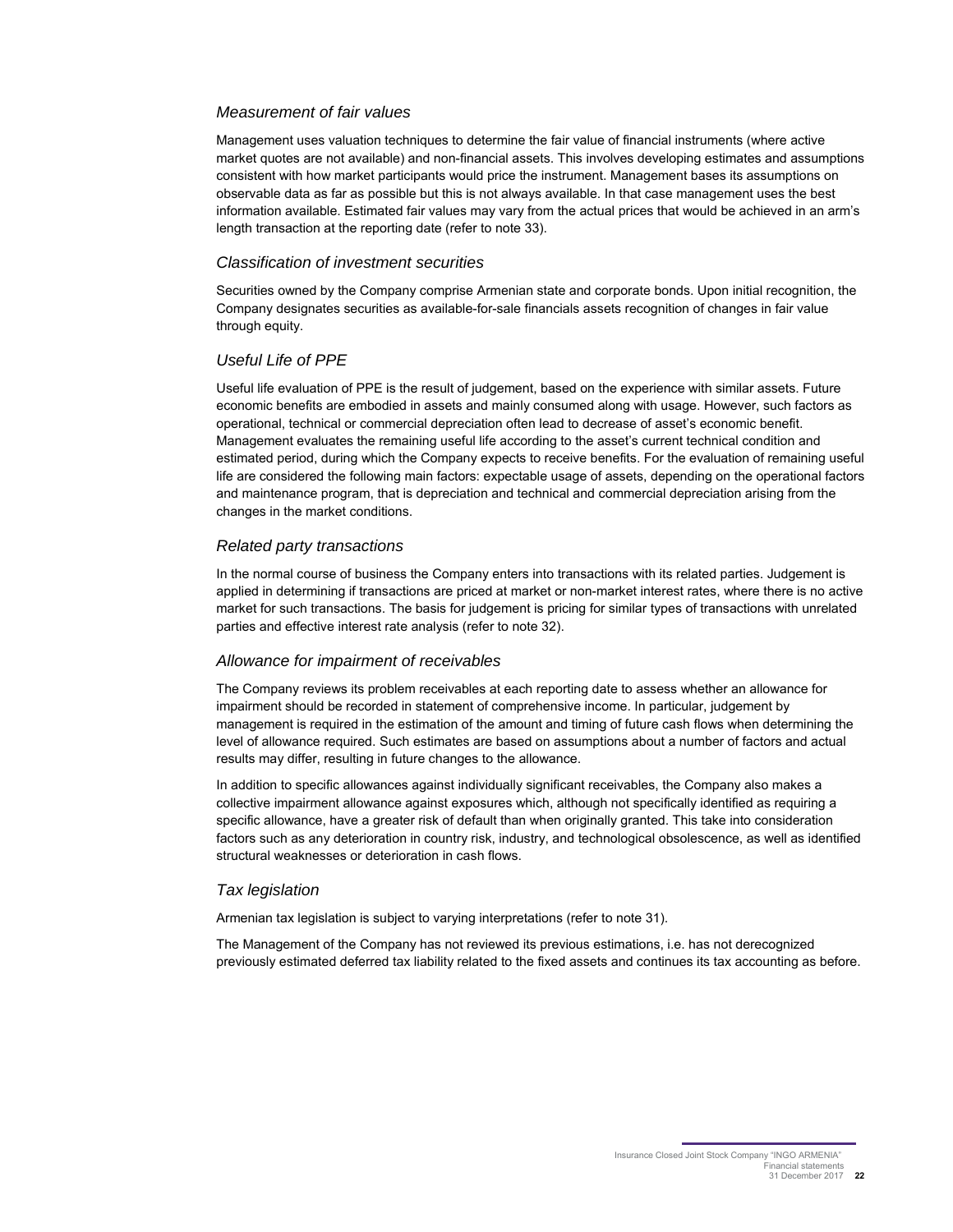#### Measurement of fair values

Management uses valuation techniques to determine the fair value of financial instruments (where active market quotes are not available) and non-financial assets. This involves developing estimates and assumptions consistent with how market participants would price the instrument. Management bases its assumptions on observable data as far as possible but this is not always available. In that case management uses the best information available. Estimated fair values may vary from the actual prices that would be achieved in an arm's length transaction at the reporting date (refer to note 33).

#### Classification of investment securities

Securities owned by the Company comprise Armenian state and corporate bonds. Upon initial recognition, the Company designates securities as available-for-sale financials assets recognition of changes in fair value through equity.

#### Useful Life of PPE

Useful life evaluation of PPE is the result of judgement, based on the experience with similar assets. Future economic benefits are embodied in assets and mainly consumed along with usage. However, such factors as operational, technical or commercial depreciation often lead to decrease of asset's economic benefit. Management evaluates the remaining useful life according to the asset's current technical condition and estimated period, during which the Company expects to receive benefits. For the evaluation of remaining useful life are considered the following main factors: expectable usage of assets, depending on the operational factors and maintenance program, that is depreciation and technical and commercial depreciation arising from the changes in the market conditions.

#### Related party transactions

In the normal course of business the Company enters into transactions with its related parties. Judgement is applied in determining if transactions are priced at market or non-market interest rates, where there is no active market for such transactions. The basis for judgement is pricing for similar types of transactions with unrelated parties and effective interest rate analysis (refer to note 32).

#### Allowance for impairment of receivables

The Company reviews its problem receivables at each reporting date to assess whether an allowance for impairment should be recorded in statement of comprehensive income. In particular, judgement by management is required in the estimation of the amount and timing of future cash flows when determining the level of allowance required. Such estimates are based on assumptions about a number of factors and actual results may differ, resulting in future changes to the allowance.

In addition to specific allowances against individually significant receivables, the Company also makes a collective impairment allowance against exposures which, although not specifically identified as requiring a specific allowance, have a greater risk of default than when originally granted. This take into consideration factors such as any deterioration in country risk, industry, and technological obsolescence, as well as identified structural weaknesses or deterioration in cash flows.

#### Tax legislation

Armenian tax legislation is subject to varying interpretations (refer to note 31).

The Management of the Company has not reviewed its previous estimations, i.e. has not derecognized previously estimated deferred tax liability related to the fixed assets and continues its tax accounting as before.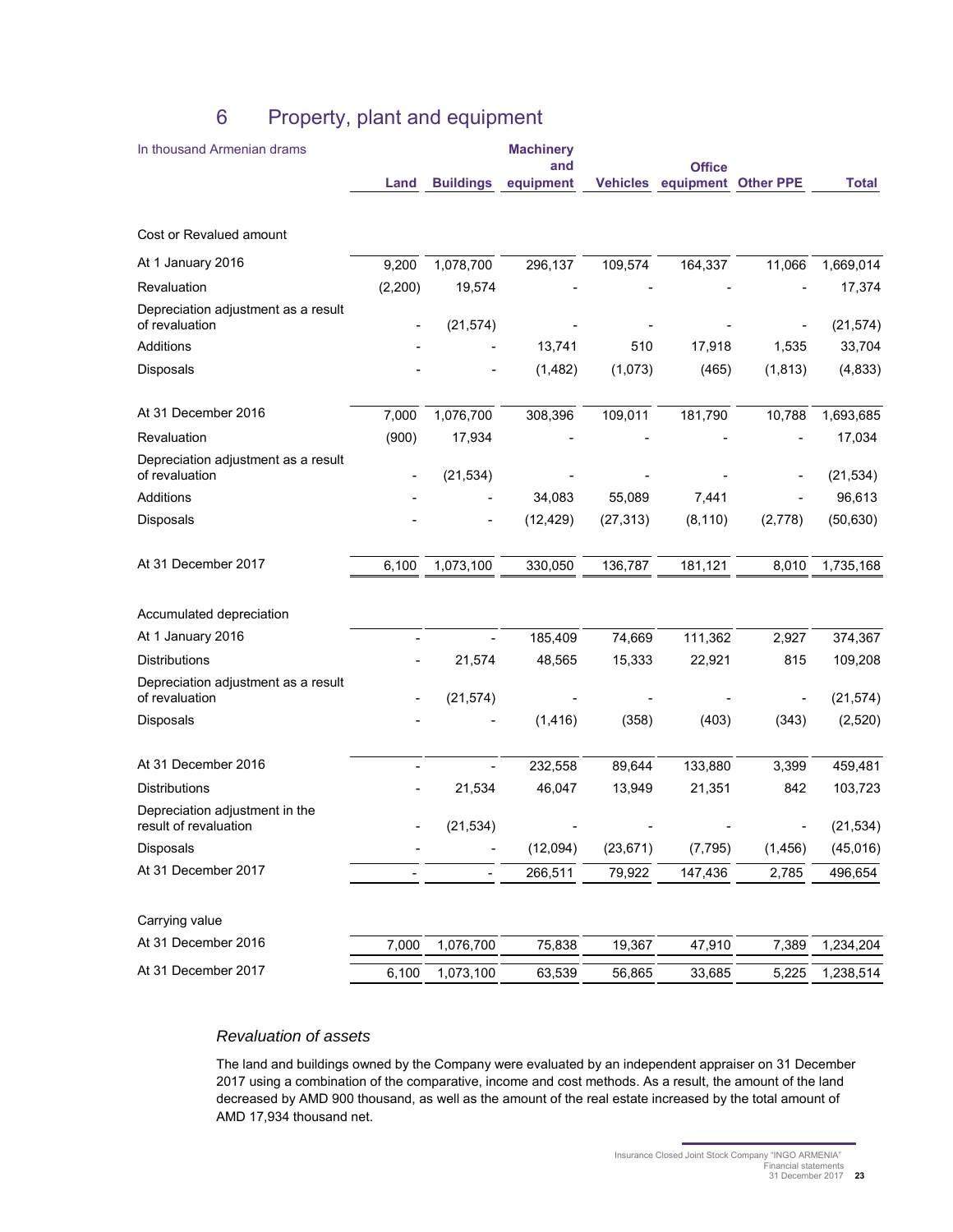| In thousand Armenian drams                              |          |                  | <b>Machinery</b> |                 |               |                  |              |
|---------------------------------------------------------|----------|------------------|------------------|-----------------|---------------|------------------|--------------|
|                                                         |          |                  | and              |                 | <b>Office</b> |                  |              |
|                                                         | Land     | <b>Buildings</b> | equipment        | <b>Vehicles</b> | equipment     | <b>Other PPE</b> | <b>Total</b> |
| Cost or Revalued amount                                 |          |                  |                  |                 |               |                  |              |
| At 1 January 2016                                       | 9,200    | 1,078,700        | 296,137          | 109,574         | 164,337       | 11,066           | 1,669,014    |
| Revaluation                                             | (2, 200) | 19,574           |                  |                 |               |                  | 17,374       |
| Depreciation adjustment as a result<br>of revaluation   |          | (21, 574)        |                  |                 |               |                  | (21, 574)    |
| Additions                                               |          |                  | 13,741           | 510             | 17,918        | 1,535            | 33,704       |
| Disposals                                               |          |                  | (1, 482)         | (1,073)         | (465)         | (1, 813)         | (4, 833)     |
| At 31 December 2016                                     | 7,000    | 1,076,700        | 308,396          | 109,011         | 181,790       | 10,788           | 1,693,685    |
| Revaluation                                             | (900)    | 17,934           |                  |                 |               |                  | 17,034       |
| Depreciation adjustment as a result<br>of revaluation   |          | (21, 534)        |                  |                 |               |                  | (21, 534)    |
| Additions                                               |          |                  | 34,083           | 55,089          | 7,441         |                  | 96,613       |
| Disposals                                               |          |                  | (12, 429)        | (27, 313)       | (8, 110)      | (2,778)          | (50, 630)    |
| At 31 December 2017                                     | 6,100    | 1,073,100        | 330,050          | 136,787         | 181,121       | 8,010            | 1,735,168    |
| Accumulated depreciation                                |          |                  |                  |                 |               |                  |              |
| At 1 January 2016                                       |          |                  | 185,409          | 74,669          | 111,362       | 2,927            | 374,367      |
| <b>Distributions</b>                                    |          | 21,574           | 48,565           | 15,333          | 22,921        | 815              | 109,208      |
| Depreciation adjustment as a result<br>of revaluation   |          | (21, 574)        |                  |                 |               |                  | (21, 574)    |
| Disposals                                               |          |                  | (1, 416)         | (358)           | (403)         | (343)            | (2,520)      |
| At 31 December 2016                                     |          |                  | 232,558          | 89,644          | 133,880       | 3,399            | 459,481      |
| <b>Distributions</b>                                    |          | 21,534           | 46,047           | 13,949          | 21,351        | 842              | 103,723      |
| Depreciation adjustment in the<br>result of revaluation |          | (21, 534)        |                  |                 |               |                  | (21, 534)    |
| Disposals                                               |          |                  | (12,094)         | (23, 671)       | (7, 795)      | (1, 456)         | (45, 016)    |
| At 31 December 2017                                     |          | $\blacksquare$   | 266,511          | 79,922          | 147,436       | 2,785            | 496,654      |
| Carrying value                                          |          |                  |                  |                 |               |                  |              |
| At 31 December 2016                                     | 7,000    | 1,076,700        | 75,838           | 19,367          | 47,910        | 7,389            | 1,234,204    |
| At 31 December 2017                                     | 6,100    | 1,073,100        | 63,539           | 56,865          | 33,685        | 5,225            | 1,238,514    |

## 6 Property, plant and equipment

### Revaluation of assets

The land and buildings owned by the Company were evaluated by an independent appraiser on 31 December 2017 using a combination of the comparative, income and cost methods. As a result, the amount of the land decreased by AMD 900 thousand, as well as the amount of the real estate increased by the total amount of AMD 17,934 thousand net.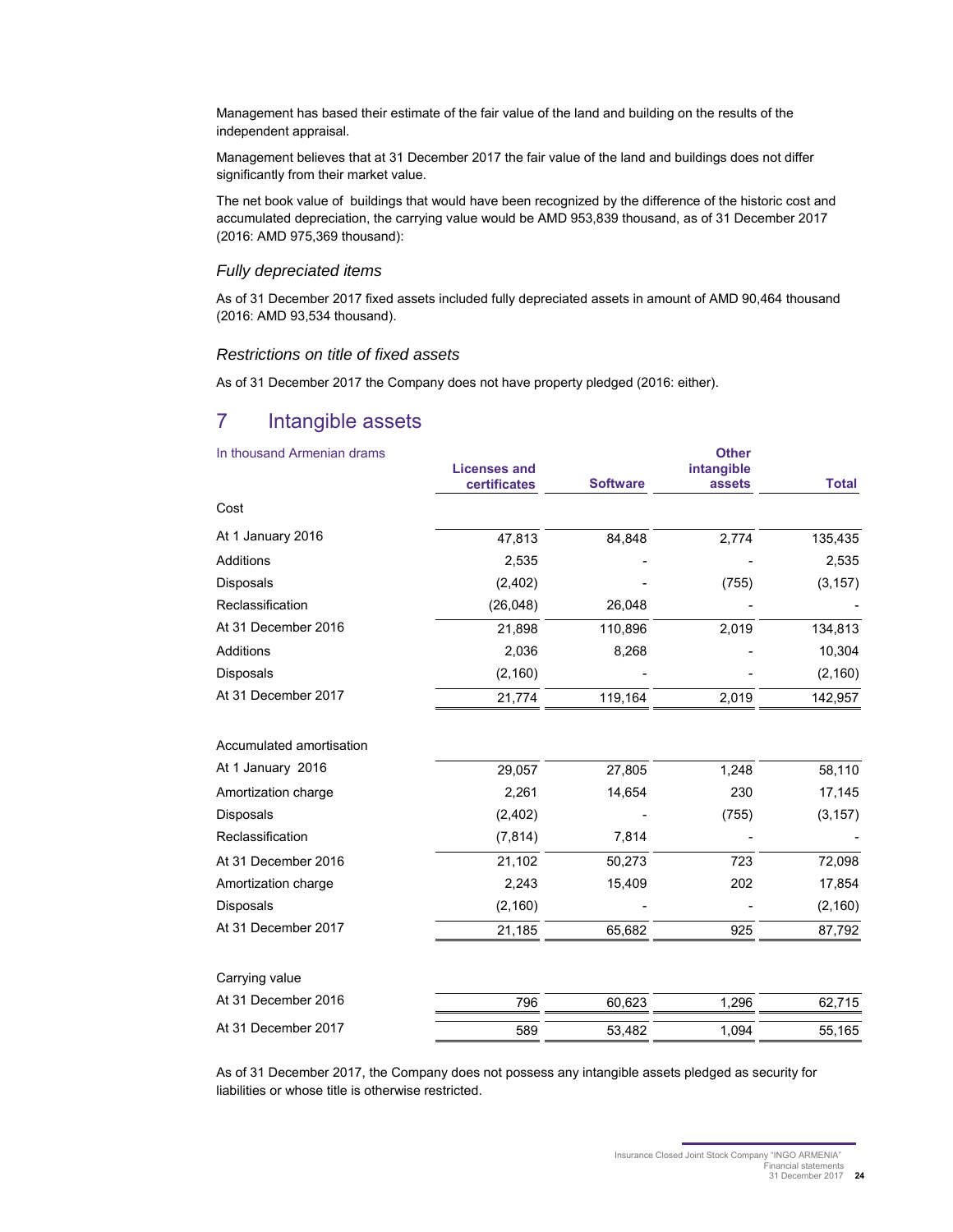Management has based their estimate of the fair value of the land and building on the results of the independent appraisal.

Management believes that at 31 December 2017 the fair value of the land and buildings does not differ significantly from their market value.

The net book value of buildings that would have been recognized by the difference of the historic cost and accumulated depreciation, the carrying value would be AMD 953,839 thousand, as of 31 December 2017 (2016: AMD 975,369 thousand):

#### Fully depreciated items

As of 31 December 2017 fixed assets included fully depreciated assets in amount of AMD 90,464 thousand (2016: AMD 93,534 thousand).

#### Restrictions on title of fixed assets

As of 31 December 2017 the Company does not have property pledged (2016: either).

## 7 Intangible assets

| In thousand Armenian drams | <b>Licenses and</b><br>certificates | <b>Software</b> | <b>Other</b><br>intangible<br>assets | <b>Total</b> |
|----------------------------|-------------------------------------|-----------------|--------------------------------------|--------------|
| Cost                       |                                     |                 |                                      |              |
| At 1 January 2016          | 47,813                              | 84,848          | 2,774                                | 135,435      |
| <b>Additions</b>           | 2,535                               |                 |                                      | 2,535        |
| Disposals                  | (2, 402)                            |                 | (755)                                | (3, 157)     |
| Reclassification           | (26, 048)                           | 26,048          |                                      |              |
| At 31 December 2016        | 21,898                              | 110,896         | 2,019                                | 134,813      |
| Additions                  | 2,036                               | 8,268           |                                      | 10,304       |
| Disposals                  | (2, 160)                            |                 |                                      | (2, 160)     |
| At 31 December 2017        | 21,774                              | 119,164         | 2,019                                | 142,957      |
| Accumulated amortisation   |                                     |                 |                                      |              |
| At 1 January 2016          | 29,057                              | 27,805          | 1,248                                | 58,110       |
| Amortization charge        | 2,261                               | 14,654          | 230                                  | 17,145       |
| Disposals                  | (2,402)                             |                 | (755)                                | (3, 157)     |
| Reclassification           | (7, 814)                            | 7,814           |                                      |              |
| At 31 December 2016        | 21,102                              | 50,273          | 723                                  | 72,098       |
| Amortization charge        | 2,243                               | 15,409          | 202                                  | 17,854       |
| <b>Disposals</b>           | (2, 160)                            |                 |                                      | (2, 160)     |
| At 31 December 2017        | 21,185                              | 65,682          | 925                                  | 87,792       |
| Carrying value             |                                     |                 |                                      |              |
| At 31 December 2016        | 796                                 | 60,623          | 1,296                                | 62,715       |
| At 31 December 2017        | 589                                 | 53,482          | 1,094                                | 55,165       |

As of 31 December 2017, the Company does not possess any intangible assets pledged as security for liabilities or whose title is otherwise restricted.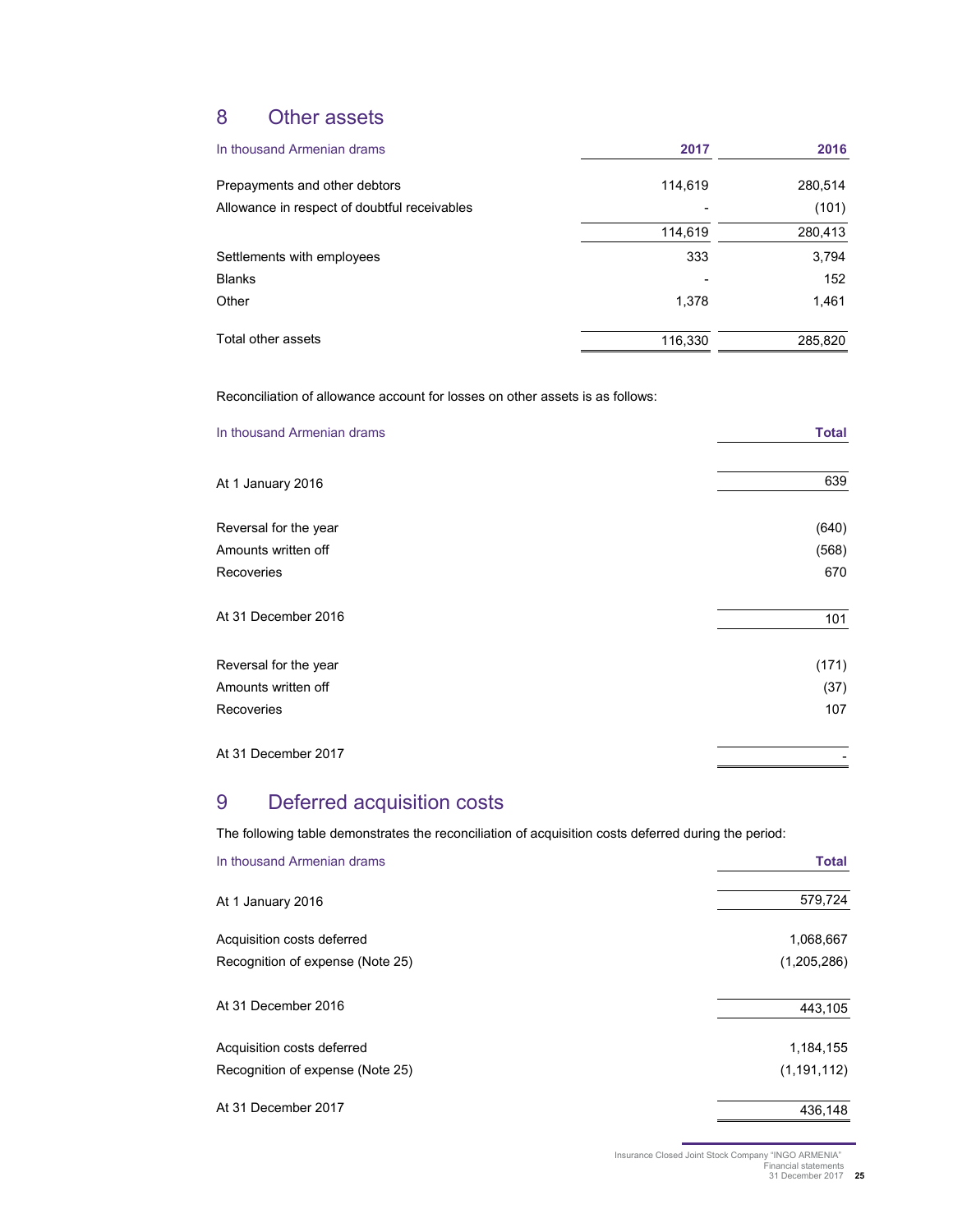## 8 Other assets

| In thousand Armenian drams                   | 2017    | 2016    |
|----------------------------------------------|---------|---------|
| Prepayments and other debtors                | 114,619 | 280,514 |
| Allowance in respect of doubtful receivables |         | (101)   |
|                                              | 114,619 | 280,413 |
| Settlements with employees                   | 333     | 3,794   |
| <b>Blanks</b>                                |         | 152     |
| Other                                        | 1,378   | 1,461   |
| Total other assets                           | 116,330 | 285,820 |

Reconciliation of allowance account for losses on other assets is as follows:

| In thousand Armenian drams | <b>Total</b> |
|----------------------------|--------------|
| At 1 January 2016          | 639          |
| Reversal for the year      | (640)        |
| Amounts written off        | (568)        |
| Recoveries                 | 670          |
| At 31 December 2016        | 101          |
| Reversal for the year      | (171)        |
| Amounts written off        | (37)         |
| Recoveries                 | 107          |
| At 31 December 2017        |              |

## 9 Deferred acquisition costs

The following table demonstrates the reconciliation of acquisition costs deferred during the period:

| In thousand Armenian drams       | <b>Total</b>  |
|----------------------------------|---------------|
| At 1 January 2016                | 579,724       |
| Acquisition costs deferred       | 1,068,667     |
| Recognition of expense (Note 25) | (1,205,286)   |
| At 31 December 2016              | 443,105       |
| Acquisition costs deferred       | 1,184,155     |
| Recognition of expense (Note 25) | (1, 191, 112) |
| At 31 December 2017              | 436.148       |

Insurance Closed Joint Stock Company "INGO ARMENIA" Financial statements 31 December 2017 **25**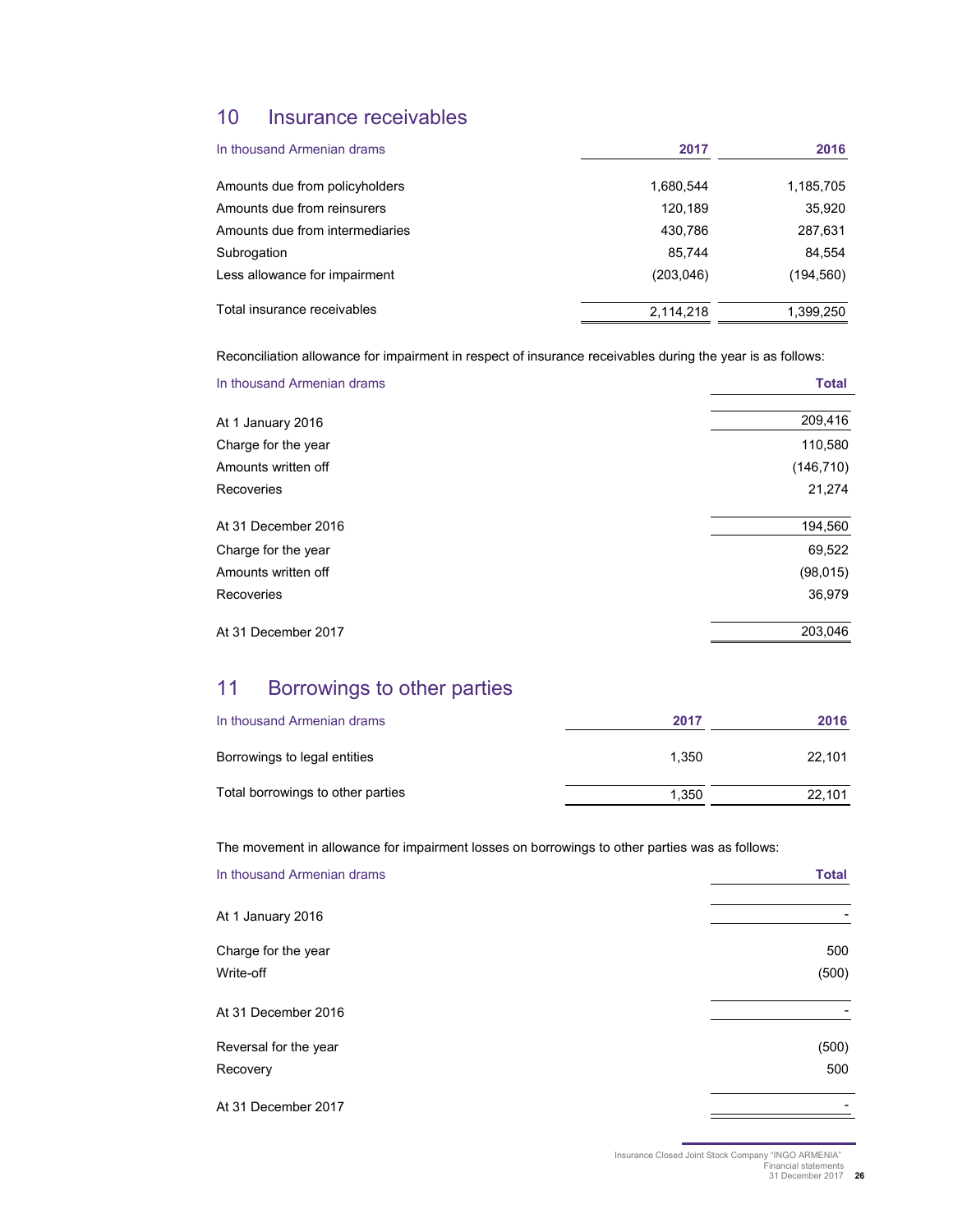## 10 Insurance receivables

| In thousand Armenian drams      | 2017       | 2016       |
|---------------------------------|------------|------------|
| Amounts due from policyholders  | 1,680,544  | 1,185,705  |
| Amounts due from reinsurers     | 120.189    | 35,920     |
| Amounts due from intermediaries | 430.786    | 287,631    |
| Subrogation                     | 85.744     | 84,554     |
| Less allowance for impairment   | (203, 046) | (194, 560) |
| Total insurance receivables     | 2,114,218  | 1,399,250  |

Reconciliation allowance for impairment in respect of insurance receivables during the year is as follows:

| In thousand Armenian drams | <b>Total</b> |
|----------------------------|--------------|
| At 1 January 2016          | 209,416      |
| Charge for the year        | 110,580      |
| Amounts written off        | (146, 710)   |
| Recoveries                 | 21,274       |
| At 31 December 2016        | 194,560      |
| Charge for the year        | 69,522       |
| Amounts written off        | (98, 015)    |
| Recoveries                 | 36,979       |
| At 31 December 2017        | 203,046      |

## 11 Borrowings to other parties

| In thousand Armenian drams        | 2017  | 2016   |
|-----------------------------------|-------|--------|
| Borrowings to legal entities      | 1.350 | 22.101 |
| Total borrowings to other parties | 1.350 | 22.101 |

The movement in allowance for impairment losses on borrowings to other parties was as follows:

| In thousand Armenian drams | <b>Total</b> |
|----------------------------|--------------|
| At 1 January 2016          |              |
| Charge for the year        | 500          |
| Write-off                  | (500)        |
| At 31 December 2016        |              |
| Reversal for the year      | (500)        |
| Recovery                   | 500          |
| At 31 December 2017        |              |

Insurance Closed Joint Stock Company "INGO ARMENIA" Financial statements 31 December 2017 **26**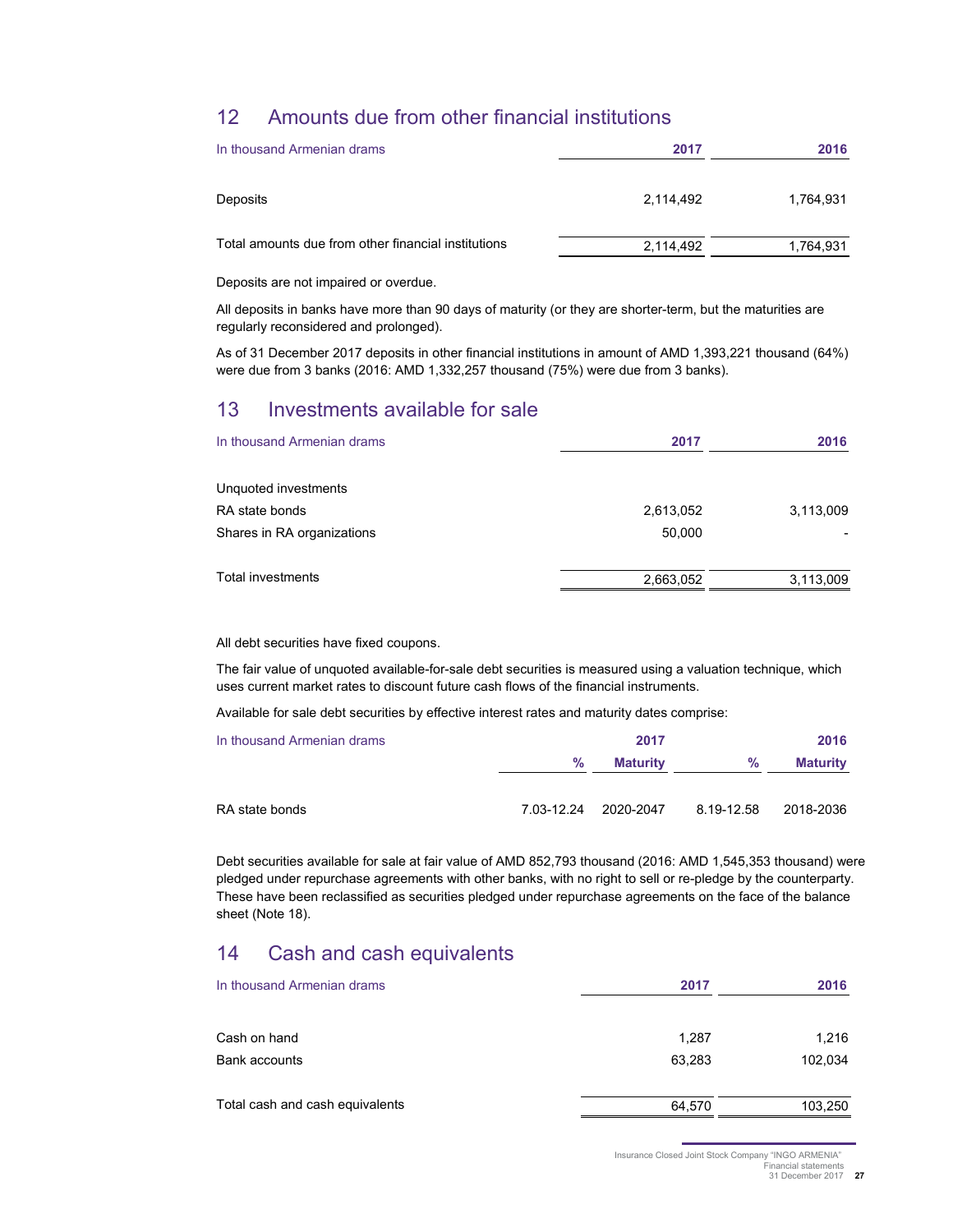## 12 Amounts due from other financial institutions

| In thousand Armenian drams                          | 2017      | 2016      |
|-----------------------------------------------------|-----------|-----------|
| Deposits                                            | 2.114.492 | 1.764.931 |
| Total amounts due from other financial institutions | 2,114,492 | 1,764,931 |

Deposits are not impaired or overdue.

All deposits in banks have more than 90 days of maturity (or they are shorter-term, but the maturities are regularly reconsidered and prolonged).

As of 31 December 2017 deposits in other financial institutions in amount of AMD 1,393,221 thousand (64%) were due from 3 banks (2016: AMD 1,332,257 thousand (75%) were due from 3 banks).

## 13 Investments available for sale

| In thousand Armenian drams | 2017      | 2016      |
|----------------------------|-----------|-----------|
| Unquoted investments       |           |           |
| RA state bonds             | 2,613,052 | 3,113,009 |
| Shares in RA organizations | 50,000    |           |
| <b>Total investments</b>   | 2,663,052 | 3,113,009 |

All debt securities have fixed coupons.

The fair value of unquoted available-for-sale debt securities is measured using a valuation technique, which uses current market rates to discount future cash flows of the financial instruments.

Available for sale debt securities by effective interest rates and maturity dates comprise:

| In thousand Armenian drams |      | 2017                 |            | 2016            |
|----------------------------|------|----------------------|------------|-----------------|
|                            | $\%$ | <b>Maturity</b>      | %          | <b>Maturity</b> |
| RA state bonds             |      | 7.03-12.24 2020-2047 | 8.19-12.58 | 2018-2036       |

Debt securities available for sale at fair value of AMD 852,793 thousand (2016: AMD 1,545,353 thousand) were pledged under repurchase agreements with other banks, with no right to sell or re-pledge by the counterparty. These have been reclassified as securities pledged under repurchase agreements on the face of the balance sheet (Note 18).

## 14 Cash and cash equivalents

| In thousand Armenian drams      | 2017   | 2016    |
|---------------------------------|--------|---------|
| Cash on hand                    | 1,287  | 1,216   |
| Bank accounts                   | 63,283 | 102,034 |
| Total cash and cash equivalents | 64,570 | 103,250 |

Insurance Closed Joint Stock Company "INGO ARMENIA"

Financial statements 31 December 2017 **27**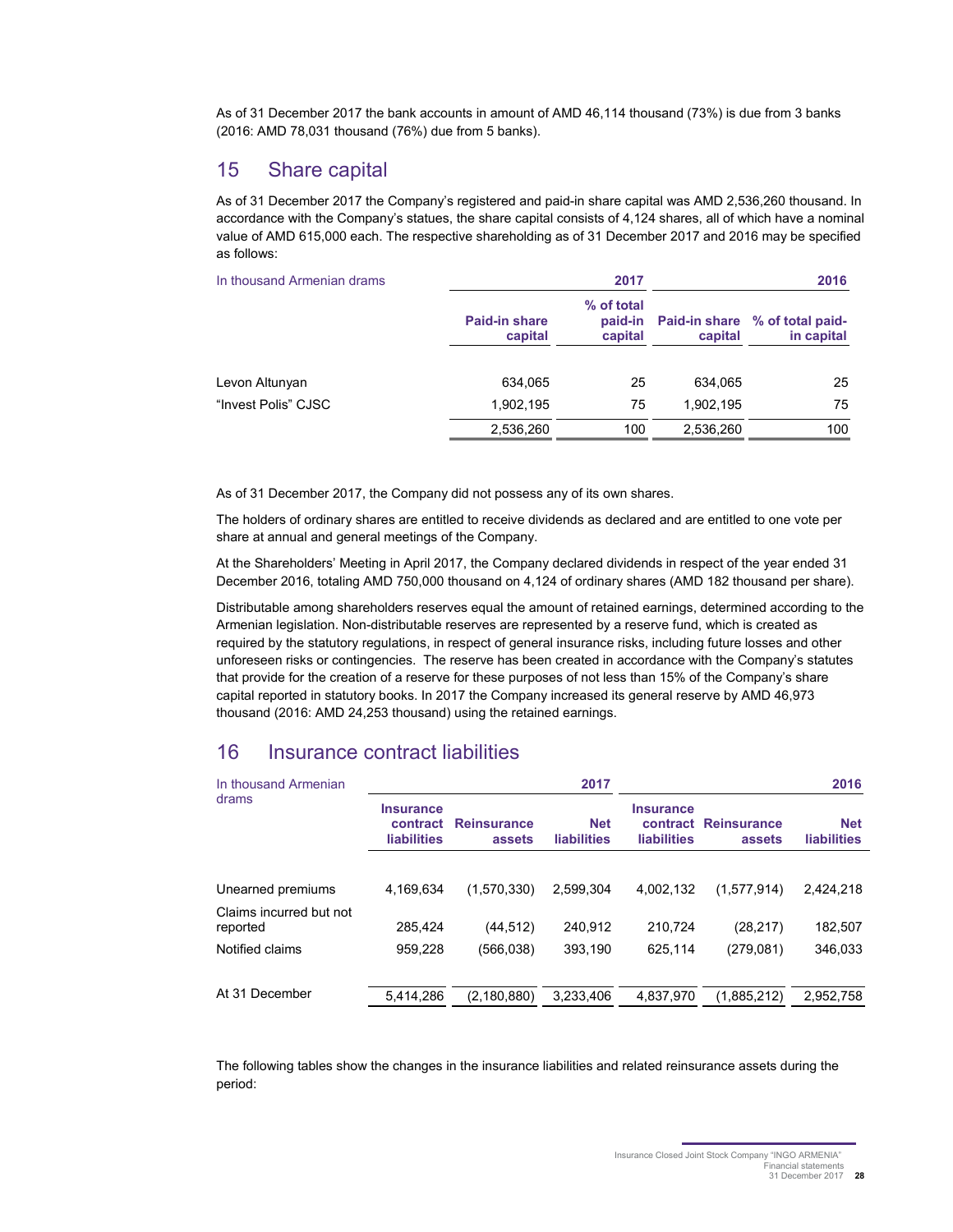As of 31 December 2017 the bank accounts in amount of AMD 46,114 thousand (73%) is due from 3 banks (2016: AMD 78,031 thousand (76%) due from 5 banks).

## 15 Share capital

As of 31 December 2017 the Company's registered and paid-in share capital was AMD 2,536,260 thousand. In accordance with the Company's statues, the share capital consists of 4,124 shares, all of which have a nominal value of AMD 615,000 each. The respective shareholding as of 31 December 2017 and 2016 may be specified as follows:

| In thousand Armenian drams |                                 | 2017                             |           | 2016                                                |
|----------------------------|---------------------------------|----------------------------------|-----------|-----------------------------------------------------|
|                            | <b>Paid-in share</b><br>capital | % of total<br>paid-in<br>capital | capital   | <b>Paid-in share</b> % of total paid-<br>in capital |
| Levon Altunyan             | 634,065                         | 25                               | 634.065   | 25                                                  |
| "Invest Polis" CJSC        | 1.902.195                       | 75                               | 1.902.195 | 75                                                  |
|                            | 2,536,260                       | 100                              | 2,536,260 | 100                                                 |

As of 31 December 2017, the Company did not possess any of its own shares.

The holders of ordinary shares are entitled to receive dividends as declared and are entitled to one vote per share at annual and general meetings of the Company.

At the Shareholders' Meeting in April 2017, the Company declared dividends in respect of the year ended 31 December 2016, totaling AMD 750,000 thousand on 4,124 of ordinary shares (AMD 182 thousand per share).

Distributable among shareholders reserves equal the amount of retained earnings, determined according to the Armenian legislation. Non-distributable reserves are represented by a reserve fund, which is created as required by the statutory regulations, in respect of general insurance risks, including future losses and other unforeseen risks or contingencies. The reserve has been created in accordance with the Company's statutes that provide for the creation of a reserve for these purposes of not less than 15% of the Company's share capital reported in statutory books. In 2017 the Company increased its general reserve by AMD 46,973 thousand (2016: AMD 24,253 thousand) using the retained earnings.

## 16 Insurance contract liabilities

| In thousand Armenian    |                                                    |                              | 2017                             |                                        |                                | 2016                             |
|-------------------------|----------------------------------------------------|------------------------------|----------------------------------|----------------------------------------|--------------------------------|----------------------------------|
| drams                   | <b>Insurance</b><br>contract<br><b>liabilities</b> | <b>Reinsurance</b><br>assets | <b>Net</b><br><b>liabilities</b> | <b>Insurance</b><br><b>liabilities</b> | contract Reinsurance<br>assets | <b>Net</b><br><b>liabilities</b> |
|                         |                                                    |                              |                                  |                                        |                                |                                  |
| Unearned premiums       | 4,169,634                                          | (1,570,330)                  | 2,599,304                        | 4.002.132                              | (1,577,914)                    | 2,424,218                        |
| Claims incurred but not |                                                    |                              |                                  |                                        |                                |                                  |
| reported                | 285.424                                            | (44, 512)                    | 240.912                          | 210.724                                | (28, 217)                      | 182,507                          |
| Notified claims         | 959.228                                            | (566,038)                    | 393.190                          | 625.114                                | (279.081)                      | 346.033                          |
|                         |                                                    |                              |                                  |                                        |                                |                                  |
| At 31 December          | 5.414.286                                          | (2, 180, 880)                | 3.233.406                        | 4.837.970                              | (1,885,212)                    | 2,952,758                        |

The following tables show the changes in the insurance liabilities and related reinsurance assets during the period:

Insurance Closed Joint Stock Company "INGO ARMENIA"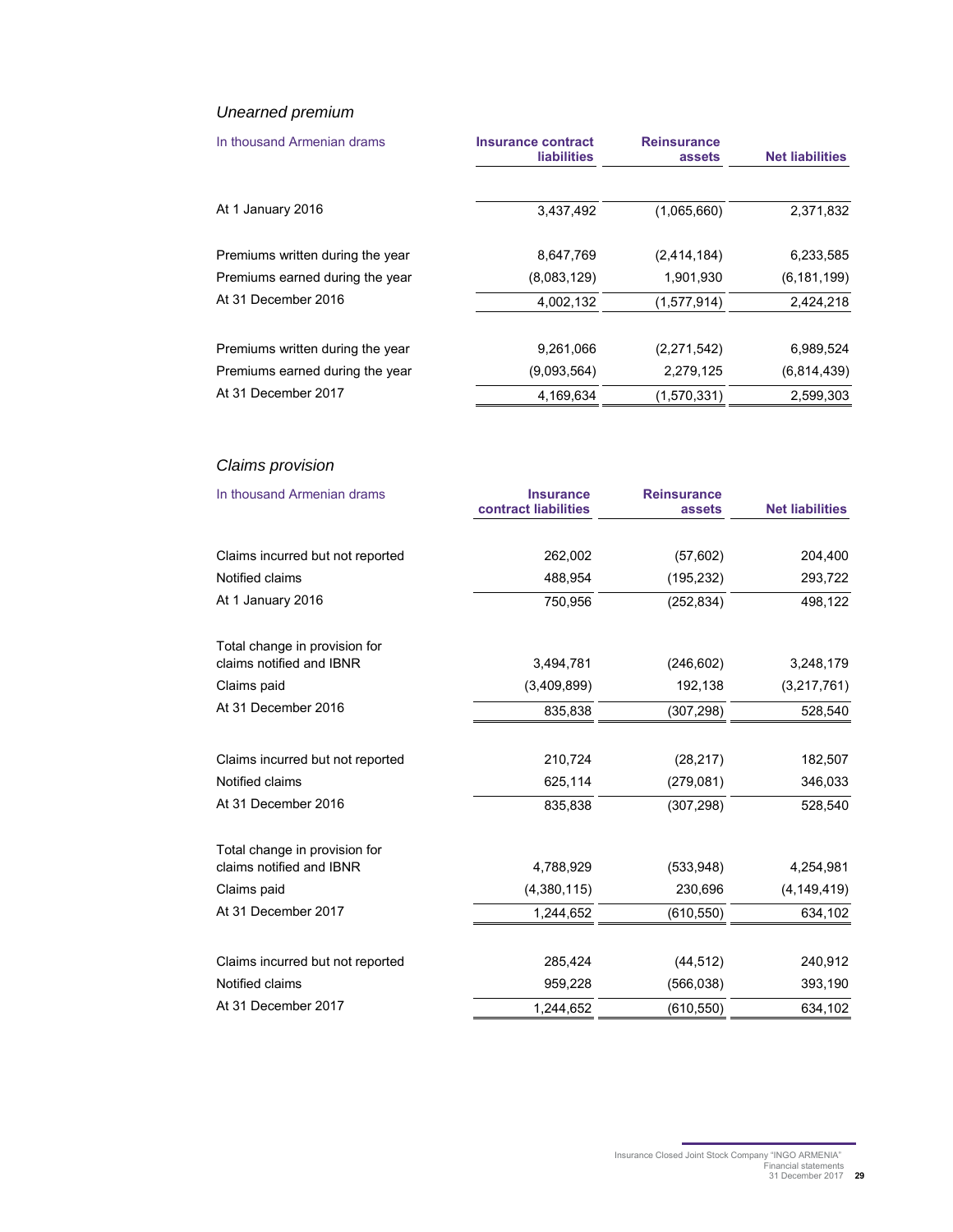### Unearned premium

| In thousand Armenian drams       | <b>Insurance contract</b><br><b>liabilities</b> | <b>Reinsurance</b><br>assets | <b>Net liabilities</b> |
|----------------------------------|-------------------------------------------------|------------------------------|------------------------|
| At 1 January 2016                | 3,437,492                                       | (1,065,660)                  | 2,371,832              |
| Premiums written during the year | 8,647,769                                       | (2,414,184)                  | 6,233,585              |
| Premiums earned during the year  | (8,083,129)                                     | 1,901,930                    | (6, 181, 199)          |
| At 31 December 2016              | 4,002,132                                       | (1,577,914)                  | 2,424,218              |
| Premiums written during the year | 9,261,066                                       | (2,271,542)                  | 6,989,524              |
| Premiums earned during the year  | (9.093.564)                                     | 2,279,125                    | (6,814,439)            |
| At 31 December 2017              | 4.169.634                                       | (1,570,331)                  | 2.599.303              |

## Claims provision

| In thousand Armenian drams       | <b>Insurance</b><br>contract liabilities | <b>Reinsurance</b><br>assets | <b>Net liabilities</b> |
|----------------------------------|------------------------------------------|------------------------------|------------------------|
| Claims incurred but not reported | 262,002                                  | (57, 602)                    | 204,400                |
| Notified claims                  | 488,954                                  | (195, 232)                   | 293,722                |
| At 1 January 2016                | 750,956                                  | (252, 834)                   | 498,122                |
| Total change in provision for    |                                          |                              |                        |
| claims notified and IBNR         | 3,494,781                                | (246, 602)                   | 3,248,179              |
| Claims paid                      | (3,409,899)                              | 192,138                      | (3,217,761)            |
| At 31 December 2016              | 835,838                                  | (307, 298)                   | 528,540                |
| Claims incurred but not reported | 210,724                                  | (28, 217)                    | 182,507                |
| Notified claims                  | 625,114                                  | (279, 081)                   | 346,033                |
| At 31 December 2016              | 835,838                                  | (307, 298)                   | 528,540                |
| Total change in provision for    |                                          |                              |                        |
| claims notified and IBNR         | 4,788,929                                | (533, 948)                   | 4,254,981              |
| Claims paid                      | (4,380,115)                              | 230,696                      | (4, 149, 419)          |
| At 31 December 2017              | 1,244,652                                | (610, 550)                   | 634,102                |
| Claims incurred but not reported | 285,424                                  | (44, 512)                    | 240,912                |
| Notified claims                  | 959,228                                  | (566, 038)                   | 393,190                |
| At 31 December 2017              | 1,244,652                                | (610, 550)                   | 634,102                |

Insurance Closed Joint Stock Company "INGO ARMENIA" Financial statements 31 December 2017 **29**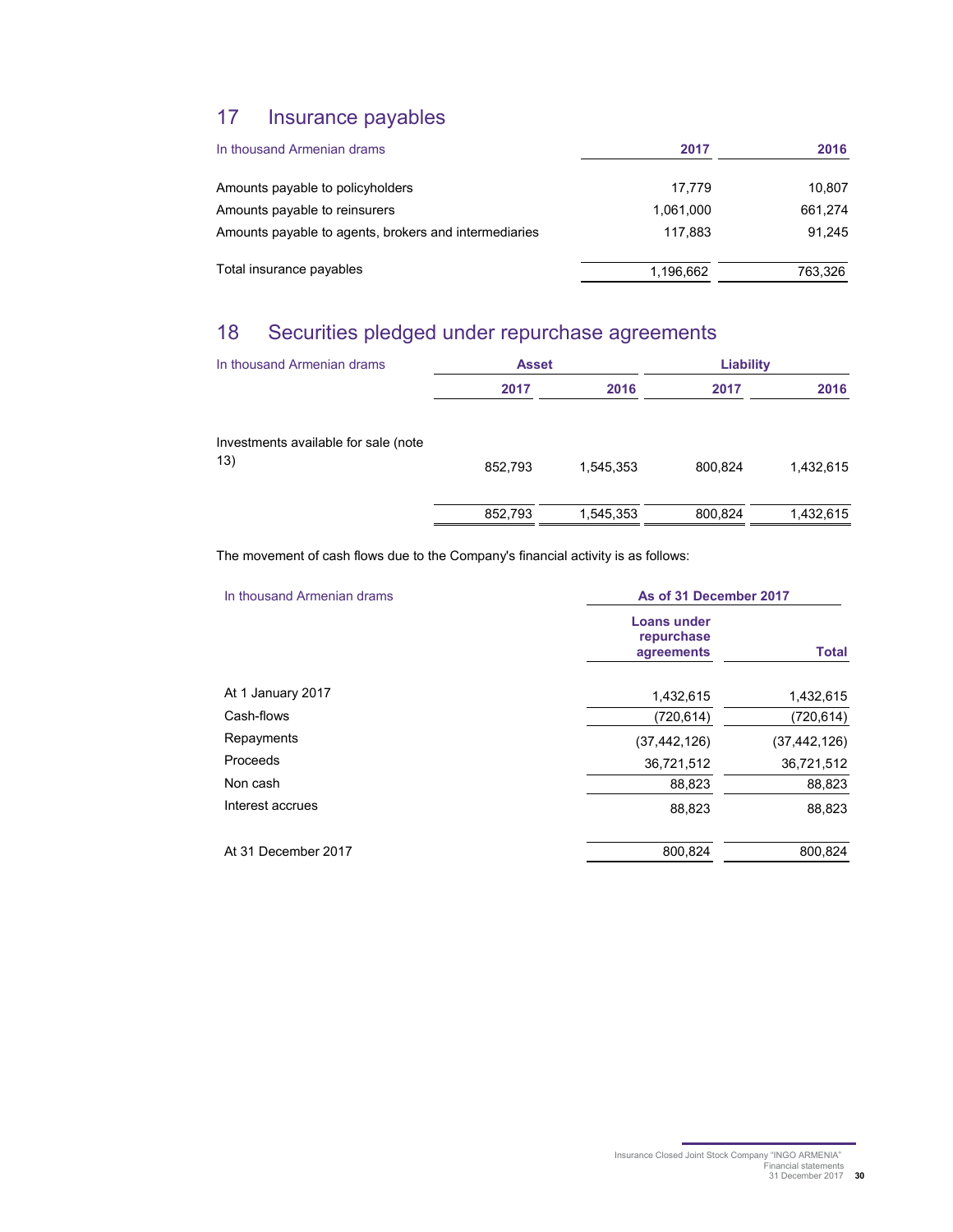## 17 Insurance payables

| In thousand Armenian drams                            | 2017      | 2016    |
|-------------------------------------------------------|-----------|---------|
| Amounts payable to policyholders                      | 17.779    | 10,807  |
| Amounts payable to reinsurers                         | 1.061.000 | 661,274 |
| Amounts payable to agents, brokers and intermediaries | 117.883   | 91.245  |
| Total insurance payables                              | 1,196,662 | 763,326 |

## 18 Securities pledged under repurchase agreements

| In thousand Armenian drams                  | <b>Asset</b> |           | Liability |           |
|---------------------------------------------|--------------|-----------|-----------|-----------|
|                                             | 2017         | 2016      | 2017      | 2016      |
| Investments available for sale (note<br>13) | 852,793      | 1,545,353 | 800,824   | 1,432,615 |
|                                             | 852,793      | 1,545,353 | 800,824   | 1,432,615 |

The movement of cash flows due to the Company's financial activity is as follows:

| In thousand Armenian drams |                                         | As of 31 December 2017 |  |  |
|----------------------------|-----------------------------------------|------------------------|--|--|
|                            | Loans under<br>repurchase<br>agreements | <b>Total</b>           |  |  |
| At 1 January 2017          | 1,432,615                               | 1,432,615              |  |  |
| Cash-flows                 | (720, 614)                              | (720,614)              |  |  |
| Repayments                 | (37, 442, 126)                          | (37,442,126)           |  |  |
| Proceeds                   | 36,721,512                              | 36,721,512             |  |  |
| Non cash                   | 88,823                                  | 88,823                 |  |  |
| Interest accrues           | 88,823                                  | 88,823                 |  |  |
| At 31 December 2017        | 800,824                                 | 800,824                |  |  |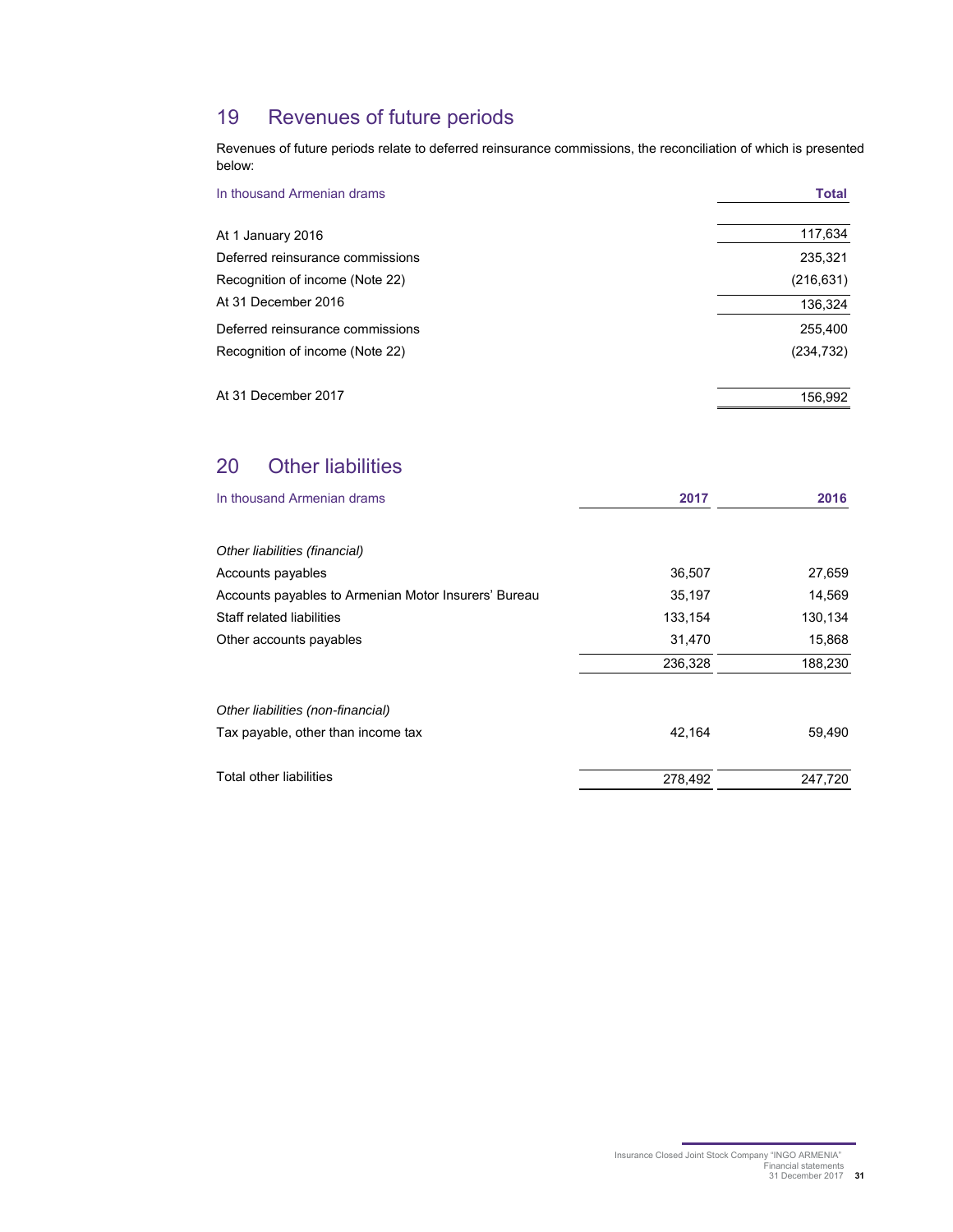## 19 Revenues of future periods

Revenues of future periods relate to deferred reinsurance commissions, the reconciliation of which is presented below:

| In thousand Armenian drams       | <b>Total</b> |
|----------------------------------|--------------|
| At 1 January 2016                | 117,634      |
| Deferred reinsurance commissions | 235,321      |
| Recognition of income (Note 22)  | (216, 631)   |
| At 31 December 2016              | 136,324      |
| Deferred reinsurance commissions | 255,400      |
| Recognition of income (Note 22)  | (234, 732)   |
| At 31 December 2017              | 156,992      |

## 20 Other liabilities

| In thousand Armenian drams                           | 2017    | 2016    |
|------------------------------------------------------|---------|---------|
|                                                      |         |         |
| Other liabilities (financial)                        |         |         |
| Accounts payables                                    | 36,507  | 27,659  |
| Accounts payables to Armenian Motor Insurers' Bureau | 35,197  | 14,569  |
| Staff related liabilities                            | 133,154 | 130,134 |
| Other accounts payables                              | 31,470  | 15,868  |
|                                                      | 236,328 | 188,230 |
| Other liabilities (non-financial)                    |         |         |
| Tax payable, other than income tax                   | 42,164  | 59,490  |
| Total other liabilities                              | 278,492 | 247,720 |
|                                                      |         |         |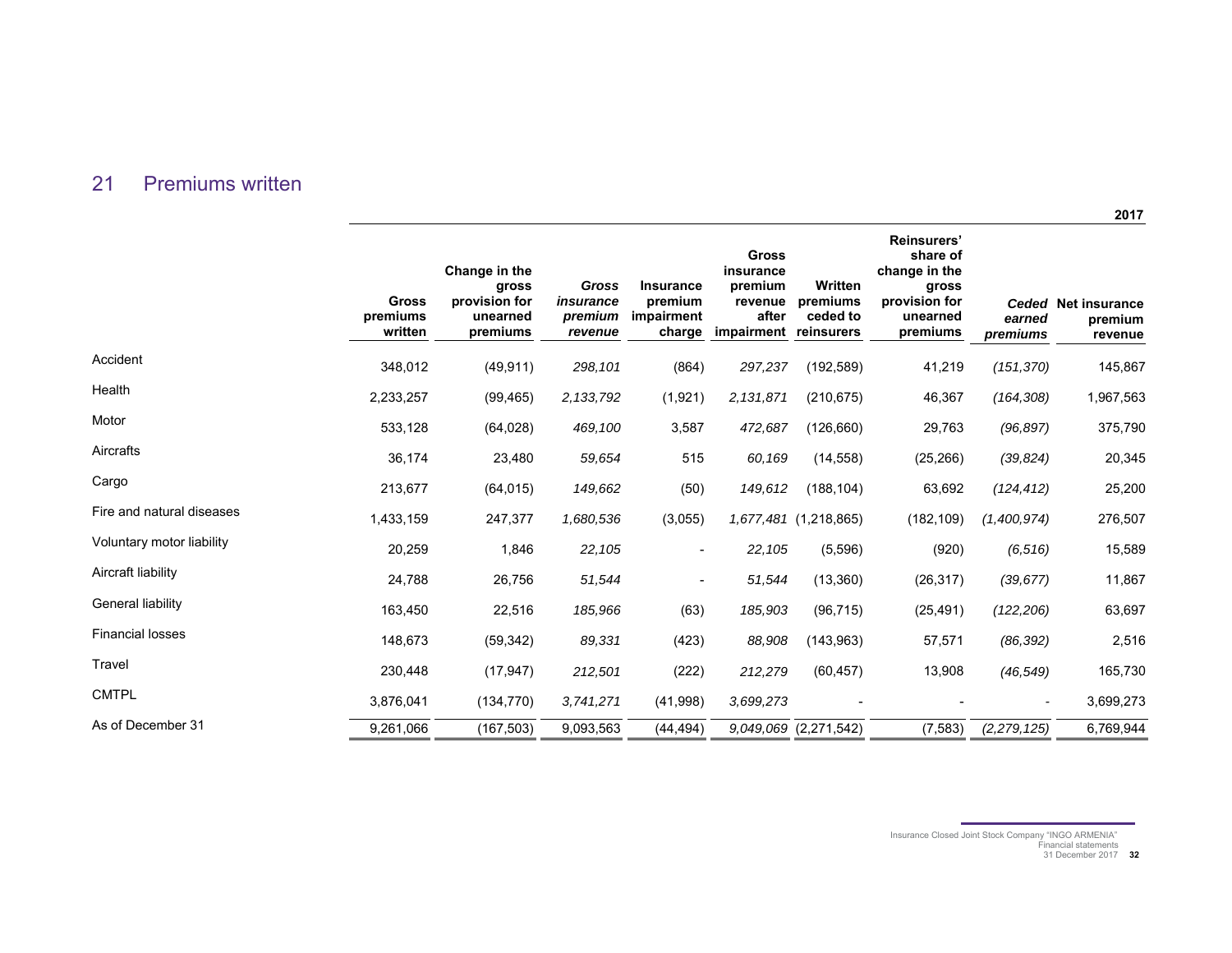### 21 Premiums written

|                           | <b>Gross</b><br>premiums<br>written | Change in the<br>gross<br>provision for<br>unearned<br>premiums | Gross<br>insurance<br>premium<br>revenue | <b>Insurance</b><br>premium<br>impairment<br>charge | <b>Gross</b><br>insurance<br>premium<br>revenue<br>after<br>impairment reinsurers | Written<br>premiums<br>ceded to | <b>Reinsurers'</b><br>share of<br>change in the<br>gross<br>provision for<br>unearned<br>premiums | earned<br>premiums | Ceded Net insurance<br>premium<br>revenue |
|---------------------------|-------------------------------------|-----------------------------------------------------------------|------------------------------------------|-----------------------------------------------------|-----------------------------------------------------------------------------------|---------------------------------|---------------------------------------------------------------------------------------------------|--------------------|-------------------------------------------|
| Accident                  | 348,012                             | (49, 911)                                                       | 298,101                                  | (864)                                               | 297,237                                                                           | (192, 589)                      | 41,219                                                                                            | (151, 370)         | 145,867                                   |
| Health                    | 2,233,257                           | (99, 465)                                                       | 2, 133, 792                              | (1,921)                                             | 2,131,871                                                                         | (210, 675)                      | 46,367                                                                                            | (164, 308)         | 1,967,563                                 |
| Motor                     | 533,128                             | (64, 028)                                                       | 469,100                                  | 3,587                                               | 472,687                                                                           | (126, 660)                      | 29,763                                                                                            | (96, 897)          | 375,790                                   |
| Aircrafts                 | 36,174                              | 23,480                                                          | 59,654                                   | 515                                                 | 60,169                                                                            | (14, 558)                       | (25, 266)                                                                                         | (39, 824)          | 20,345                                    |
| Cargo                     | 213,677                             | (64, 015)                                                       | 149,662                                  | (50)                                                | 149,612                                                                           | (188, 104)                      | 63,692                                                                                            | (124, 412)         | 25,200                                    |
| Fire and natural diseases | 1,433,159                           | 247,377                                                         | 1,680,536                                | (3,055)                                             |                                                                                   | 1,677,481 (1,218,865)           | (182, 109)                                                                                        | (1,400,974)        | 276,507                                   |
| Voluntary motor liability | 20,259                              | 1,846                                                           | 22,105                                   |                                                     | 22,105                                                                            | (5, 596)                        | (920)                                                                                             | (6, 516)           | 15,589                                    |
| Aircraft liability        | 24,788                              | 26,756                                                          | 51,544                                   |                                                     | 51,544                                                                            | (13, 360)                       | (26, 317)                                                                                         | (39, 677)          | 11,867                                    |
| General liability         | 163,450                             | 22,516                                                          | 185,966                                  | (63)                                                | 185,903                                                                           | (96, 715)                       | (25, 491)                                                                                         | (122, 206)         | 63,697                                    |
| <b>Financial losses</b>   | 148,673                             | (59, 342)                                                       | 89,331                                   | (423)                                               | 88,908                                                                            | (143, 963)                      | 57,571                                                                                            | (86, 392)          | 2,516                                     |
| Travel                    | 230,448                             | (17, 947)                                                       | 212,501                                  | (222)                                               | 212,279                                                                           | (60, 457)                       | 13,908                                                                                            | (46, 549)          | 165,730                                   |
| <b>CMTPL</b>              | 3,876,041                           | (134, 770)                                                      | 3,741,271                                | (41,998)                                            | 3,699,273                                                                         |                                 |                                                                                                   |                    | 3,699,273                                 |
| As of December 31         | 9,261,066                           | (167, 503)                                                      | 9,093,563                                | (44, 494)                                           |                                                                                   | 9,049,069 (2,271,542)           | (7, 583)                                                                                          | (2, 279, 125)      | 6,769,944                                 |

**2017** 

Insurance Closed Joint Stock Company "INGO ARMENIA" Financial statements 31 December 2017 **32**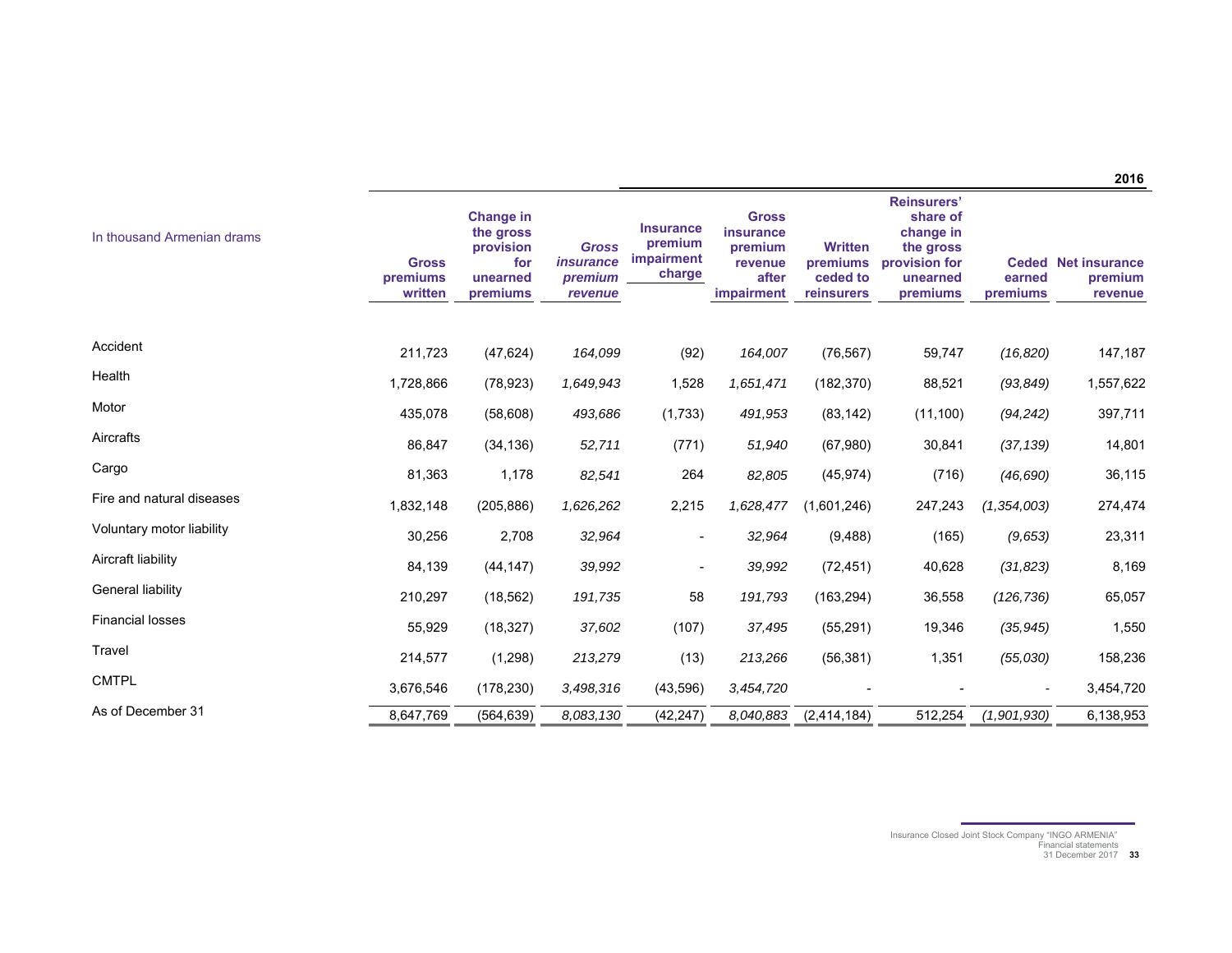**2016** 

| In thousand Armenian drams | <b>Gross</b><br>premiums<br>written | <b>Change in</b><br>the gross<br>provision<br>for<br>unearned<br>premiums | <b>Gross</b><br><i>insurance</i><br>premium<br>revenue | <b>Insurance</b><br>premium<br><b>impairment</b><br>charge | <b>Gross</b><br>insurance<br>premium<br>revenue<br>after<br><b>impairment</b> | <b>Written</b><br>premiums<br>ceded to<br>reinsurers | <b>Reinsurers'</b><br>share of<br>change in<br>the gross<br>provision for<br>unearned<br>premiums | earned<br>premiums | <b>Ceded Net insurance</b><br>premium<br>revenue |
|----------------------------|-------------------------------------|---------------------------------------------------------------------------|--------------------------------------------------------|------------------------------------------------------------|-------------------------------------------------------------------------------|------------------------------------------------------|---------------------------------------------------------------------------------------------------|--------------------|--------------------------------------------------|
| Accident                   | 211,723                             | (47, 624)                                                                 | 164,099                                                | (92)                                                       | 164,007                                                                       | (76, 567)                                            | 59,747                                                                                            | (16, 820)          | 147,187                                          |
| Health                     | 1,728,866                           | (78, 923)                                                                 | 1,649,943                                              | 1,528                                                      | 1,651,471                                                                     | (182, 370)                                           | 88,521                                                                                            | (93, 849)          | 1,557,622                                        |
| Motor                      | 435,078                             | (58, 608)                                                                 | 493,686                                                | (1,733)                                                    | 491,953                                                                       | (83, 142)                                            | (11, 100)                                                                                         | (94, 242)          | 397,711                                          |
| Aircrafts                  | 86,847                              | (34, 136)                                                                 | 52,711                                                 | (771)                                                      | 51,940                                                                        | (67,980)                                             | 30,841                                                                                            | (37, 139)          | 14,801                                           |
| Cargo                      | 81,363                              | 1,178                                                                     | 82,541                                                 | 264                                                        | 82,805                                                                        | (45, 974)                                            | (716)                                                                                             | (46, 690)          | 36,115                                           |
| Fire and natural diseases  | 1,832,148                           | (205, 886)                                                                | 1,626,262                                              | 2,215                                                      | 1,628,477                                                                     | (1,601,246)                                          | 247,243                                                                                           | (1, 354, 003)      | 274,474                                          |
| Voluntary motor liability  | 30,256                              | 2,708                                                                     | 32,964                                                 |                                                            | 32,964                                                                        | (9, 488)                                             | (165)                                                                                             | (9,653)            | 23,311                                           |
| Aircraft liability         | 84,139                              | (44, 147)                                                                 | 39,992                                                 | $\overline{\phantom{a}}$                                   | 39,992                                                                        | (72, 451)                                            | 40,628                                                                                            | (31, 823)          | 8,169                                            |
| General liability          | 210,297                             | (18, 562)                                                                 | 191,735                                                | 58                                                         | 191,793                                                                       | (163, 294)                                           | 36,558                                                                                            | (126, 736)         | 65,057                                           |
| <b>Financial losses</b>    | 55,929                              | (18, 327)                                                                 | 37,602                                                 | (107)                                                      | 37,495                                                                        | (55, 291)                                            | 19,346                                                                                            | (35, 945)          | 1,550                                            |
| Travel                     | 214,577                             | (1, 298)                                                                  | 213,279                                                | (13)                                                       | 213,266                                                                       | (56, 381)                                            | 1,351                                                                                             | (55,030)           | 158,236                                          |
| <b>CMTPL</b>               | 3,676,546                           | (178, 230)                                                                | 3,498,316                                              | (43, 596)                                                  | 3,454,720                                                                     |                                                      |                                                                                                   |                    | 3,454,720                                        |
| As of December 31          | 8,647,769                           | (564, 639)                                                                | 8.083,130                                              | (42, 247)                                                  | 8.040.883                                                                     | (2,414,184)                                          | 512,254                                                                                           | (1,901,930)        | 6,138,953                                        |

Insurance Closed Joint Stock Company "INGO ARMENIA" Financial statements 31 December 2017 **33**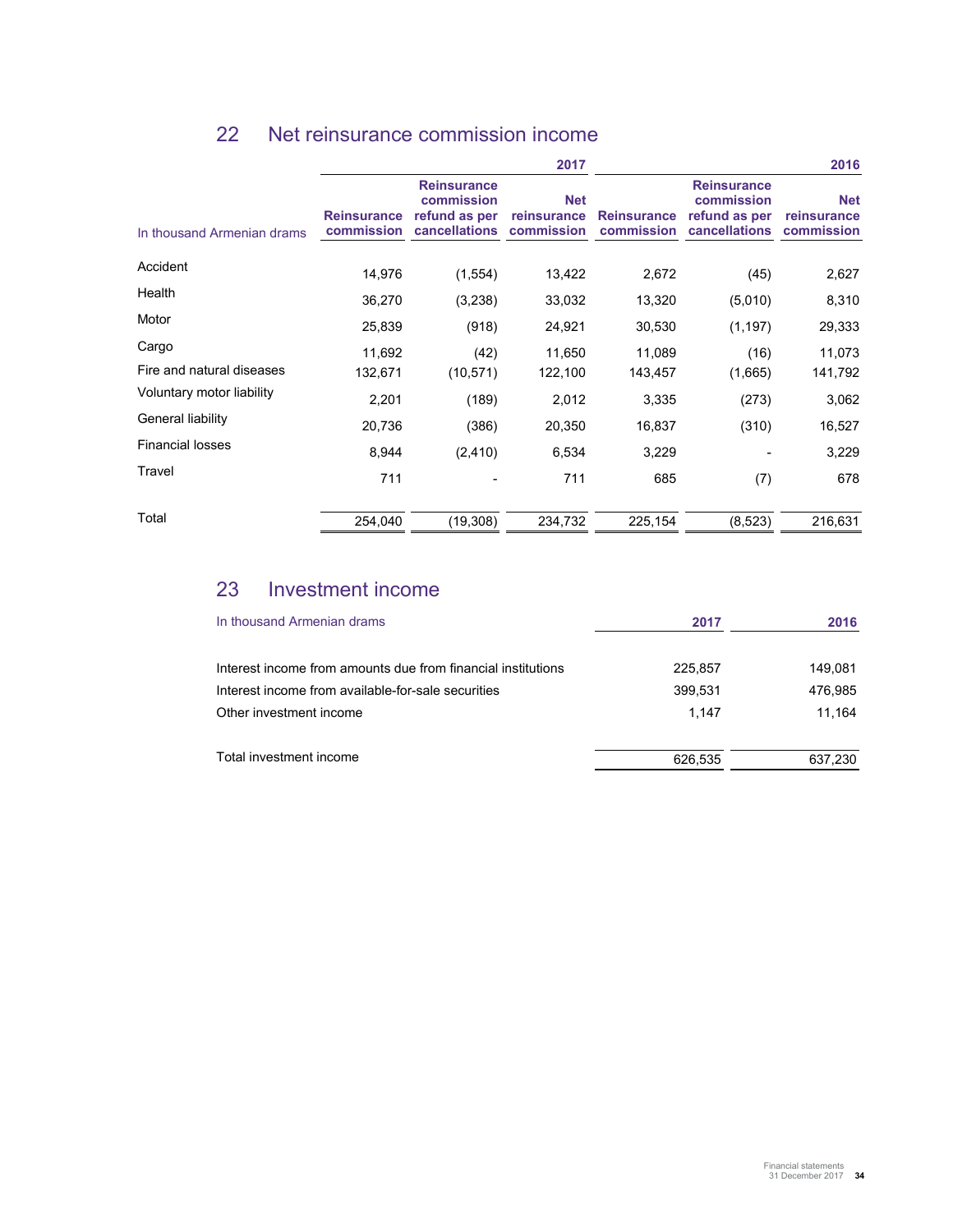|                            |                                  |                                                                    | 2017                                    |                                  |                                                                    | 2016                                    |
|----------------------------|----------------------------------|--------------------------------------------------------------------|-----------------------------------------|----------------------------------|--------------------------------------------------------------------|-----------------------------------------|
| In thousand Armenian drams | <b>Reinsurance</b><br>commission | <b>Reinsurance</b><br>commission<br>refund as per<br>cancellations | <b>Net</b><br>reinsurance<br>commission | <b>Reinsurance</b><br>commission | <b>Reinsurance</b><br>commission<br>refund as per<br>cancellations | <b>Net</b><br>reinsurance<br>commission |
| Accident                   | 14,976                           | (1,554)                                                            | 13,422                                  | 2,672                            | (45)                                                               | 2,627                                   |
| Health                     | 36,270                           | (3,238)                                                            | 33,032                                  | 13,320                           | (5,010)                                                            | 8,310                                   |
| Motor                      | 25,839                           | (918)                                                              | 24,921                                  | 30,530                           | (1, 197)                                                           | 29,333                                  |
| Cargo                      | 11,692                           | (42)                                                               | 11,650                                  | 11,089                           | (16)                                                               | 11,073                                  |
| Fire and natural diseases  | 132,671                          | (10, 571)                                                          | 122,100                                 | 143,457                          | (1,665)                                                            | 141,792                                 |
| Voluntary motor liability  | 2,201                            | (189)                                                              | 2,012                                   | 3,335                            | (273)                                                              | 3,062                                   |
| General liability          | 20,736                           | (386)                                                              | 20,350                                  | 16,837                           | (310)                                                              | 16,527                                  |
| <b>Financial losses</b>    | 8,944                            | (2, 410)                                                           | 6,534                                   | 3,229                            |                                                                    | 3,229                                   |
| Travel                     | 711                              |                                                                    | 711                                     | 685                              | (7)                                                                | 678                                     |
| Total                      | 254,040                          | (19, 308)                                                          | 234,732                                 | 225,154                          | (8,523)                                                            | 216,631                                 |

## 22 Net reinsurance commission income

## 23 Investment income

| In thousand Armenian drams                                   | 2017    | 2016    |
|--------------------------------------------------------------|---------|---------|
| Interest income from amounts due from financial institutions | 225.857 | 149.081 |
| Interest income from available-for-sale securities           | 399,531 | 476.985 |
| Other investment income                                      | 1.147   | 11.164  |
| Total investment income                                      | 626,535 | 637,230 |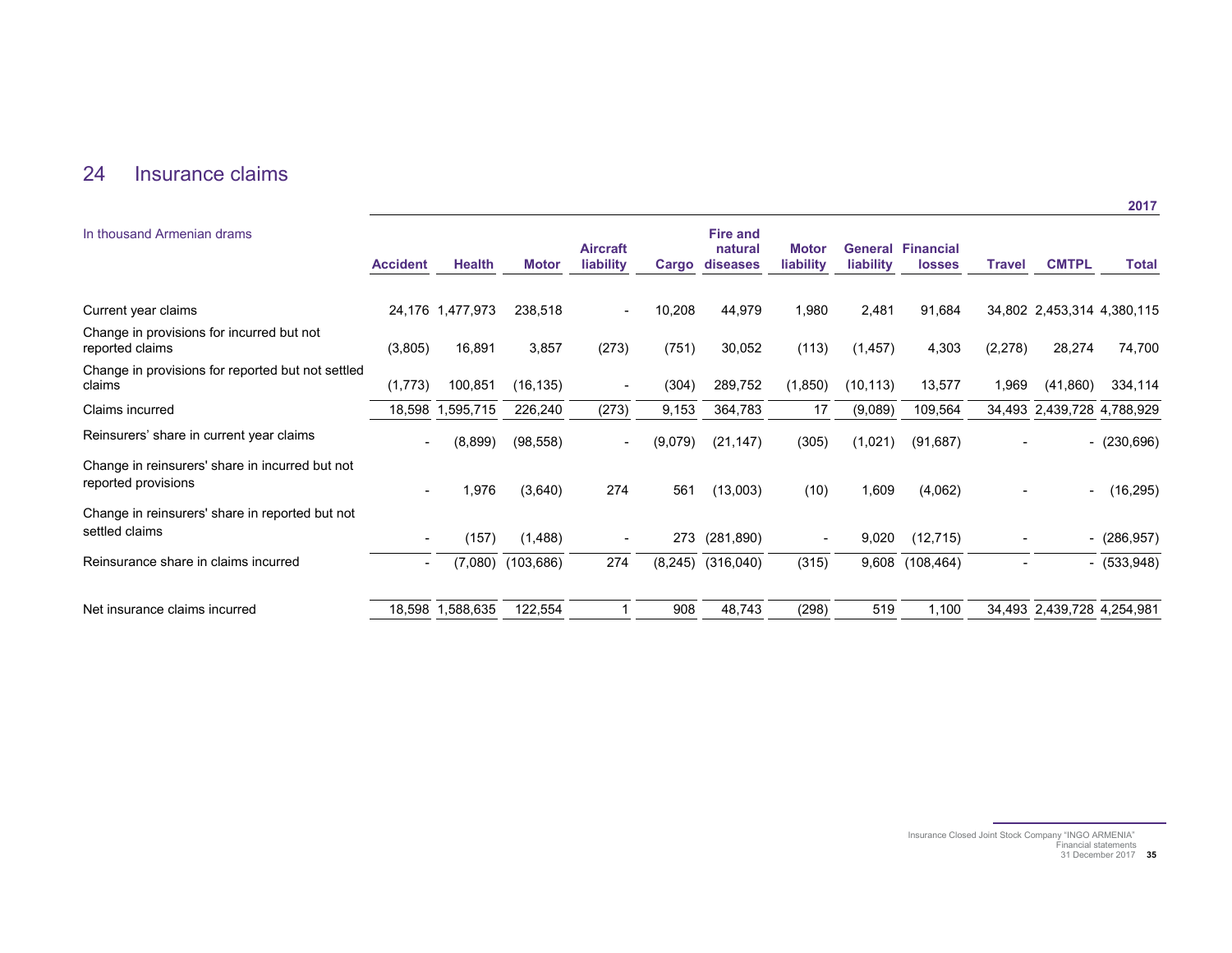## 24 Insurance claims

| <b>Accident</b> | <b>Health</b> | <b>Motor</b>                                                | <b>Aircraft</b><br>liability |         | <b>Fire and</b><br>natural<br>diseases | <b>Motor</b><br>liability         | liability | <b>losses</b> | Travel                            | <b>CMTPL</b> | <b>Total</b>                                                                           |
|-----------------|---------------|-------------------------------------------------------------|------------------------------|---------|----------------------------------------|-----------------------------------|-----------|---------------|-----------------------------------|--------------|----------------------------------------------------------------------------------------|
|                 |               | 238,518                                                     |                              | 10,208  | 44,979                                 | 1,980                             | 2,481     | 91,684        |                                   |              |                                                                                        |
| (3,805)         | 16,891        | 3,857                                                       | (273)                        | (751)   | 30,052                                 | (113)                             | (1, 457)  | 4,303         | (2, 278)                          | 28,274       | 74,700                                                                                 |
| (1,773)         | 100,851       | (16, 135)                                                   |                              | (304)   | 289,752                                | (1,850)                           | (10, 113) | 13,577        | 1,969                             | (41,860)     | 334,114                                                                                |
|                 |               | 226,240                                                     | (273)                        | 9,153   | 364,783                                | 17                                | (9,089)   | 109,564       |                                   |              |                                                                                        |
|                 | (8,899)       | (98, 558)                                                   | $\overline{\phantom{a}}$     | (9,079) | (21, 147)                              | (305)                             | (1,021)   | (91, 687)     |                                   |              | $-(230,696)$                                                                           |
|                 | 1,976         | (3,640)                                                     | 274                          | 561     | (13,003)                               | (10)                              | 1,609     | (4,062)       |                                   | -            | (16, 295)                                                                              |
|                 | (157)         | (1,488)                                                     |                              |         |                                        | $\overline{\phantom{a}}$          | 9,020     | (12, 715)     |                                   |              | $-(286,957)$                                                                           |
|                 | (7.080)       | (103, 686)                                                  | 274                          |         | (316, 040)                             | (315)                             |           | (108, 464)    |                                   |              | $- (533,948)$                                                                          |
|                 |               | 122,554                                                     |                              | 908     | 48,743                                 | (298)                             | 519       | 1,100         |                                   |              |                                                                                        |
|                 |               | 24,176 1,477,973<br>18,598<br>1,595,715<br>18,598 1,588,635 |                              |         |                                        | Cargo<br>273 (281,890)<br>(8,245) |           |               | <b>General Financial</b><br>9,608 |              | 34,802 2,453,314 4,380,115<br>34,493 2,439,728 4,788,929<br>34,493 2,439,728 4,254,981 |

Insurance Closed Joint Stock Company "INGO ARMENIA" Financial statements 31 December 2017 **35**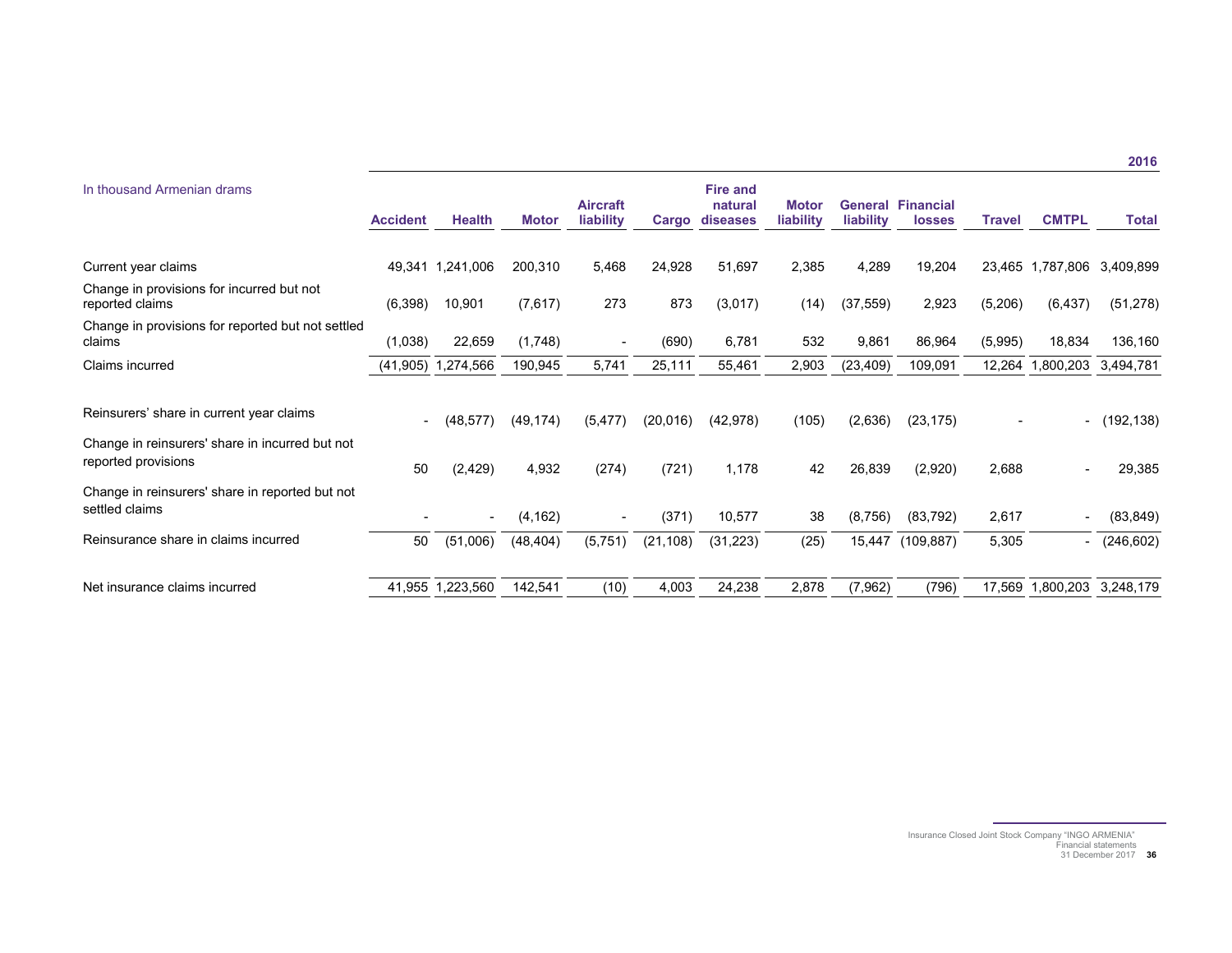| In thousand Armenian drams                                             | <b>Accident</b> | <b>Health</b>            | <b>Motor</b> | <b>Aircraft</b><br>liability | Cargo     | <b>Fire and</b><br>natural<br>diseases | <b>Motor</b><br>liability | liability | <b>General Financial</b><br><b>losses</b> | Travel  | <b>CMTPL</b>     | <b>Total</b> |
|------------------------------------------------------------------------|-----------------|--------------------------|--------------|------------------------------|-----------|----------------------------------------|---------------------------|-----------|-------------------------------------------|---------|------------------|--------------|
|                                                                        |                 |                          |              |                              |           |                                        |                           |           |                                           |         |                  |              |
| Current year claims                                                    |                 | 49,341 1,241,006         | 200,310      | 5,468                        | 24,928    | 51,697                                 | 2,385                     | 4,289     | 19,204                                    |         | 23,465 1,787,806 | 3,409,899    |
| Change in provisions for incurred but not<br>reported claims           | (6,398)         | 10,901                   | (7,617)      | 273                          | 873       | (3,017)                                | (14)                      | (37, 559) | 2,923                                     | (5,206) | (6, 437)         | (51, 278)    |
| Change in provisions for reported but not settled<br>claims            | (1,038)         | 22,659                   | (1,748)      | $\overline{\phantom{a}}$     | (690)     | 6,781                                  | 532                       | 9,861     | 86,964                                    | (5,995) | 18,834           | 136,160      |
| Claims incurred                                                        | (41, 905)       | 1,274,566                | 190,945      | 5,741                        | 25,111    | 55,461                                 | 2,903                     | (23, 409) | 109,091                                   |         | 12,264 1,800,203 | 3,494,781    |
| Reinsurers' share in current year claims                               |                 | (48, 577)                | (49, 174)    | (5, 477)                     | (20,016)  | (42, 978)                              | (105)                     | (2,636)   | (23, 175)                                 |         |                  | (192, 138)   |
| Change in reinsurers' share in incurred but not<br>reported provisions | 50              | (2, 429)                 | 4,932        | (274)                        | (721)     | 1,178                                  | 42                        | 26,839    | (2,920)                                   | 2,688   |                  | 29,385       |
| Change in reinsurers' share in reported but not<br>settled claims      |                 | $\overline{\phantom{a}}$ | (4, 162)     |                              | (371)     | 10,577                                 | 38                        | (8,756)   | (83, 792)                                 | 2,617   |                  | (83, 849)    |
| Reinsurance share in claims incurred                                   | 50              | (51,006)                 | (48, 404)    | (5,751)                      | (21, 108) | (31, 223)                              | (25)                      | 15,447    | (109, 887)                                | 5,305   | $\blacksquare$   | (246, 602)   |
| Net insurance claims incurred                                          |                 | 41,955 1,223,560         | 142,541      | (10)                         | 4,003     | 24,238                                 | 2,878                     | (7, 962)  | (796)                                     | 17,569  | .800,203         | 3,248,179    |

Insurance Closed Joint Stock Company "INGO ARMENIA" Financial statements 31 December 2017 **36**

**2016**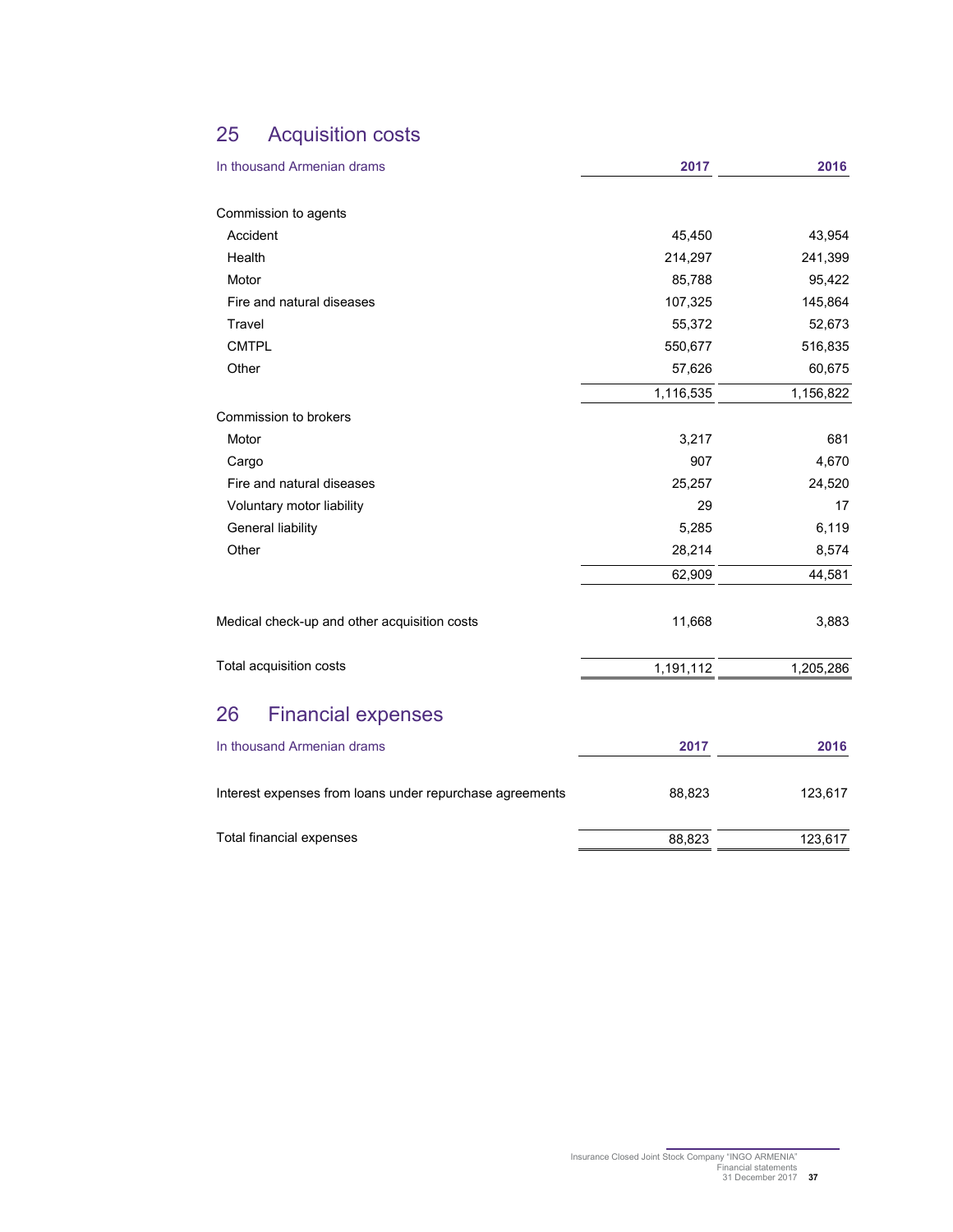## 25 Acquisition costs

| In thousand Armenian drams                               | 2017      | 2016      |
|----------------------------------------------------------|-----------|-----------|
|                                                          |           |           |
| Commission to agents                                     |           |           |
| Accident                                                 | 45,450    | 43,954    |
| Health                                                   | 214,297   | 241,399   |
| Motor                                                    | 85,788    | 95,422    |
| Fire and natural diseases                                | 107,325   | 145,864   |
| Travel                                                   | 55,372    | 52,673    |
| <b>CMTPL</b>                                             | 550,677   | 516,835   |
| Other                                                    | 57,626    | 60,675    |
|                                                          | 1,116,535 | 1,156,822 |
| Commission to brokers                                    |           |           |
| Motor                                                    | 3,217     | 681       |
| Cargo                                                    | 907       | 4,670     |
| Fire and natural diseases                                | 25,257    | 24,520    |
| Voluntary motor liability                                | 29        | 17        |
| General liability                                        | 5,285     | 6,119     |
| Other                                                    | 28,214    | 8,574     |
|                                                          | 62,909    | 44,581    |
| Medical check-up and other acquisition costs             | 11,668    | 3,883     |
| Total acquisition costs                                  | 1,191,112 | 1,205,286 |
| 26<br><b>Financial expenses</b>                          |           |           |
| In thousand Armenian drams                               | 2017      | 2016      |
| Interest expenses from loans under repurchase agreements | 88,823    | 123,617   |

Total financial expenses 88,823 123,617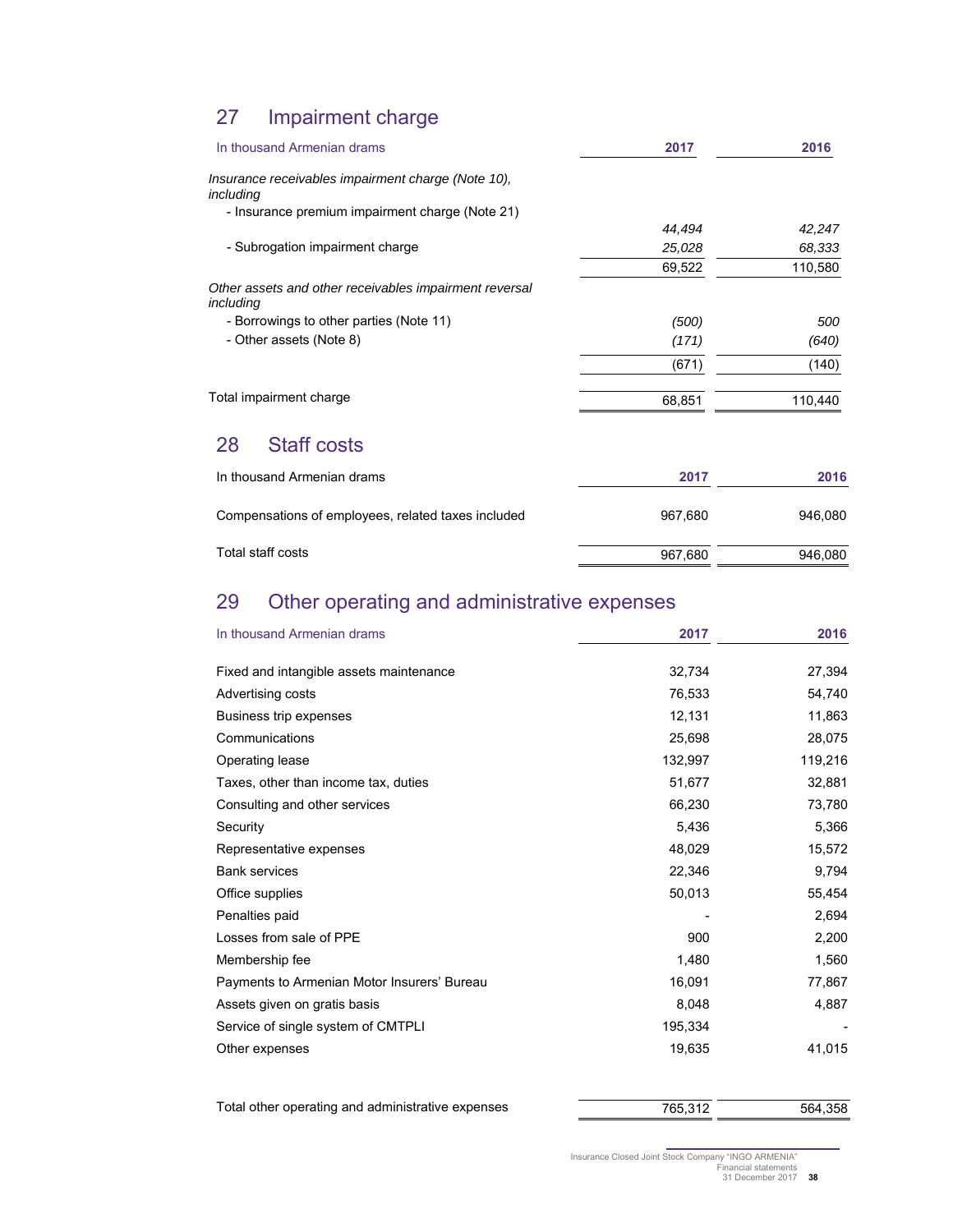## 27 Impairment charge

| In thousand Armenian drams                                          | 2017    | 2016    |
|---------------------------------------------------------------------|---------|---------|
| Insurance receivables impairment charge (Note 10),<br>including     |         |         |
| - Insurance premium impairment charge (Note 21)                     |         |         |
|                                                                     | 44,494  | 42,247  |
| - Subrogation impairment charge                                     | 25,028  | 68,333  |
|                                                                     | 69,522  | 110,580 |
| Other assets and other receivables impairment reversal<br>including |         |         |
| - Borrowings to other parties (Note 11)                             | (500)   | 500     |
| - Other assets (Note 8)                                             | (171)   | (640)   |
|                                                                     | (671)   | (140)   |
| Total impairment charge                                             | 68,851  | 110,440 |
| <b>Staff costs</b><br>28                                            |         |         |
| In thousand Armenian drams                                          | 2017    | 2016    |
| Compensations of employees, related taxes included                  | 967,680 | 946,080 |

Total staff costs and the state of the state of the staff costs and the staff costs and the staff costs and the staff costs and the staff costs and the staff costs and the staff costs and the staff costs and the staff cost

## 29 Other operating and administrative expenses

| In thousand Armenian drams                  | 2017    | 2016    |
|---------------------------------------------|---------|---------|
| Fixed and intangible assets maintenance     | 32,734  | 27,394  |
| Advertising costs                           | 76,533  | 54,740  |
| Business trip expenses                      | 12,131  | 11,863  |
| Communications                              | 25,698  | 28,075  |
| Operating lease                             | 132,997 | 119,216 |
| Taxes, other than income tax, duties        | 51,677  | 32,881  |
| Consulting and other services               | 66,230  | 73,780  |
| Security                                    | 5,436   | 5,366   |
| Representative expenses                     | 48,029  | 15,572  |
| <b>Bank services</b>                        | 22,346  | 9,794   |
| Office supplies                             | 50,013  | 55,454  |
| Penalties paid                              |         | 2,694   |
| Losses from sale of PPE                     | 900     | 2,200   |
| Membership fee                              | 1,480   | 1,560   |
| Payments to Armenian Motor Insurers' Bureau | 16,091  | 77,867  |
| Assets given on gratis basis                | 8,048   | 4,887   |
| Service of single system of CMTPLI          | 195,334 |         |
| Other expenses                              | 19,635  | 41,015  |

Total other operating and administrative expenses 765,312 765,312 564,358

Insurance Closed Joint Stock Company "INGO ARMENIA" Financial statements 31 December 2017 **38**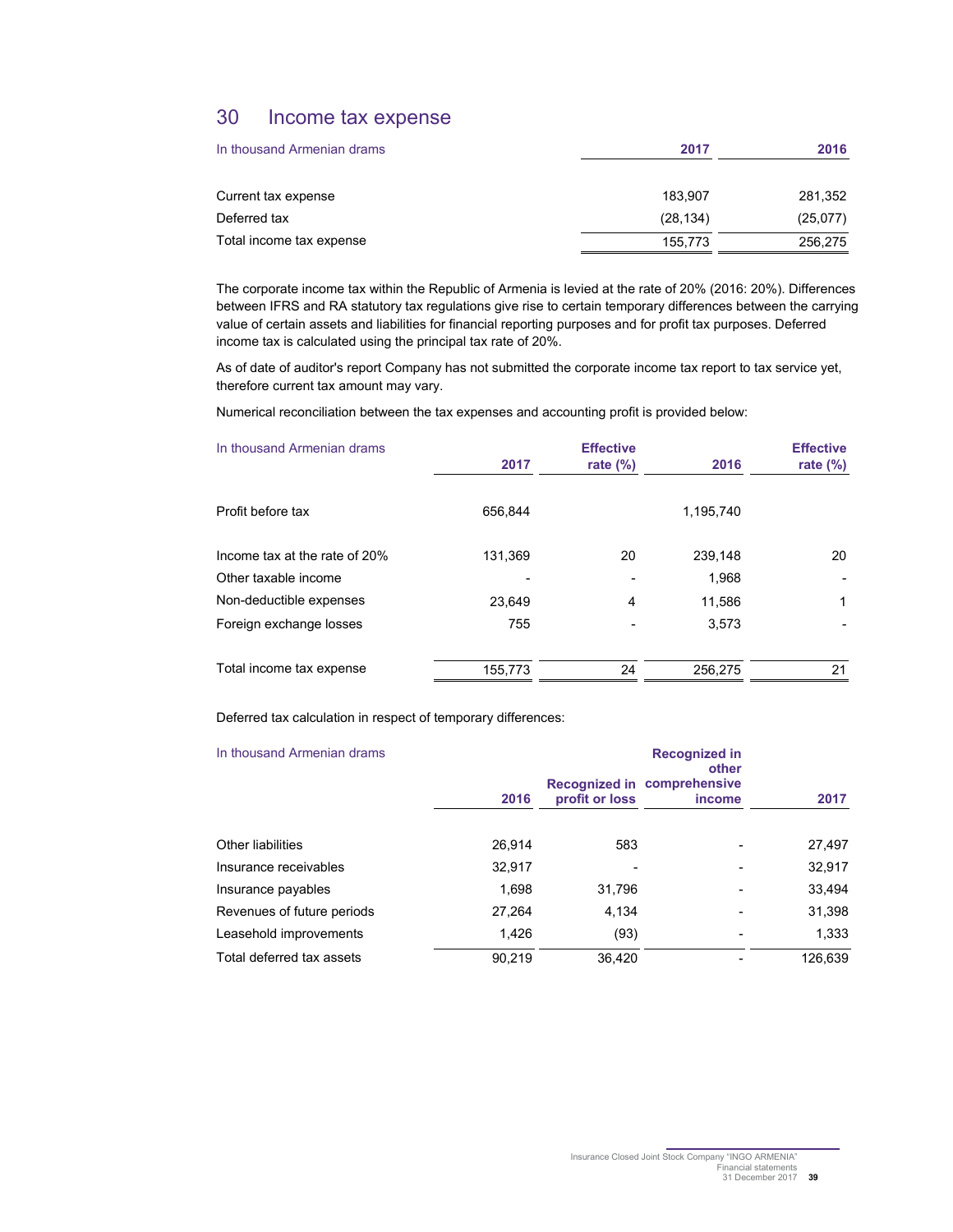## 30 Income tax expense

| In thousand Armenian drams | 2017      | 2016     |
|----------------------------|-----------|----------|
| Current tax expense        | 183.907   | 281,352  |
| Deferred tax               | (28, 134) | (25,077) |
| Total income tax expense   | 155,773   | 256,275  |

The corporate income tax within the Republic of Armenia is levied at the rate of 20% (2016: 20%). Differences between IFRS and RA statutory tax regulations give rise to certain temporary differences between the carrying value of certain assets and liabilities for financial reporting purposes and for profit tax purposes. Deferred income tax is calculated using the principal tax rate of 20%.

As of date of auditor's report Company has not submitted the corporate income tax report to tax service yet, therefore current tax amount may vary.

Numerical reconciliation between the tax expenses and accounting profit is provided below:

| In thousand Armenian drams    |         | <b>Effective</b> |           | <b>Effective</b> |
|-------------------------------|---------|------------------|-----------|------------------|
|                               | 2017    | rate $(\%)$      | 2016      | rate $(\%)$      |
|                               |         |                  |           |                  |
| Profit before tax             | 656.844 |                  | 1,195,740 |                  |
|                               |         |                  |           |                  |
| Income tax at the rate of 20% | 131,369 | 20               | 239,148   | 20               |
| Other taxable income          |         |                  | 1,968     |                  |
| Non-deductible expenses       | 23.649  | 4                | 11,586    | 1                |
| Foreign exchange losses       | 755     |                  | 3,573     |                  |
|                               |         |                  |           |                  |
| Total income tax expense      | 155,773 | 24               | 256.275   | 21               |

Deferred tax calculation in respect of temporary differences:

| In thousand Armenian drams |        | <b>Recognized in</b><br>other |                                              |         |
|----------------------------|--------|-------------------------------|----------------------------------------------|---------|
|                            | 2016   | profit or loss                | Recognized in comprehensive<br><i>income</i> | 2017    |
| Other liabilities          | 26,914 | 583                           |                                              | 27,497  |
| Insurance receivables      | 32.917 |                               |                                              | 32,917  |
| Insurance payables         | 1.698  | 31.796                        |                                              | 33,494  |
| Revenues of future periods | 27,264 | 4.134                         |                                              | 31,398  |
| Leasehold improvements     | 1.426  | (93)                          |                                              | 1,333   |
| Total deferred tax assets  | 90,219 | 36.420                        |                                              | 126,639 |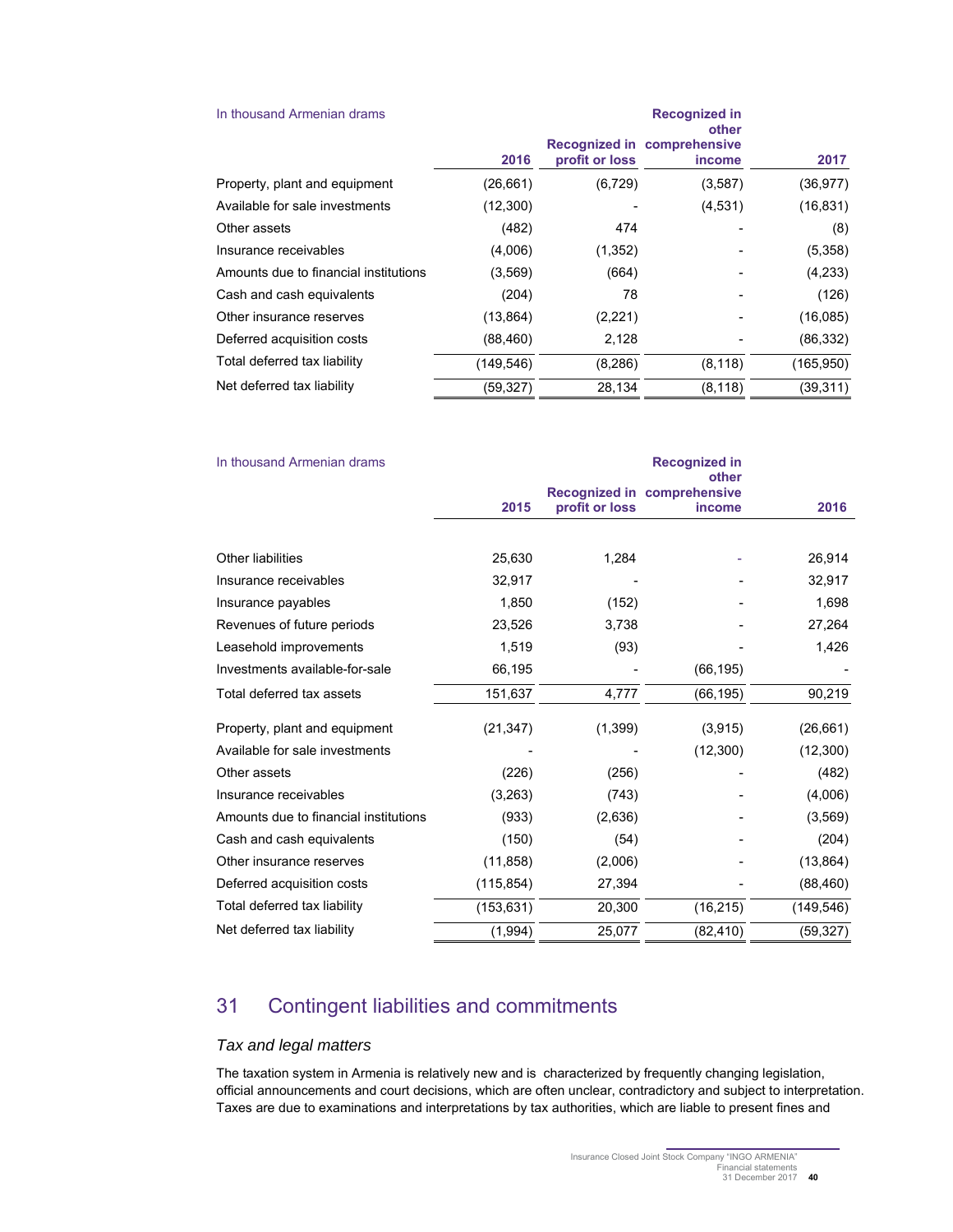| In thousand Armenian drams            |            |                | <b>Recognized in</b><br>other                |            |
|---------------------------------------|------------|----------------|----------------------------------------------|------------|
|                                       | 2016       | profit or loss | Recognized in comprehensive<br><i>income</i> | 2017       |
| Property, plant and equipment         | (26, 661)  | (6, 729)       | (3,587)                                      | (36, 977)  |
| Available for sale investments        | (12,300)   |                | (4,531)                                      | (16, 831)  |
| Other assets                          | (482)      | 474            |                                              | (8)        |
| Insurance receivables                 | (4,006)    | (1, 352)       |                                              | (5,358)    |
| Amounts due to financial institutions | (3.569)    | (664)          |                                              | (4,233)    |
| Cash and cash equivalents             | (204)      | 78             |                                              | (126)      |
| Other insurance reserves              | (13, 864)  | (2,221)        |                                              | (16,085)   |
| Deferred acquisition costs            | (88, 460)  | 2,128          |                                              | (86, 332)  |
| Total deferred tax liability          | (149, 546) | (8, 286)       | (8, 118)                                     | (165, 950) |
| Net deferred tax liability            | (59, 327)  | 28.134         | (8, 118)                                     | (39, 311)  |

| In thousand Armenian drams            | <b>Recognized in</b><br>other |                |                                       |            |  |
|---------------------------------------|-------------------------------|----------------|---------------------------------------|------------|--|
|                                       | 2015                          | profit or loss | Recognized in comprehensive<br>income | 2016       |  |
|                                       |                               |                |                                       |            |  |
| <b>Other liabilities</b>              | 25,630                        | 1,284          |                                       | 26,914     |  |
| Insurance receivables                 | 32,917                        |                |                                       | 32,917     |  |
| Insurance payables                    | 1,850                         | (152)          |                                       | 1,698      |  |
| Revenues of future periods            | 23,526                        | 3,738          |                                       | 27,264     |  |
| Leasehold improvements                | 1,519                         | (93)           |                                       | 1,426      |  |
| Investments available-for-sale        | 66,195                        |                | (66, 195)                             |            |  |
| Total deferred tax assets             | 151,637                       | 4,777          | (66, 195)                             | 90,219     |  |
| Property, plant and equipment         | (21, 347)                     | (1,399)        | (3,915)                               | (26, 661)  |  |
| Available for sale investments        |                               |                | (12, 300)                             | (12, 300)  |  |
| Other assets                          | (226)                         | (256)          |                                       | (482)      |  |
| Insurance receivables                 | (3,263)                       | (743)          |                                       | (4,006)    |  |
| Amounts due to financial institutions | (933)                         | (2,636)        |                                       | (3, 569)   |  |
| Cash and cash equivalents             | (150)                         | (54)           |                                       | (204)      |  |
| Other insurance reserves              | (11, 858)                     | (2,006)        |                                       | (13, 864)  |  |
| Deferred acquisition costs            | (115, 854)                    | 27,394         |                                       | (88, 460)  |  |
| Total deferred tax liability          | (153, 631)                    | 20,300         | (16, 215)                             | (149, 546) |  |
| Net deferred tax liability            | (1,994)                       | 25,077         | (82, 410)                             | (59, 327)  |  |

## 31 Contingent liabilities and commitments

## Tax and legal matters

The taxation system in Armenia is relatively new and is characterized by frequently changing legislation, official announcements and court decisions, which are often unclear, contradictory and subject to interpretation. Taxes are due to examinations and interpretations by tax authorities, which are liable to present fines and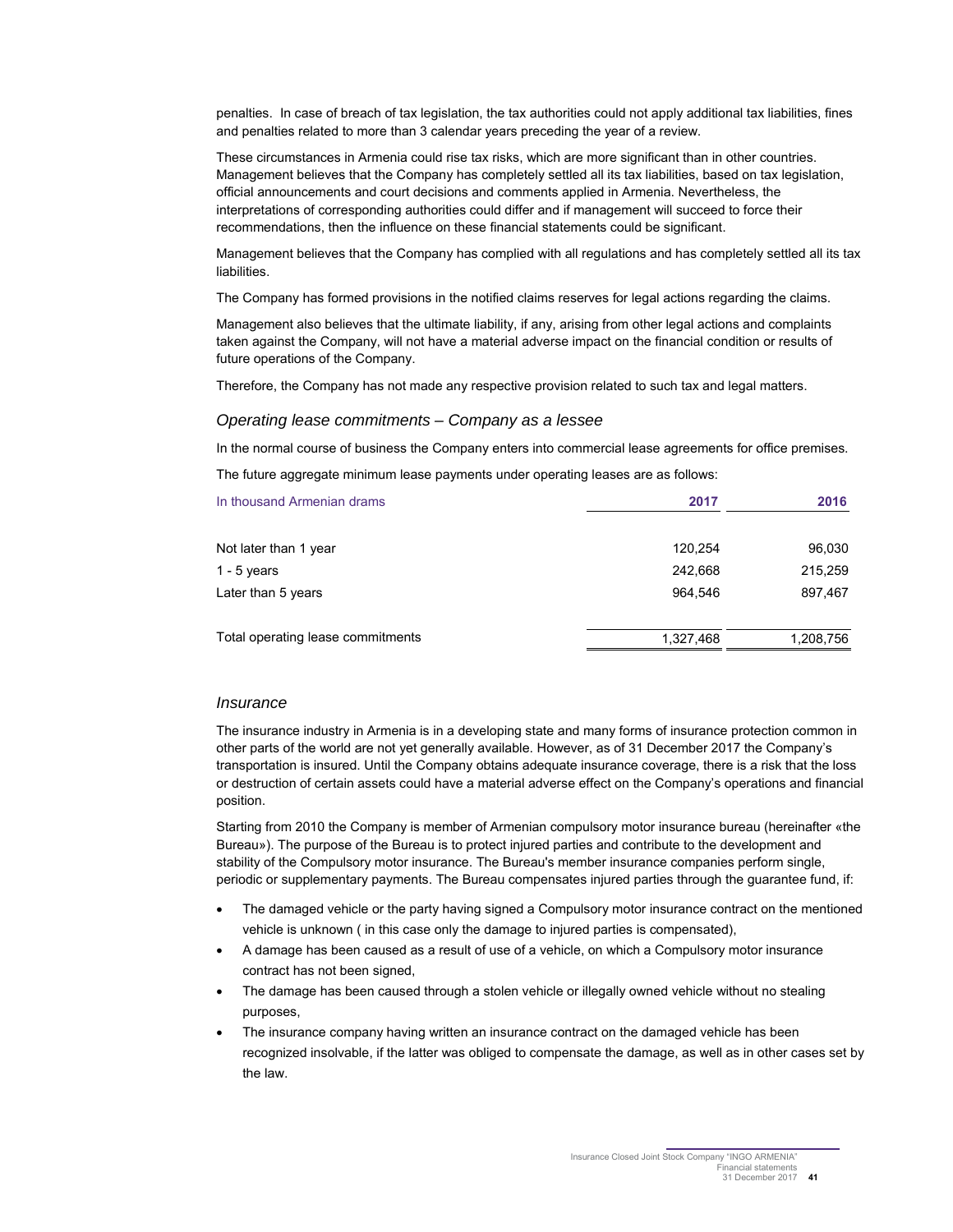penalties. In case of breach of tax legislation, the tax authorities could not apply additional tax liabilities, fines and penalties related to more than 3 calendar years preceding the year of a review.

These circumstances in Armenia could rise tax risks, which are more significant than in other countries. Management believes that the Company has completely settled all its tax liabilities, based on tax legislation, official announcements and court decisions and comments applied in Armenia. Nevertheless, the interpretations of corresponding authorities could differ and if management will succeed to force their recommendations, then the influence on these financial statements could be significant.

Management believes that the Company has complied with all regulations and has completely settled all its tax liabilities.

The Company has formed provisions in the notified claims reserves for legal actions regarding the claims.

Management also believes that the ultimate liability, if any, arising from other legal actions and complaints taken against the Company, will not have a material adverse impact on the financial condition or results of future operations of the Company.

Therefore, the Company has not made any respective provision related to such tax and legal matters.

#### Operating lease commitments – Company as a lessee

In the normal course of business the Company enters into commercial lease agreements for office premises.

The future aggregate minimum lease payments under operating leases are as follows:

| In thousand Armenian drams        | 2017      | 2016      |
|-----------------------------------|-----------|-----------|
| Not later than 1 year             | 120,254   | 96,030    |
| 1 - 5 years                       | 242,668   | 215,259   |
| Later than 5 years                | 964,546   | 897,467   |
| Total operating lease commitments | 1,327,468 | 1,208,756 |

#### **Insurance**

The insurance industry in Armenia is in a developing state and many forms of insurance protection common in other parts of the world are not yet generally available. However, as of 31 December 2017 the Company's transportation is insured. Until the Company obtains adequate insurance coverage, there is a risk that the loss or destruction of certain assets could have a material adverse effect on the Company's operations and financial position.

Starting from 2010 the Company is member of Armenian compulsory motor insurance bureau (hereinafter «the Bureau»). The purpose of the Bureau is to protect injured parties and contribute to the development and stability of the Compulsory motor insurance. The Bureau's member insurance companies perform single, periodic or supplementary payments. The Bureau compensates injured parties through the guarantee fund, if:

- The damaged vehicle or the party having signed a Compulsory motor insurance contract on the mentioned vehicle is unknown ( in this case only the damage to injured parties is compensated),
- A damage has been caused as a result of use of a vehicle, on which a Compulsory motor insurance contract has not been signed,
- The damage has been caused through a stolen vehicle or illegally owned vehicle without no stealing purposes,
- The insurance company having written an insurance contract on the damaged vehicle has been recognized insolvable, if the latter was obliged to compensate the damage, as well as in other cases set by the law.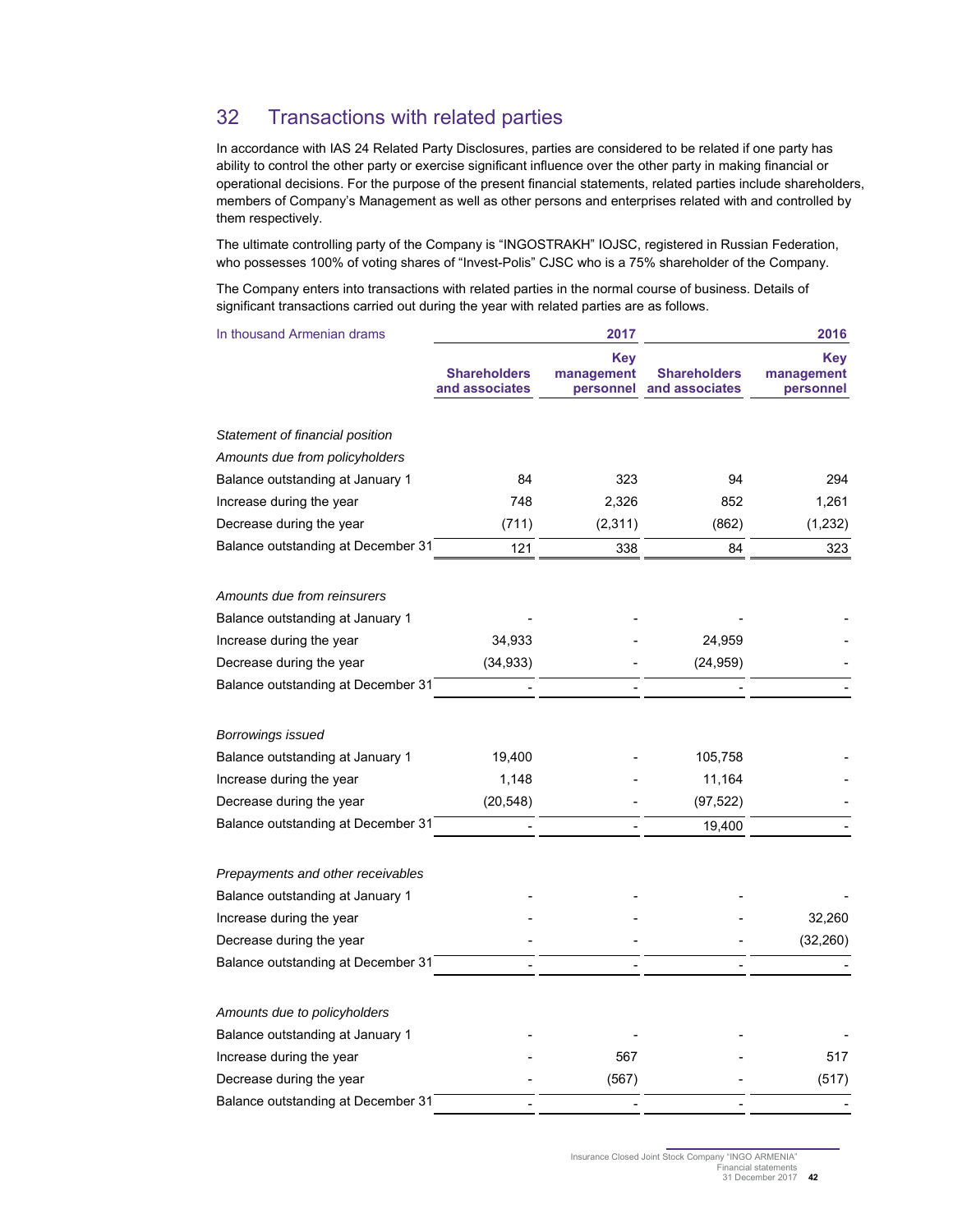## 32 Transactions with related parties

In accordance with IAS 24 Related Party Disclosures, parties are considered to be related if one party has ability to control the other party or exercise significant influence over the other party in making financial or operational decisions. For the purpose of the present financial statements, related parties include shareholders, members of Company's Management as well as other persons and enterprises related with and controlled by them respectively.

The ultimate controlling party of the Company is "INGOSTRAKH" IOJSC, registered in Russian Federation, who possesses 100% of voting shares of "Invest-Polis" CJSC who is a 75% shareholder of the Company.

The Company enters into transactions with related parties in the normal course of business. Details of significant transactions carried out during the year with related parties are as follows.

| In thousand Armenian drams         |                                       | 2017                                  |                                       | 2016                                  |
|------------------------------------|---------------------------------------|---------------------------------------|---------------------------------------|---------------------------------------|
|                                    | <b>Shareholders</b><br>and associates | <b>Key</b><br>management<br>personnel | <b>Shareholders</b><br>and associates | <b>Key</b><br>management<br>personnel |
| Statement of financial position    |                                       |                                       |                                       |                                       |
| Amounts due from policyholders     |                                       |                                       |                                       |                                       |
| Balance outstanding at January 1   | 84                                    | 323                                   | 94                                    | 294                                   |
| Increase during the year           | 748                                   | 2,326                                 | 852                                   | 1,261                                 |
| Decrease during the year           | (711)                                 | (2, 311)                              | (862)                                 | (1, 232)                              |
| Balance outstanding at December 31 | 121                                   | 338                                   | 84                                    | 323                                   |
| Amounts due from reinsurers        |                                       |                                       |                                       |                                       |
| Balance outstanding at January 1   |                                       |                                       |                                       |                                       |
| Increase during the year           | 34,933                                |                                       | 24,959                                |                                       |
| Decrease during the year           | (34, 933)                             |                                       | (24, 959)                             |                                       |
| Balance outstanding at December 31 |                                       |                                       |                                       |                                       |
| Borrowings issued                  |                                       |                                       |                                       |                                       |
| Balance outstanding at January 1   | 19,400                                |                                       | 105,758                               |                                       |
| Increase during the year           | 1,148                                 |                                       | 11,164                                |                                       |
| Decrease during the year           | (20, 548)                             |                                       | (97, 522)                             |                                       |
| Balance outstanding at December 31 |                                       |                                       | 19,400                                |                                       |
| Prepayments and other receivables  |                                       |                                       |                                       |                                       |
| Balance outstanding at January 1   |                                       |                                       |                                       |                                       |
| Increase during the year           |                                       |                                       |                                       | 32,260                                |
| Decrease during the year           |                                       |                                       |                                       | (32, 260)                             |
| Balance outstanding at December 31 |                                       |                                       |                                       |                                       |
| Amounts due to policyholders       |                                       |                                       |                                       |                                       |
| Balance outstanding at January 1   |                                       |                                       |                                       |                                       |
| Increase during the year           |                                       | 567                                   |                                       | 517                                   |
| Decrease during the year           |                                       | (567)                                 |                                       | (517)                                 |
| Balance outstanding at December 31 |                                       |                                       |                                       |                                       |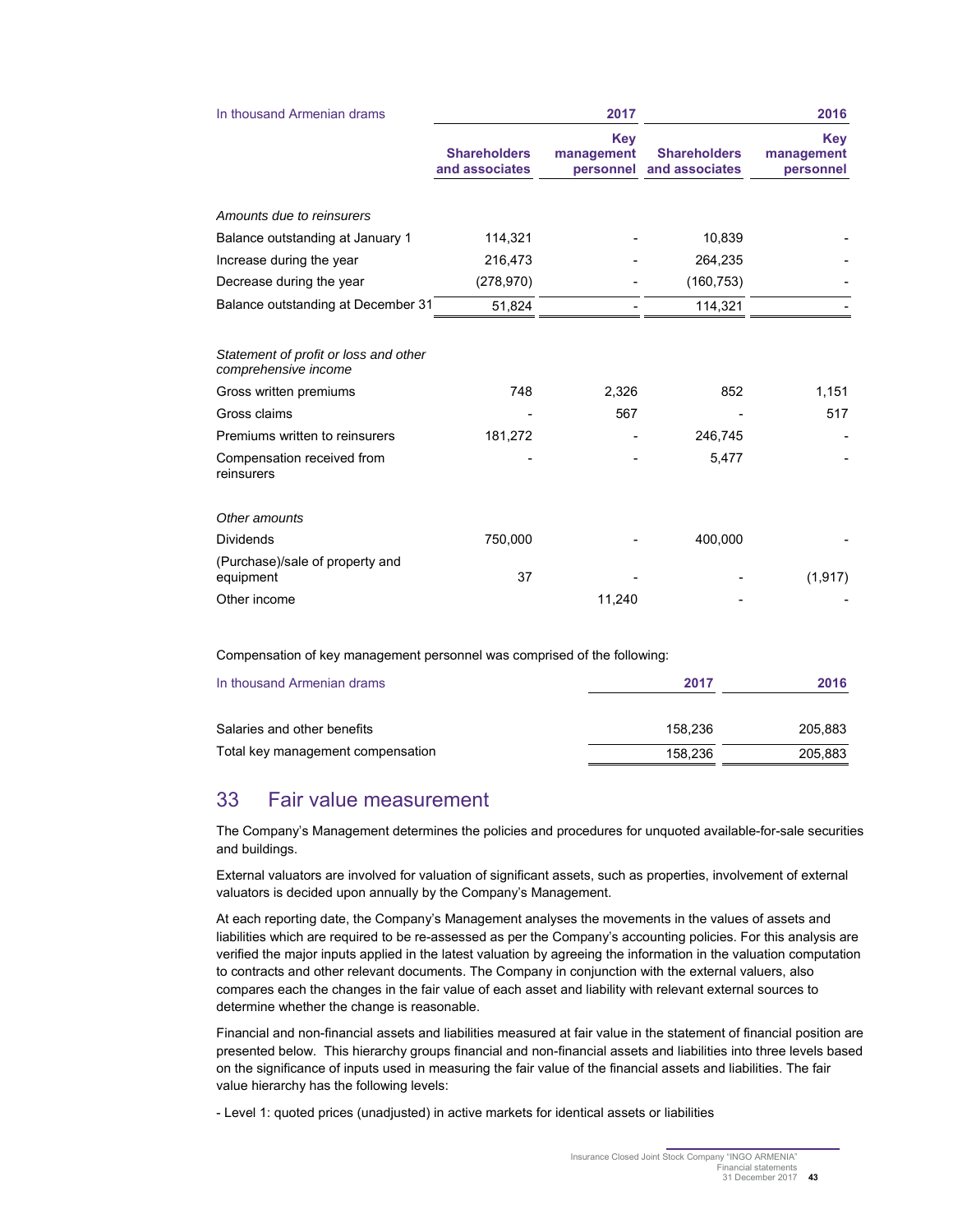| In thousand Armenian drams                                    |                                       | 2017                           | 2016                                  |                                |  |
|---------------------------------------------------------------|---------------------------------------|--------------------------------|---------------------------------------|--------------------------------|--|
|                                                               | <b>Shareholders</b><br>and associates | Key<br>management<br>personnel | <b>Shareholders</b><br>and associates | Key<br>management<br>personnel |  |
| Amounts due to reinsurers                                     |                                       |                                |                                       |                                |  |
| Balance outstanding at January 1                              | 114,321                               |                                | 10,839                                |                                |  |
| Increase during the year                                      | 216,473                               |                                | 264,235                               |                                |  |
| Decrease during the year                                      | (278, 970)                            |                                | (160, 753)                            |                                |  |
| Balance outstanding at December 31                            | 51,824                                |                                | 114,321                               |                                |  |
| Statement of profit or loss and other<br>comprehensive income |                                       |                                |                                       |                                |  |
| Gross written premiums                                        | 748                                   | 2,326                          | 852                                   | 1,151                          |  |
| Gross claims                                                  |                                       | 567                            |                                       | 517                            |  |
| Premiums written to reinsurers                                | 181,272                               |                                | 246,745                               |                                |  |
| Compensation received from<br>reinsurers                      |                                       |                                | 5,477                                 |                                |  |
| Other amounts                                                 |                                       |                                |                                       |                                |  |
| <b>Dividends</b>                                              | 750,000                               |                                | 400,000                               |                                |  |
| (Purchase)/sale of property and<br>equipment                  | 37                                    |                                |                                       | (1, 917)                       |  |
| Other income                                                  |                                       | 11,240                         |                                       |                                |  |

Compensation of key management personnel was comprised of the following:

| In thousand Armenian drams        | 2017    | 2016    |  |
|-----------------------------------|---------|---------|--|
| Salaries and other benefits       | 158.236 | 205.883 |  |
| Total key management compensation | 158.236 | 205.883 |  |

## 33 Fair value measurement

The Company's Management determines the policies and procedures for unquoted available-for-sale securities and buildings.

External valuators are involved for valuation of significant assets, such as properties, involvement of external valuators is decided upon annually by the Company's Management.

At each reporting date, the Company's Management analyses the movements in the values of assets and liabilities which are required to be re-assessed as per the Company's accounting policies. For this analysis are verified the major inputs applied in the latest valuation by agreeing the information in the valuation computation to contracts and other relevant documents. The Company in conjunction with the external valuers, also compares each the changes in the fair value of each asset and liability with relevant external sources to determine whether the change is reasonable.

Financial and non-financial assets and liabilities measured at fair value in the statement of financial position are presented below. This hierarchy groups financial and non-financial assets and liabilities into three levels based on the significance of inputs used in measuring the fair value of the financial assets and liabilities. The fair value hierarchy has the following levels:

- Level 1: quoted prices (unadjusted) in active markets for identical assets or liabilities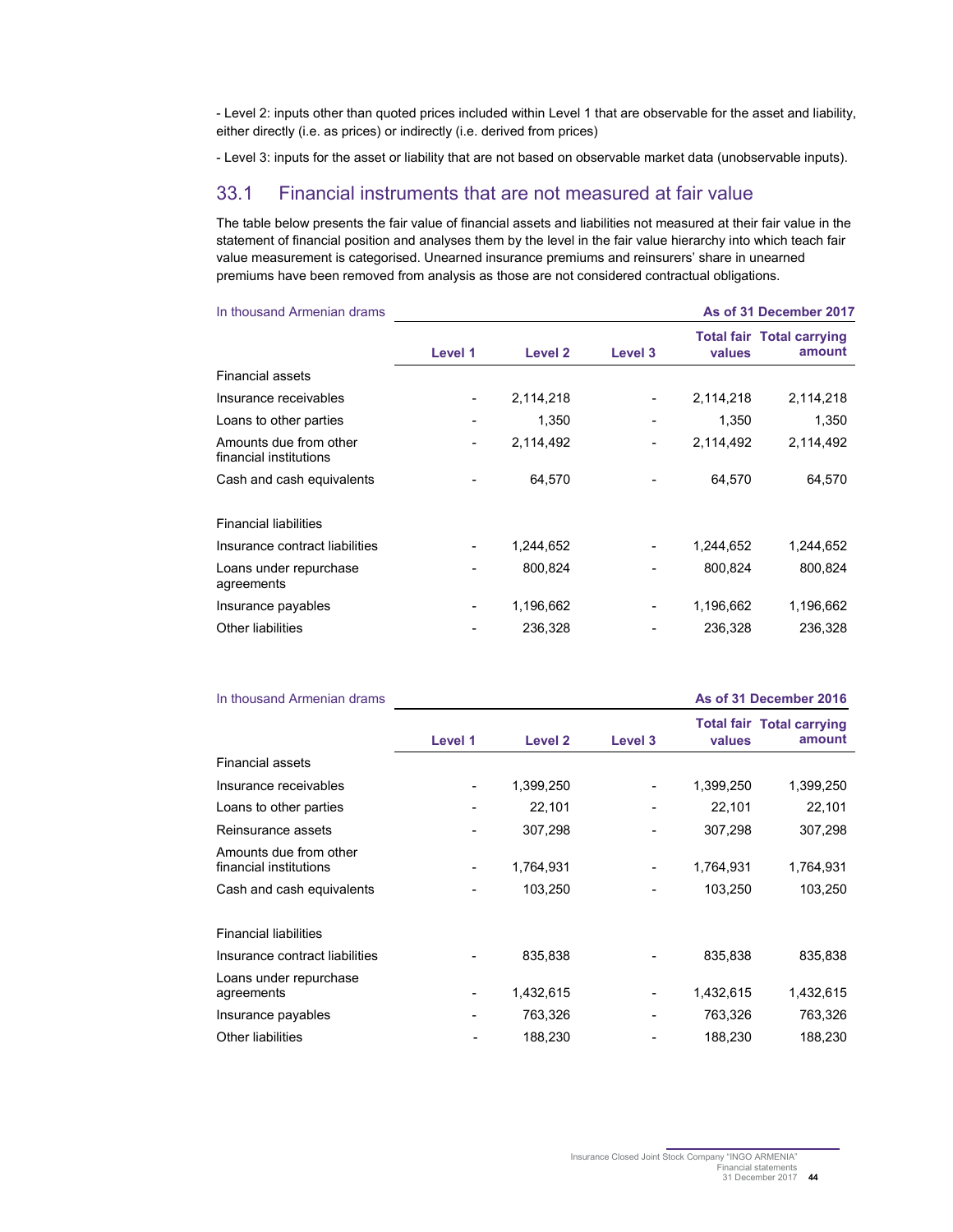- Level 2: inputs other than quoted prices included within Level 1 that are observable for the asset and liability, either directly (i.e. as prices) or indirectly (i.e. derived from prices)

- Level 3: inputs for the asset or liability that are not based on observable market data (unobservable inputs).

## 33.1 Financial instruments that are not measured at fair value

The table below presents the fair value of financial assets and liabilities not measured at their fair value in the statement of financial position and analyses them by the level in the fair value hierarchy into which teach fair value measurement is categorised. Unearned insurance premiums and reinsurers' share in unearned premiums have been removed from analysis as those are not considered contractual obligations.

| In thousand Armenian drams                       |         |           |         |           | As of 31 December 2017                     |
|--------------------------------------------------|---------|-----------|---------|-----------|--------------------------------------------|
|                                                  | Level 1 | Level 2   | Level 3 | values    | <b>Total fair Total carrying</b><br>amount |
| Financial assets                                 |         |           |         |           |                                            |
| Insurance receivables                            |         | 2,114,218 |         | 2,114,218 | 2,114,218                                  |
| Loans to other parties                           |         | 1,350     |         | 1,350     | 1,350                                      |
| Amounts due from other<br>financial institutions |         | 2,114,492 |         | 2,114,492 | 2,114,492                                  |
| Cash and cash equivalents                        |         | 64.570    |         | 64,570    | 64,570                                     |
| <b>Financial liabilities</b>                     |         |           |         |           |                                            |
| Insurance contract liabilities                   |         | 1,244,652 |         | 1,244,652 | 1,244,652                                  |
| Loans under repurchase<br>agreements             |         | 800.824   |         | 800,824   | 800.824                                    |
| Insurance payables                               | -       | 1,196,662 |         | 1,196,662 | 1,196,662                                  |
| Other liabilities                                |         | 236,328   |         | 236,328   | 236,328                                    |

| In thousand Armenian drams                       |                          |                    |         |           | As of 31 December 2016                     |
|--------------------------------------------------|--------------------------|--------------------|---------|-----------|--------------------------------------------|
|                                                  | Level 1                  | Level <sub>2</sub> | Level 3 | values    | <b>Total fair Total carrying</b><br>amount |
| <b>Financial assets</b>                          |                          |                    |         |           |                                            |
| Insurance receivables                            |                          | 1,399,250          |         | 1,399,250 | 1,399,250                                  |
| Loans to other parties                           |                          | 22,101             |         | 22,101    | 22,101                                     |
| Reinsurance assets                               |                          | 307,298            |         | 307,298   | 307,298                                    |
| Amounts due from other<br>financial institutions | $\overline{\phantom{a}}$ | 1,764,931          | -       | 1,764,931 | 1,764,931                                  |
| Cash and cash equivalents                        |                          | 103,250            |         | 103,250   | 103,250                                    |
| <b>Financial liabilities</b>                     |                          |                    |         |           |                                            |
| Insurance contract liabilities                   |                          | 835,838            |         | 835,838   | 835,838                                    |
| Loans under repurchase<br>agreements             |                          | 1,432,615          |         | 1,432,615 | 1,432,615                                  |
| Insurance payables                               |                          | 763,326            |         | 763,326   | 763,326                                    |
| <b>Other liabilities</b>                         |                          | 188,230            |         | 188,230   | 188,230                                    |

Insurance Closed Joint Stock Company "INGO ARMENIA" Financial statements 31 December 2017 **44**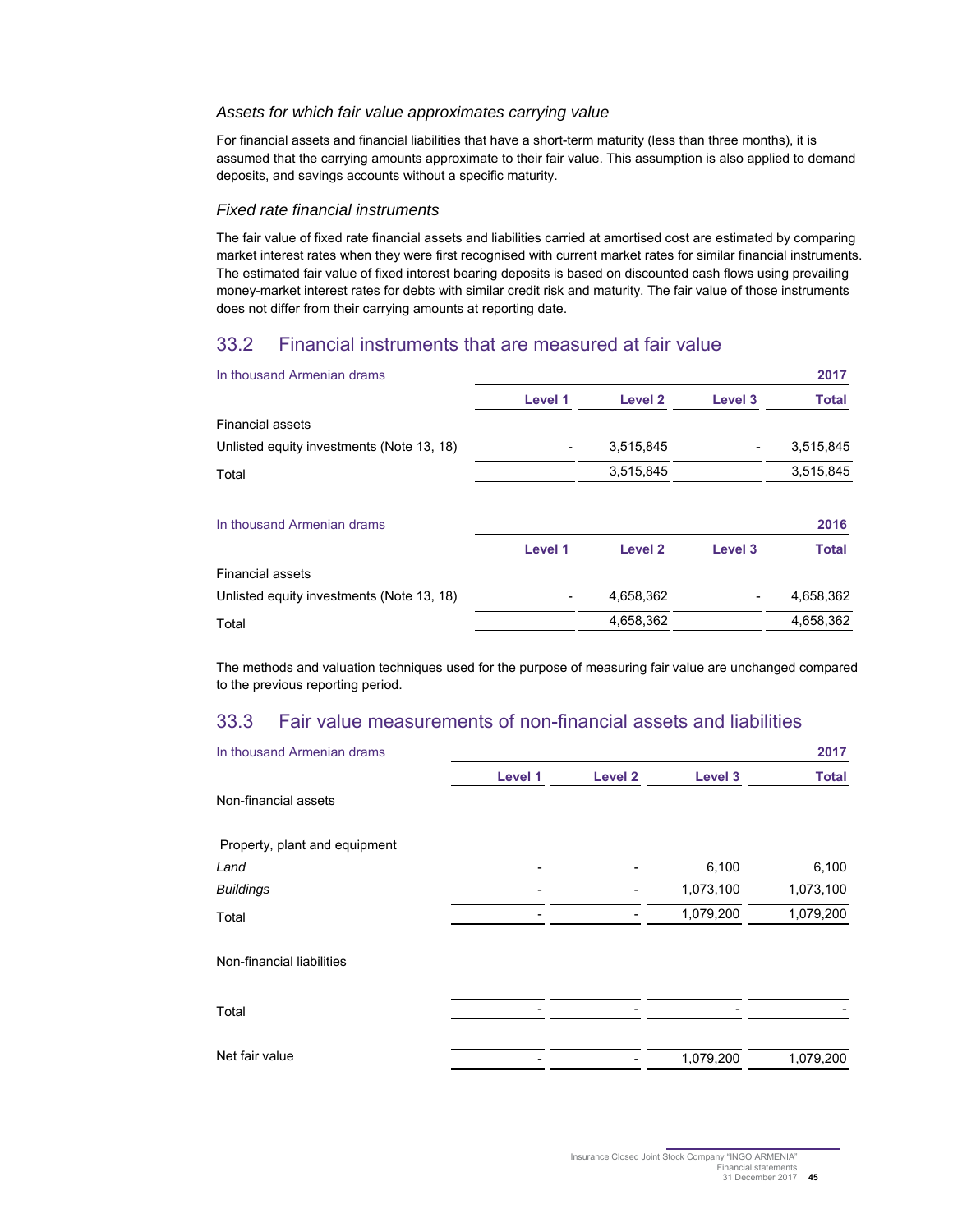#### Assets for which fair value approximates carrying value

For financial assets and financial liabilities that have a short-term maturity (less than three months), it is assumed that the carrying amounts approximate to their fair value. This assumption is also applied to demand deposits, and savings accounts without a specific maturity.

#### Fixed rate financial instruments

The fair value of fixed rate financial assets and liabilities carried at amortised cost are estimated by comparing market interest rates when they were first recognised with current market rates for similar financial instruments. The estimated fair value of fixed interest bearing deposits is based on discounted cash flows using prevailing money-market interest rates for debts with similar credit risk and maturity. The fair value of those instruments does not differ from their carrying amounts at reporting date.

## 33.2 Financial instruments that are measured at fair value

| In thousand Armenian drams                |         |           |         | 2017         |
|-------------------------------------------|---------|-----------|---------|--------------|
|                                           | Level 1 | Level 2   | Level 3 | <b>Total</b> |
| <b>Financial assets</b>                   |         |           |         |              |
| Unlisted equity investments (Note 13, 18) |         | 3,515,845 |         | 3,515,845    |
| Total                                     |         | 3,515,845 |         | 3,515,845    |
| In thousand Armenian drams                |         |           |         | 2016         |
|                                           | Level 1 | Level 2   | Level 3 | <b>Total</b> |
| <b>Financial assets</b>                   |         |           |         |              |
| Unlisted equity investments (Note 13, 18) |         | 4,658,362 |         | 4,658,362    |
| Total                                     |         | 4,658,362 |         | 4,658,362    |

The methods and valuation techniques used for the purpose of measuring fair value are unchanged compared to the previous reporting period.

## 33.3 Fair value measurements of non-financial assets and liabilities

| In thousand Armenian drams    |         |                    |           | 2017         |
|-------------------------------|---------|--------------------|-----------|--------------|
|                               | Level 1 | Level <sub>2</sub> | Level 3   | <b>Total</b> |
| Non-financial assets          |         |                    |           |              |
| Property, plant and equipment |         |                    |           |              |
| Land                          |         |                    | 6,100     | 6,100        |
| <b>Buildings</b>              |         |                    | 1,073,100 | 1,073,100    |
| Total                         |         |                    | 1,079,200 | 1,079,200    |
| Non-financial liabilities     |         |                    |           |              |
| Total                         |         |                    |           |              |
| Net fair value                |         |                    | 1,079,200 | 1,079,200    |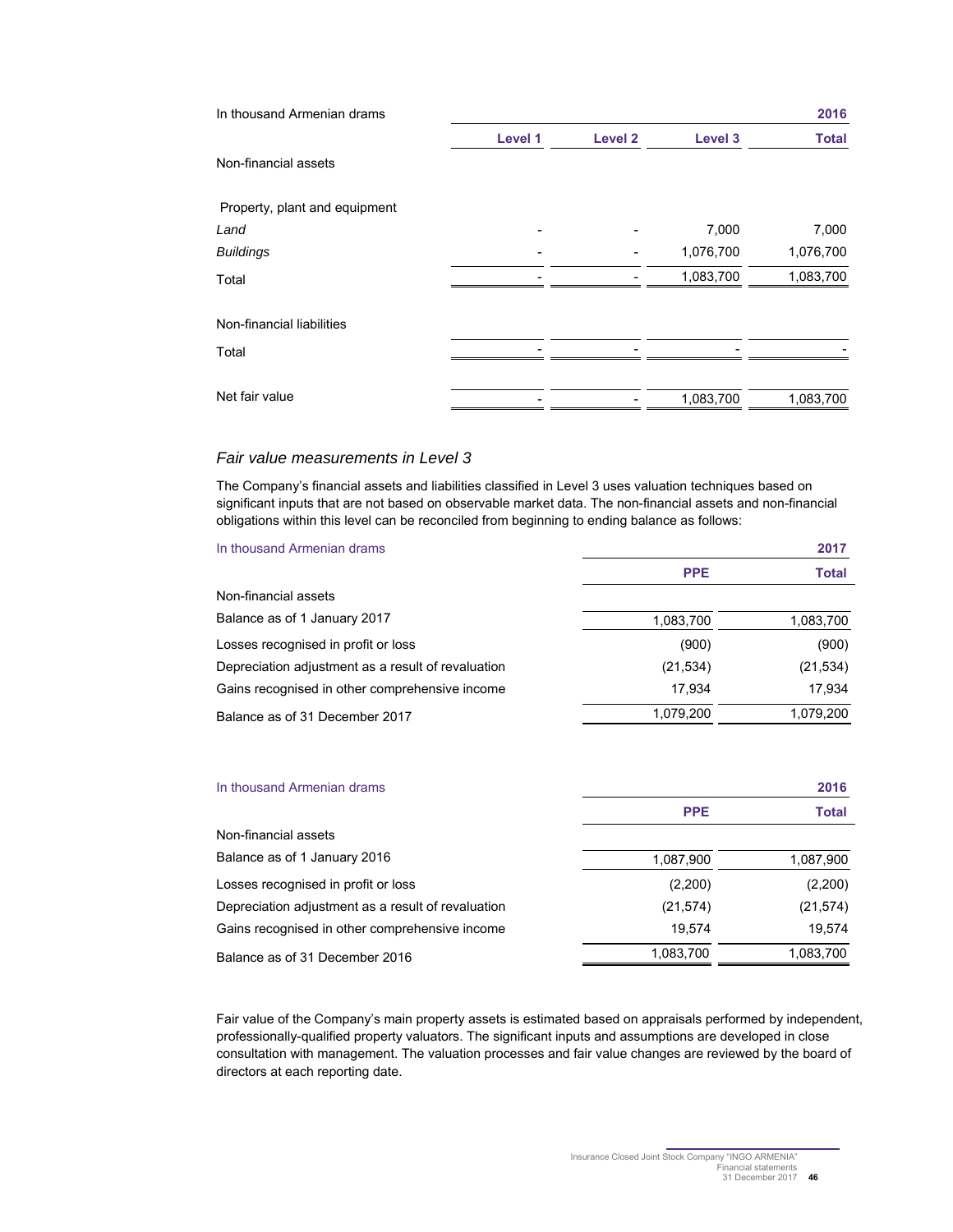| In thousand Armenian drams    |         |                |           | 2016         |
|-------------------------------|---------|----------------|-----------|--------------|
|                               | Level 1 | <b>Level 2</b> | Level 3   | <b>Total</b> |
| Non-financial assets          |         |                |           |              |
| Property, plant and equipment |         |                |           |              |
| Land                          |         |                | 7,000     | 7,000        |
| <b>Buildings</b>              |         |                | 1,076,700 | 1,076,700    |
| Total                         |         |                | 1,083,700 | 1,083,700    |
| Non-financial liabilities     |         |                |           |              |
| Total                         |         |                |           |              |
| Net fair value                |         |                | 1,083,700 | 1,083,700    |

#### Fair value measurements in Level 3

The Company's financial assets and liabilities classified in Level 3 uses valuation techniques based on significant inputs that are not based on observable market data. The non-financial assets and non-financial obligations within this level can be reconciled from beginning to ending balance as follows:

| In thousand Armenian drams                         |            | 2017         |
|----------------------------------------------------|------------|--------------|
|                                                    | <b>PPE</b> | <b>Total</b> |
| Non-financial assets                               |            |              |
| Balance as of 1 January 2017                       | 1,083,700  | 1,083,700    |
| Losses recognised in profit or loss                | (900)      | (900)        |
| Depreciation adjustment as a result of revaluation | (21,534)   | (21, 534)    |
| Gains recognised in other comprehensive income     | 17.934     | 17,934       |
| Balance as of 31 December 2017                     | 1,079,200  | 1,079,200    |

| In thousand Armenian drams                         | 2016       |              |  |  |  |  |
|----------------------------------------------------|------------|--------------|--|--|--|--|
|                                                    | <b>PPE</b> | <b>Total</b> |  |  |  |  |
| Non-financial assets                               |            |              |  |  |  |  |
| Balance as of 1 January 2016                       | 1,087,900  | 1,087,900    |  |  |  |  |
| Losses recognised in profit or loss                | (2,200)    | (2,200)      |  |  |  |  |
| Depreciation adjustment as a result of revaluation | (21, 574)  | (21, 574)    |  |  |  |  |
| Gains recognised in other comprehensive income     | 19.574     | 19.574       |  |  |  |  |
| Balance as of 31 December 2016                     | 1,083,700  | 1,083,700    |  |  |  |  |

Fair value of the Company's main property assets is estimated based on appraisals performed by independent, professionally-qualified property valuators. The significant inputs and assumptions are developed in close consultation with management. The valuation processes and fair value changes are reviewed by the board of directors at each reporting date.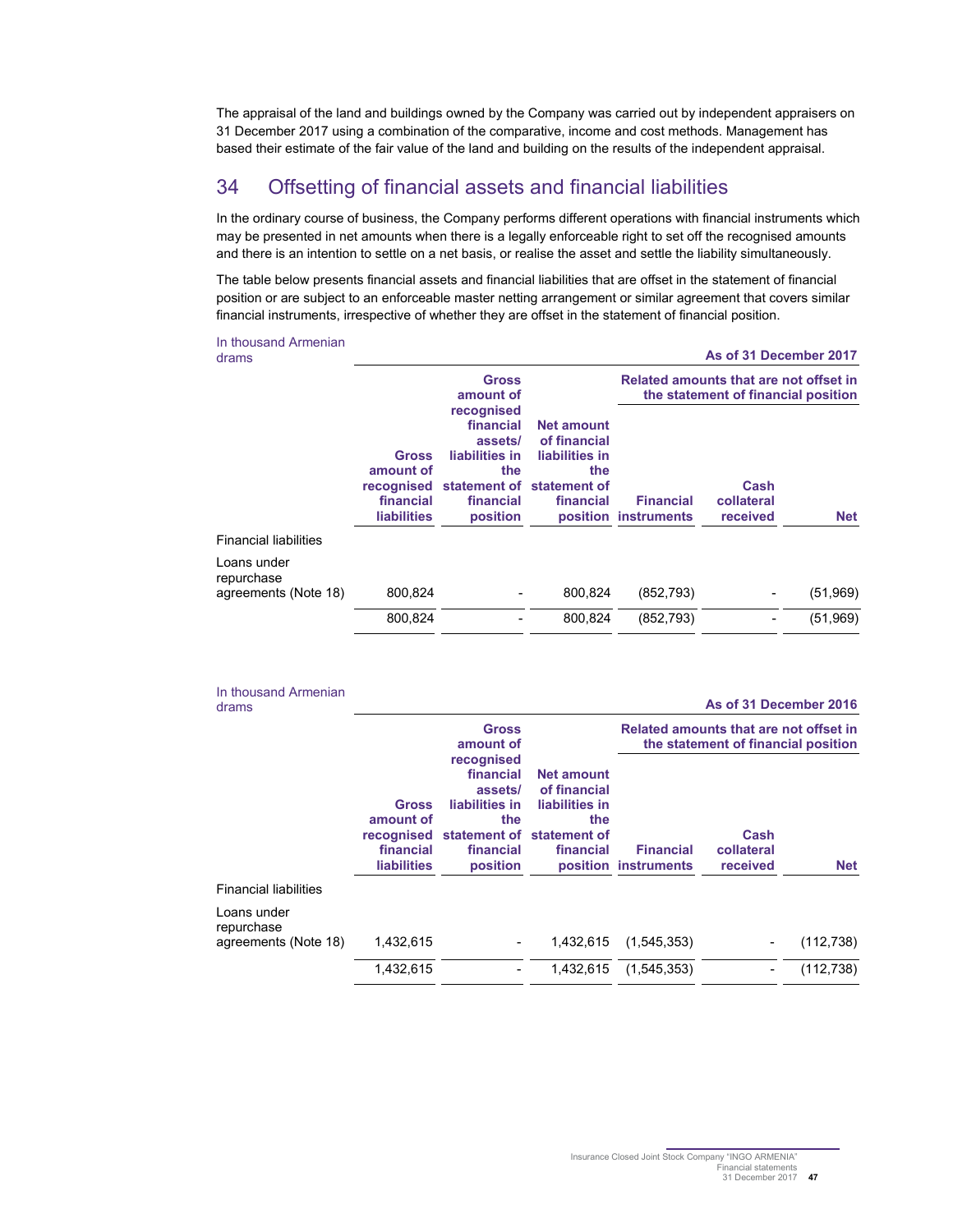The appraisal of the land and buildings owned by the Company was carried out by independent appraisers on 31 December 2017 using a combination of the comparative, income and cost methods. Management has based their estimate of the fair value of the land and building on the results of the independent appraisal.

## 34 Offsetting of financial assets and financial liabilities

In the ordinary course of business, the Company performs different operations with financial instruments which may be presented in net amounts when there is a legally enforceable right to set off the recognised amounts and there is an intention to settle on a net basis, or realise the asset and settle the liability simultaneously.

The table below presents financial assets and financial liabilities that are offset in the statement of financial position or are subject to an enforceable master netting arrangement or similar agreement that covers similar financial instruments, irrespective of whether they are offset in the statement of financial position.

| In thousand Armenian<br>drams                     |                                                                            |                                                                                                                   |                                                                         |                                                                               | As of 31 December 2017         |            |  |  |
|---------------------------------------------------|----------------------------------------------------------------------------|-------------------------------------------------------------------------------------------------------------------|-------------------------------------------------------------------------|-------------------------------------------------------------------------------|--------------------------------|------------|--|--|
|                                                   |                                                                            | <b>Gross</b><br>amount of                                                                                         |                                                                         | Related amounts that are not offset in<br>the statement of financial position |                                |            |  |  |
|                                                   | <b>Gross</b><br>amount of<br>recognised<br>financial<br><b>liabilities</b> | recognised<br>financial<br>assets/<br>liabilities in<br>the<br>statement of statement of<br>financial<br>position | <b>Net amount</b><br>of financial<br>liabilities in<br>the<br>financial | <b>Financial</b><br>position instruments                                      | Cash<br>collateral<br>received | <b>Net</b> |  |  |
| <b>Financial liabilities</b>                      |                                                                            |                                                                                                                   |                                                                         |                                                                               |                                |            |  |  |
| Loans under<br>repurchase<br>agreements (Note 18) | 800.824                                                                    |                                                                                                                   | 800.824                                                                 | (852, 793)                                                                    |                                | (51,969)   |  |  |
|                                                   | 800,824                                                                    |                                                                                                                   | 800.824                                                                 | (852, 793)                                                                    |                                | (51,969)   |  |  |

|  | In thousand Armenian |
|--|----------------------|
|  |                      |

drams **As of 31 December 2016** 

|                                                   |                                                                            | <b>Gross</b><br>amount of                                                            |                                                                                                      |                                          | Related amounts that are not offset in<br>the statement of financial position |            |
|---------------------------------------------------|----------------------------------------------------------------------------|--------------------------------------------------------------------------------------|------------------------------------------------------------------------------------------------------|------------------------------------------|-------------------------------------------------------------------------------|------------|
|                                                   | <b>Gross</b><br>amount of<br>recognised<br>financial<br><b>liabilities</b> | recognised<br>financial<br>assets/<br>liabilities in<br>the<br>financial<br>position | <b>Net amount</b><br>of financial<br>liabilities in<br>the<br>statement of statement of<br>financial | <b>Financial</b><br>position instruments | Cash<br>collateral<br>received                                                | <b>Net</b> |
| <b>Financial liabilities</b>                      |                                                                            |                                                                                      |                                                                                                      |                                          |                                                                               |            |
| Loans under<br>repurchase<br>agreements (Note 18) | 1.432.615                                                                  |                                                                                      | 1.432.615                                                                                            | (1,545,353)                              |                                                                               | (112, 738) |
|                                                   | 1,432,615                                                                  |                                                                                      | 1,432,615                                                                                            | (1,545,353)                              |                                                                               | (112, 738) |
|                                                   |                                                                            |                                                                                      |                                                                                                      |                                          |                                                                               |            |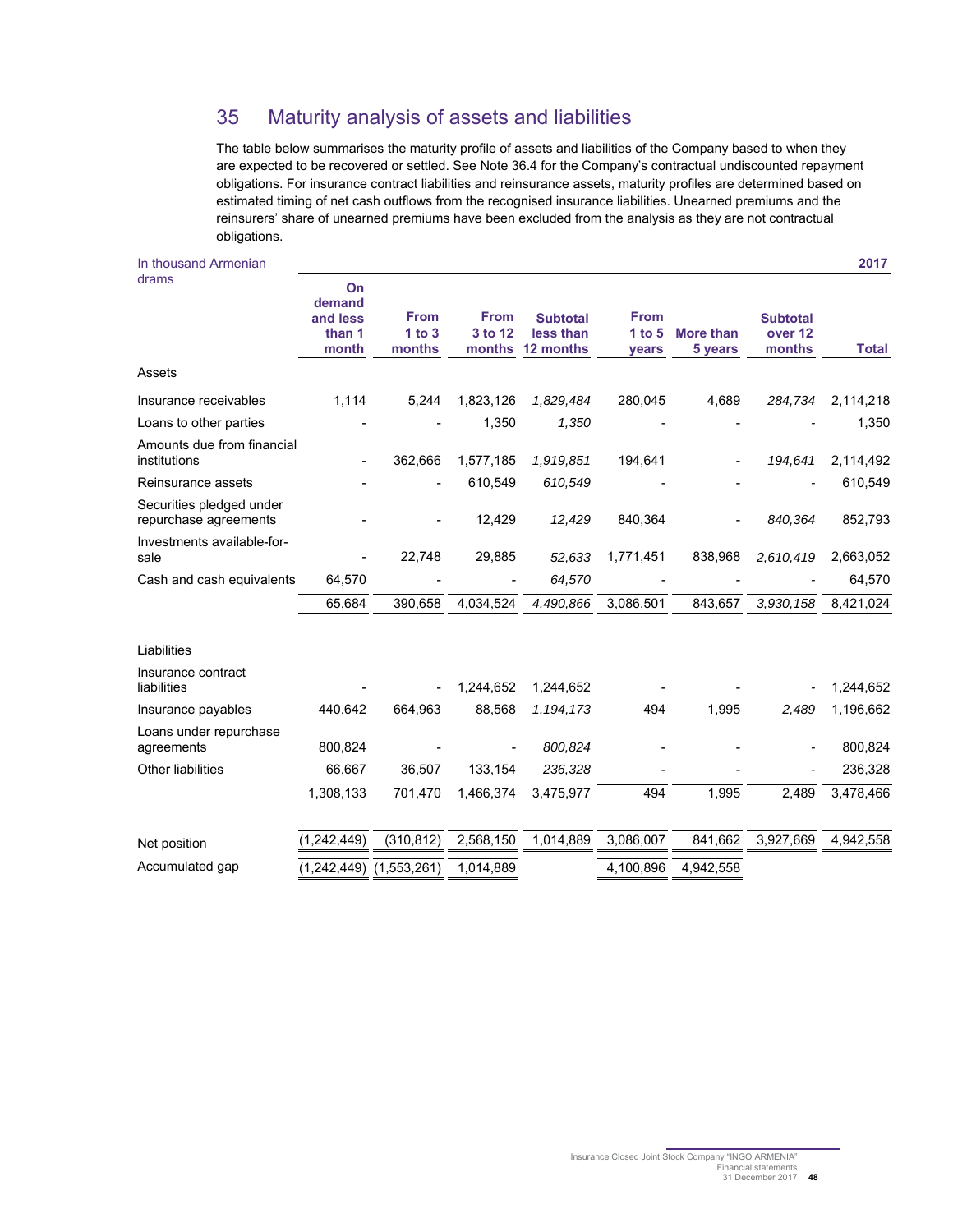## 35 Maturity analysis of assets and liabilities

The table below summarises the maturity profile of assets and liabilities of the Company based to when they are expected to be recovered or settled. See Note 36.4 for the Company's contractual undiscounted repayment obligations. For insurance contract liabilities and reinsurance assets, maturity profiles are determined based on estimated timing of net cash outflows from the recognised insurance liabilities. Unearned premiums and the reinsurers' share of unearned premiums have been excluded from the analysis as they are not contractual obligations.

| In thousand Armenian                              |                                             |                                 |                                  |                                           |                                  |                             |                                                 | 2017         |
|---------------------------------------------------|---------------------------------------------|---------------------------------|----------------------------------|-------------------------------------------|----------------------------------|-----------------------------|-------------------------------------------------|--------------|
| drams                                             | On<br>demand<br>and less<br>than 1<br>month | <b>From</b><br>1 to 3<br>months | <b>From</b><br>3 to 12<br>months | <b>Subtotal</b><br>less than<br>12 months | <b>From</b><br>1 to $5$<br>years | <b>More than</b><br>5 years | <b>Subtotal</b><br>over <sub>12</sub><br>months | <b>Total</b> |
| Assets                                            |                                             |                                 |                                  |                                           |                                  |                             |                                                 |              |
| Insurance receivables                             | 1,114                                       | 5,244                           | 1,823,126                        | 1,829,484                                 | 280,045                          | 4,689                       | 284,734                                         | 2,114,218    |
| Loans to other parties                            |                                             |                                 | 1,350                            | 1,350                                     |                                  |                             |                                                 | 1,350        |
| Amounts due from financial<br>institutions        |                                             | 362,666                         | 1,577,185                        | 1,919,851                                 | 194,641                          |                             | 194,641                                         | 2,114,492    |
| Reinsurance assets                                |                                             |                                 | 610,549                          | 610,549                                   |                                  |                             |                                                 | 610,549      |
| Securities pledged under<br>repurchase agreements |                                             |                                 | 12,429                           | 12,429                                    | 840,364                          |                             | 840,364                                         | 852,793      |
| Investments available-for-<br>sale                |                                             | 22,748                          | 29,885                           | 52,633                                    | 1,771,451                        | 838,968                     | 2,610,419                                       | 2,663,052    |
| Cash and cash equivalents                         | 64,570                                      |                                 |                                  | 64,570                                    |                                  |                             |                                                 | 64,570       |
|                                                   | 65,684                                      | 390,658                         | 4,034,524                        | 4,490,866                                 | 3,086,501                        | 843,657                     | 3,930,158                                       | 8,421,024    |
| Liabilities                                       |                                             |                                 |                                  |                                           |                                  |                             |                                                 |              |
| Insurance contract<br>liabilities                 |                                             |                                 | 1,244,652                        | 1,244,652                                 |                                  |                             |                                                 | 1,244,652    |
| Insurance payables                                | 440,642                                     | 664,963                         | 88,568                           | 1,194,173                                 | 494                              | 1,995                       | 2,489                                           | 1,196,662    |
| Loans under repurchase<br>agreements              | 800,824                                     |                                 |                                  | 800,824                                   |                                  |                             |                                                 | 800,824      |
| <b>Other liabilities</b>                          | 66,667                                      | 36,507                          | 133,154                          | 236,328                                   |                                  |                             |                                                 | 236,328      |
|                                                   | 1,308,133                                   | 701,470                         | 1,466,374                        | 3,475,977                                 | 494                              | 1,995                       | 2,489                                           | 3,478,466    |
| Net position                                      | (1,242,449)                                 | (310, 812)                      | 2,568,150                        | 1,014,889                                 | 3,086,007                        | 841,662                     | 3,927,669                                       | 4,942,558    |
| Accumulated gap                                   |                                             | $(1,242,449)$ $(1,553,261)$     | 1,014,889                        |                                           | 4,100,896                        | 4,942,558                   |                                                 |              |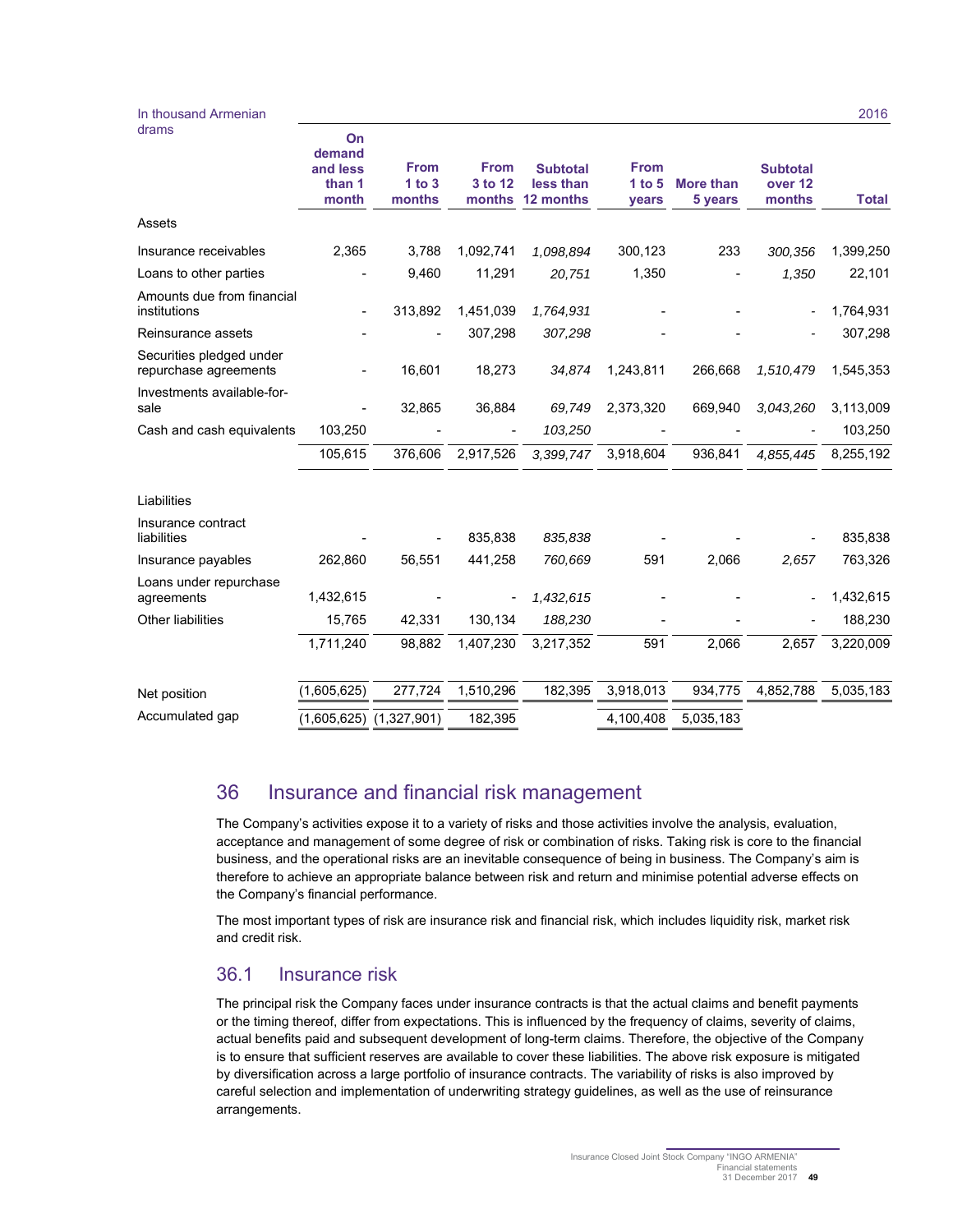#### In thousand Armenian drams

|                                                   | On<br>demand<br>and less<br>than 1<br>month | <b>From</b><br>1 to 3<br>months | <b>From</b><br>3 to 12<br>months | <b>Subtotal</b><br>less than<br>12 months | <b>From</b><br>1 to 5<br>years | <b>More than</b><br>5 years | <b>Subtotal</b><br>over <sub>12</sub><br>months | <b>Total</b> |
|---------------------------------------------------|---------------------------------------------|---------------------------------|----------------------------------|-------------------------------------------|--------------------------------|-----------------------------|-------------------------------------------------|--------------|
| Assets                                            |                                             |                                 |                                  |                                           |                                |                             |                                                 |              |
| Insurance receivables                             | 2,365                                       | 3,788                           | 1,092,741                        | 1,098,894                                 | 300,123                        | 233                         | 300,356                                         | 1,399,250    |
| Loans to other parties                            |                                             | 9,460                           | 11,291                           | 20,751                                    | 1,350                          |                             | 1,350                                           | 22,101       |
| Amounts due from financial<br>institutions        | $\blacksquare$                              | 313,892                         | 1,451,039                        | 1,764,931                                 |                                |                             |                                                 | 1,764,931    |
| Reinsurance assets                                |                                             |                                 | 307,298                          | 307,298                                   |                                |                             |                                                 | 307,298      |
| Securities pledged under<br>repurchase agreements |                                             | 16,601                          | 18,273                           | 34,874                                    | 1,243,811                      | 266,668                     | 1,510,479                                       | 1,545,353    |
| Investments available-for-<br>sale                |                                             | 32,865                          | 36,884                           | 69,749                                    | 2,373,320                      | 669,940                     | 3,043,260                                       | 3,113,009    |
| Cash and cash equivalents                         | 103,250                                     |                                 |                                  | 103,250                                   |                                |                             |                                                 | 103,250      |
|                                                   | 105,615                                     | 376,606                         | 2,917,526                        | 3,399,747                                 | 3,918,604                      | 936,841                     | 4,855,445                                       | 8,255,192    |
| Liabilities                                       |                                             |                                 |                                  |                                           |                                |                             |                                                 |              |
| Insurance contract<br>liabilities                 |                                             |                                 | 835.838                          | 835,838                                   |                                |                             |                                                 | 835,838      |
| Insurance payables                                | 262,860                                     | 56,551                          | 441,258                          | 760,669                                   | 591                            | 2,066                       | 2,657                                           | 763,326      |
| Loans under repurchase<br>agreements              | 1,432,615                                   |                                 |                                  | 1,432,615                                 |                                |                             |                                                 | 1,432,615    |
| Other liabilities                                 | 15,765                                      | 42,331                          | 130,134                          | 188,230                                   |                                |                             |                                                 | 188,230      |
|                                                   | 1,711,240                                   | 98,882                          | 1,407,230                        | 3,217,352                                 | 591                            | 2,066                       | 2,657                                           | 3,220,009    |
| Net position                                      | (1,605,625)                                 | 277,724                         | 1,510,296                        | 182,395                                   | 3,918,013                      | 934,775                     | 4,852,788                                       | 5,035,183    |
| Accumulated gap                                   | (1,605,625)                                 | (1,327,901)                     | 182,395                          |                                           | 4,100,408                      | 5,035,183                   |                                                 |              |
|                                                   |                                             |                                 |                                  |                                           |                                |                             |                                                 |              |

## 36 Insurance and financial risk management

The Company's activities expose it to a variety of risks and those activities involve the analysis, evaluation, acceptance and management of some degree of risk or combination of risks. Taking risk is core to the financial business, and the operational risks are an inevitable consequence of being in business. The Company's aim is therefore to achieve an appropriate balance between risk and return and minimise potential adverse effects on the Company's financial performance.

The most important types of risk are insurance risk and financial risk, which includes liquidity risk, market risk and credit risk.

## 36.1 Insurance risk

The principal risk the Company faces under insurance contracts is that the actual claims and benefit payments or the timing thereof, differ from expectations. This is influenced by the frequency of claims, severity of claims, actual benefits paid and subsequent development of long-term claims. Therefore, the objective of the Company is to ensure that sufficient reserves are available to cover these liabilities. The above risk exposure is mitigated by diversification across a large portfolio of insurance contracts. The variability of risks is also improved by careful selection and implementation of underwriting strategy guidelines, as well as the use of reinsurance arrangements.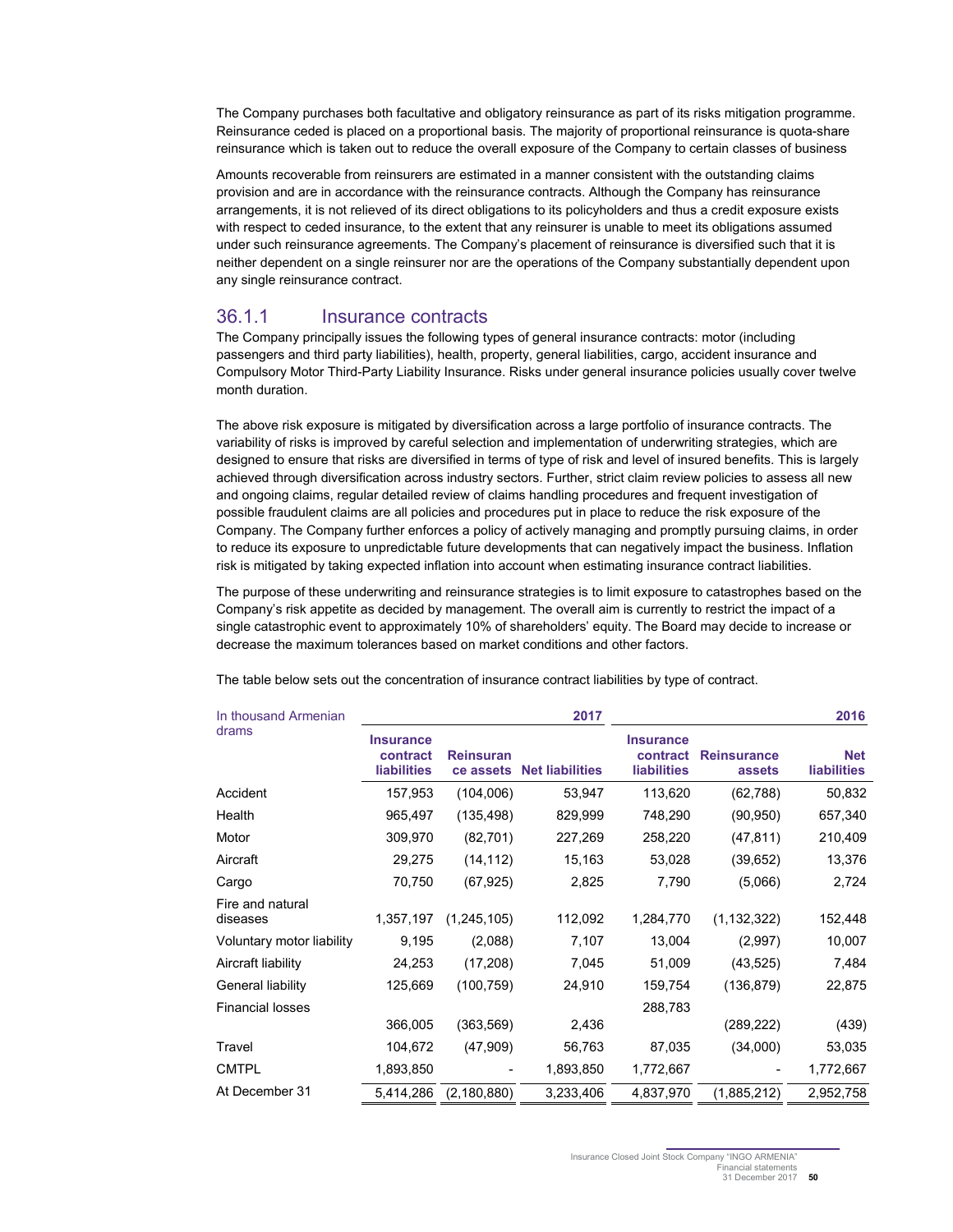The Company purchases both facultative and obligatory reinsurance as part of its risks mitigation programme. Reinsurance ceded is placed on a proportional basis. The majority of proportional reinsurance is quota-share reinsurance which is taken out to reduce the overall exposure of the Company to certain classes of business

Amounts recoverable from reinsurers are estimated in a manner consistent with the outstanding claims provision and are in accordance with the reinsurance contracts. Although the Company has reinsurance arrangements, it is not relieved of its direct obligations to its policyholders and thus a credit exposure exists with respect to ceded insurance, to the extent that any reinsurer is unable to meet its obligations assumed under such reinsurance agreements. The Company's placement of reinsurance is diversified such that it is neither dependent on a single reinsurer nor are the operations of the Company substantially dependent upon any single reinsurance contract.

#### 36.1.1 Insurance contracts

The Company principally issues the following types of general insurance contracts: motor (including passengers and third party liabilities), health, property, general liabilities, cargo, accident insurance and Compulsory Motor Third-Party Liability Insurance. Risks under general insurance policies usually cover twelve month duration.

The above risk exposure is mitigated by diversification across a large portfolio of insurance contracts. The variability of risks is improved by careful selection and implementation of underwriting strategies, which are designed to ensure that risks are diversified in terms of type of risk and level of insured benefits. This is largely achieved through diversification across industry sectors. Further, strict claim review policies to assess all new and ongoing claims, regular detailed review of claims handling procedures and frequent investigation of possible fraudulent claims are all policies and procedures put in place to reduce the risk exposure of the Company. The Company further enforces a policy of actively managing and promptly pursuing claims, in order to reduce its exposure to unpredictable future developments that can negatively impact the business. Inflation risk is mitigated by taking expected inflation into account when estimating insurance contract liabilities.

The purpose of these underwriting and reinsurance strategies is to limit exposure to catastrophes based on the Company's risk appetite as decided by management. The overall aim is currently to restrict the impact of a single catastrophic event to approximately 10% of shareholders' equity. The Board may decide to increase or decrease the maximum tolerances based on market conditions and other factors.

| In thousand Armenian         |                                             |                               | 2017                   | 2016                                               |                              |                                  |  |
|------------------------------|---------------------------------------------|-------------------------------|------------------------|----------------------------------------------------|------------------------------|----------------------------------|--|
| drams                        | <b>Insurance</b><br>contract<br>liabilities | <b>Reinsuran</b><br>ce assets | <b>Net liabilities</b> | <b>Insurance</b><br>contract<br><b>liabilities</b> | <b>Reinsurance</b><br>assets | <b>Net</b><br><b>liabilities</b> |  |
| Accident                     | 157,953                                     | (104,006)                     | 53,947                 | 113,620                                            | (62, 788)                    | 50,832                           |  |
| Health                       | 965,497                                     | (135,498)                     | 829,999                | 748,290                                            | (90, 950)                    | 657,340                          |  |
| Motor                        | 309,970                                     | (82, 701)                     | 227,269                | 258,220                                            | (47, 811)                    | 210,409                          |  |
| Aircraft                     | 29,275                                      | (14, 112)                     | 15,163                 | 53,028                                             | (39, 652)                    | 13,376                           |  |
| Cargo                        | 70,750                                      | (67, 925)                     | 2,825                  | 7,790                                              | (5,066)                      | 2,724                            |  |
| Fire and natural<br>diseases | 1,357,197                                   | (1, 245, 105)                 | 112,092                | 1,284,770                                          | (1, 132, 322)                | 152,448                          |  |
| Voluntary motor liability    | 9,195                                       | (2,088)                       | 7,107                  | 13,004                                             | (2,997)                      | 10,007                           |  |
| Aircraft liability           | 24,253                                      | (17, 208)                     | 7,045                  | 51,009                                             | (43, 525)                    | 7,484                            |  |
| General liability            | 125,669                                     | (100, 759)                    | 24,910                 | 159,754                                            | (136, 879)                   | 22,875                           |  |
| <b>Financial losses</b>      |                                             |                               |                        | 288,783                                            |                              |                                  |  |
|                              | 366,005                                     | (363,569)                     | 2,436                  |                                                    | (289, 222)                   | (439)                            |  |
| Travel                       | 104,672                                     | (47,909)                      | 56,763                 | 87,035                                             | (34,000)                     | 53,035                           |  |
| <b>CMTPL</b>                 | 1,893,850                                   |                               | 1,893,850              | 1,772,667                                          |                              | 1,772,667                        |  |
| At December 31               | 5,414,286                                   | (2, 180, 880)                 | 3,233,406              | 4,837,970                                          | (1,885,212)                  | 2,952,758                        |  |

The table below sets out the concentration of insurance contract liabilities by type of contract.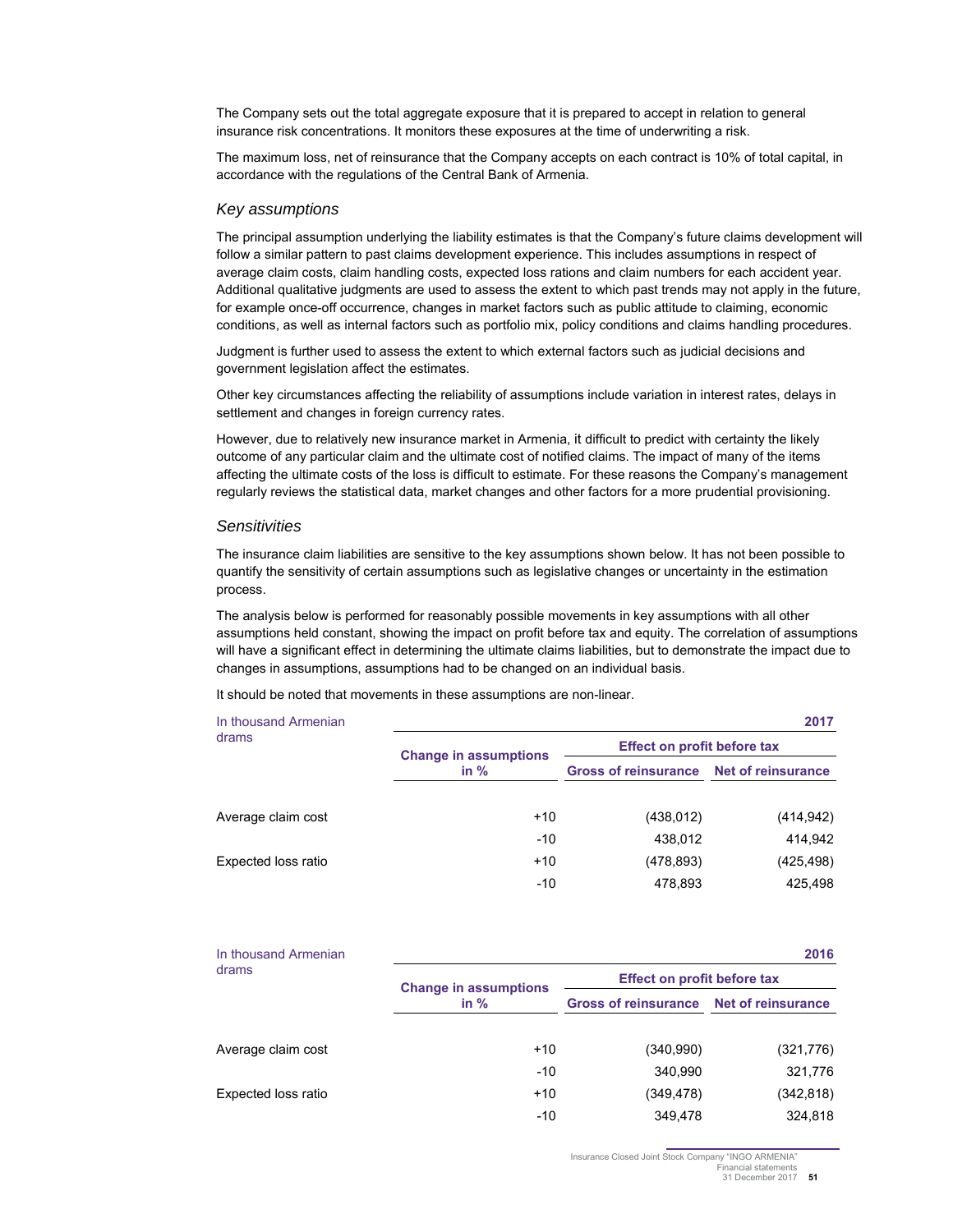The Company sets out the total aggregate exposure that it is prepared to accept in relation to general insurance risk concentrations. It monitors these exposures at the time of underwriting a risk.

The maximum loss, net of reinsurance that the Company accepts on each contract is 10% of total capital, in accordance with the regulations of the Central Bank of Armenia.

#### Key assumptions

The principal assumption underlying the liability estimates is that the Company's future claims development will follow a similar pattern to past claims development experience. This includes assumptions in respect of average claim costs, claim handling costs, expected loss rations and claim numbers for each accident year. Additional qualitative judgments are used to assess the extent to which past trends may not apply in the future, for example once-off occurrence, changes in market factors such as public attitude to claiming, economic conditions, as well as internal factors such as portfolio mix, policy conditions and claims handling procedures.

Judgment is further used to assess the extent to which external factors such as judicial decisions and government legislation affect the estimates.

Other key circumstances affecting the reliability of assumptions include variation in interest rates, delays in settlement and changes in foreign currency rates.

However, due to relatively new insurance market in Armenia, it difficult to predict with certainty the likely outcome of any particular claim and the ultimate cost of notified claims. The impact of many of the items affecting the ultimate costs of the loss is difficult to estimate. For these reasons the Company's management regularly reviews the statistical data, market changes and other factors for a more prudential provisioning.

#### **Sensitivities**

The insurance claim liabilities are sensitive to the key assumptions shown below. It has not been possible to quantify the sensitivity of certain assumptions such as legislative changes or uncertainty in the estimation process.

The analysis below is performed for reasonably possible movements in key assumptions with all other assumptions held constant, showing the impact on profit before tax and equity. The correlation of assumptions will have a significant effect in determining the ultimate claims liabilities, but to demonstrate the impact due to changes in assumptions, assumptions had to be changed on an individual basis.

It should be noted that movements in these assumptions are non-linear.

| In thousand Armenian |                              |                                    | 2017                      |  |  |
|----------------------|------------------------------|------------------------------------|---------------------------|--|--|
| drams                | <b>Change in assumptions</b> | <b>Effect on profit before tax</b> |                           |  |  |
|                      | in $%$                       | <b>Gross of reinsurance</b>        | <b>Net of reinsurance</b> |  |  |
| Average claim cost   | $+10$                        | (438, 012)                         | (414, 942)                |  |  |
|                      | $-10$                        | 438,012                            | 414,942                   |  |  |
| Expected loss ratio  | $+10$                        | (478, 893)                         | (425,498)                 |  |  |
|                      | $-10$                        | 478,893                            | 425.498                   |  |  |

| In thousand Armenian |                              |                                         | 2016       |  |  |
|----------------------|------------------------------|-----------------------------------------|------------|--|--|
| drams                | <b>Change in assumptions</b> | <b>Effect on profit before tax</b>      |            |  |  |
|                      | in $%$                       | Gross of reinsurance Net of reinsurance |            |  |  |
|                      |                              |                                         |            |  |  |
| Average claim cost   | $+10$                        | (340,990)                               | (321, 776) |  |  |
|                      | $-10$                        | 340.990                                 | 321,776    |  |  |
| Expected loss ratio  | $+10$                        | (349,478)                               | (342, 818) |  |  |
|                      | $-10$                        | 349.478                                 | 324.818    |  |  |

Insurance Closed Joint Stock Company "INGO ARMENIA" inancial statements

31 December 2017 **51**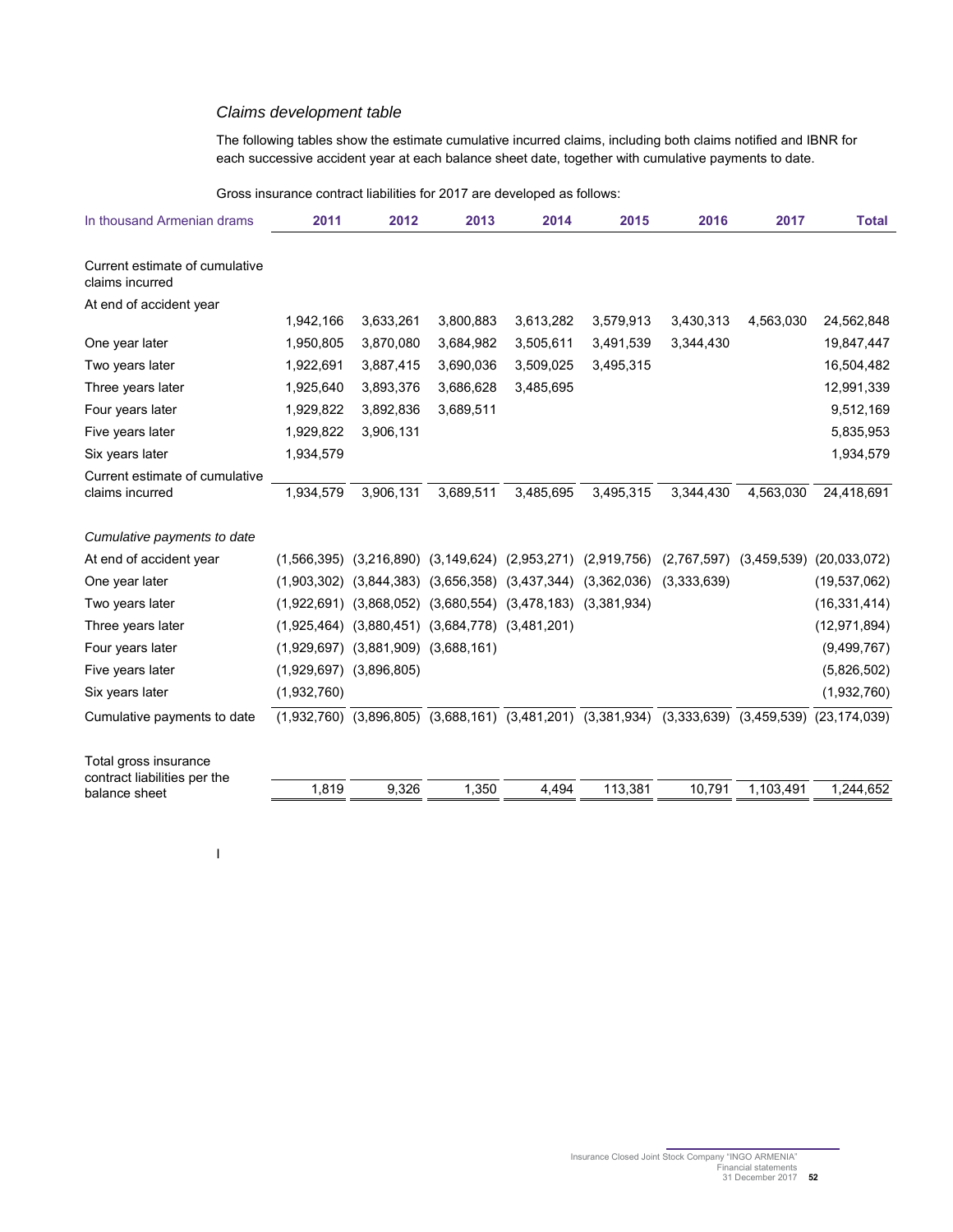#### Claims development table

The following tables show the estimate cumulative incurred claims, including both claims notified and IBNR for each successive accident year at each balance sheet date, together with cumulative payments to date.

Gross insurance contract liabilities for 2017 are developed as follows:

| In thousand Armenian drams                        | 2011        | 2012                                                    | 2013      | 2014                                                                                              | 2015      | 2016        | 2017                        | <b>Total</b>   |
|---------------------------------------------------|-------------|---------------------------------------------------------|-----------|---------------------------------------------------------------------------------------------------|-----------|-------------|-----------------------------|----------------|
|                                                   |             |                                                         |           |                                                                                                   |           |             |                             |                |
| Current estimate of cumulative<br>claims incurred |             |                                                         |           |                                                                                                   |           |             |                             |                |
| At end of accident year                           |             |                                                         |           |                                                                                                   |           |             |                             |                |
|                                                   | 1,942,166   | 3,633,261                                               | 3,800,883 | 3,613,282                                                                                         | 3,579,913 | 3,430,313   | 4,563,030                   | 24,562,848     |
| One year later                                    | 1,950,805   | 3,870,080                                               | 3,684,982 | 3,505,611                                                                                         | 3,491,539 | 3,344,430   |                             | 19,847,447     |
| Two years later                                   | 1,922,691   | 3,887,415                                               | 3,690,036 | 3,509,025                                                                                         | 3,495,315 |             |                             | 16,504,482     |
| Three years later                                 | 1,925,640   | 3,893,376                                               | 3,686,628 | 3,485,695                                                                                         |           |             |                             | 12,991,339     |
| Four years later                                  | 1,929,822   | 3,892,836                                               | 3,689,511 |                                                                                                   |           |             |                             | 9,512,169      |
| Five years later                                  | 1,929,822   | 3,906,131                                               |           |                                                                                                   |           |             |                             | 5,835,953      |
| Six years later                                   | 1,934,579   |                                                         |           |                                                                                                   |           |             |                             | 1,934,579      |
| Current estimate of cumulative                    |             |                                                         |           |                                                                                                   |           |             |                             |                |
| claims incurred                                   | 1.934.579   | 3,906,131                                               | 3,689,511 | 3,485,695                                                                                         | 3,495,315 | 3.344.430   | 4,563,030                   | 24,418,691     |
|                                                   |             |                                                         |           |                                                                                                   |           |             |                             |                |
| Cumulative payments to date                       |             |                                                         |           |                                                                                                   |           |             |                             |                |
| At end of accident year                           |             |                                                         |           | $(1,566,395)$ $(3,216,890)$ $(3,149,624)$ $(2,953,271)$ $(2,919,756)$                             |           |             | $(2,767,597)$ $(3,459,539)$ | (20,033,072)   |
| One year later                                    |             |                                                         |           | $(1,903,302)$ $(3,844,383)$ $(3,656,358)$ $(3,437,344)$ $(3,362,036)$                             |           | (3,333,639) |                             | (19, 537, 062) |
| Two years later                                   |             |                                                         |           | $(1,922,691)$ $(3,868,052)$ $(3,680,554)$ $(3,478,183)$ $(3,381,934)$                             |           |             |                             | (16, 331, 414) |
| Three years later                                 |             | $(1,925,464)$ $(3,880,451)$ $(3,684,778)$ $(3,481,201)$ |           |                                                                                                   |           |             |                             | (12, 971, 894) |
| Four years later                                  |             | $(1,929,697)$ $(3,881,909)$ $(3,688,161)$               |           |                                                                                                   |           |             |                             | (9, 499, 767)  |
| Five years later                                  |             | $(1,929,697)$ $(3,896,805)$                             |           |                                                                                                   |           |             |                             | (5,826,502)    |
| Six years later                                   | (1,932,760) |                                                         |           |                                                                                                   |           |             |                             | (1,932,760)    |
| Cumulative payments to date                       |             |                                                         |           | $(1,932,760)$ $(3,896,805)$ $(3,688,161)$ $(3,481,201)$ $(3,381,934)$ $(3,333,639)$ $(3,459,539)$ |           |             |                             | (23, 174, 039) |
| Total gross insurance                             |             |                                                         |           |                                                                                                   |           |             |                             |                |
| contract liabilities per the                      | 1,819       | 9,326                                                   | 1,350     | 4,494                                                                                             | 113,381   | 10,791      | 1,103,491                   | 1,244,652      |
| balance sheet                                     |             |                                                         |           |                                                                                                   |           |             |                             |                |

I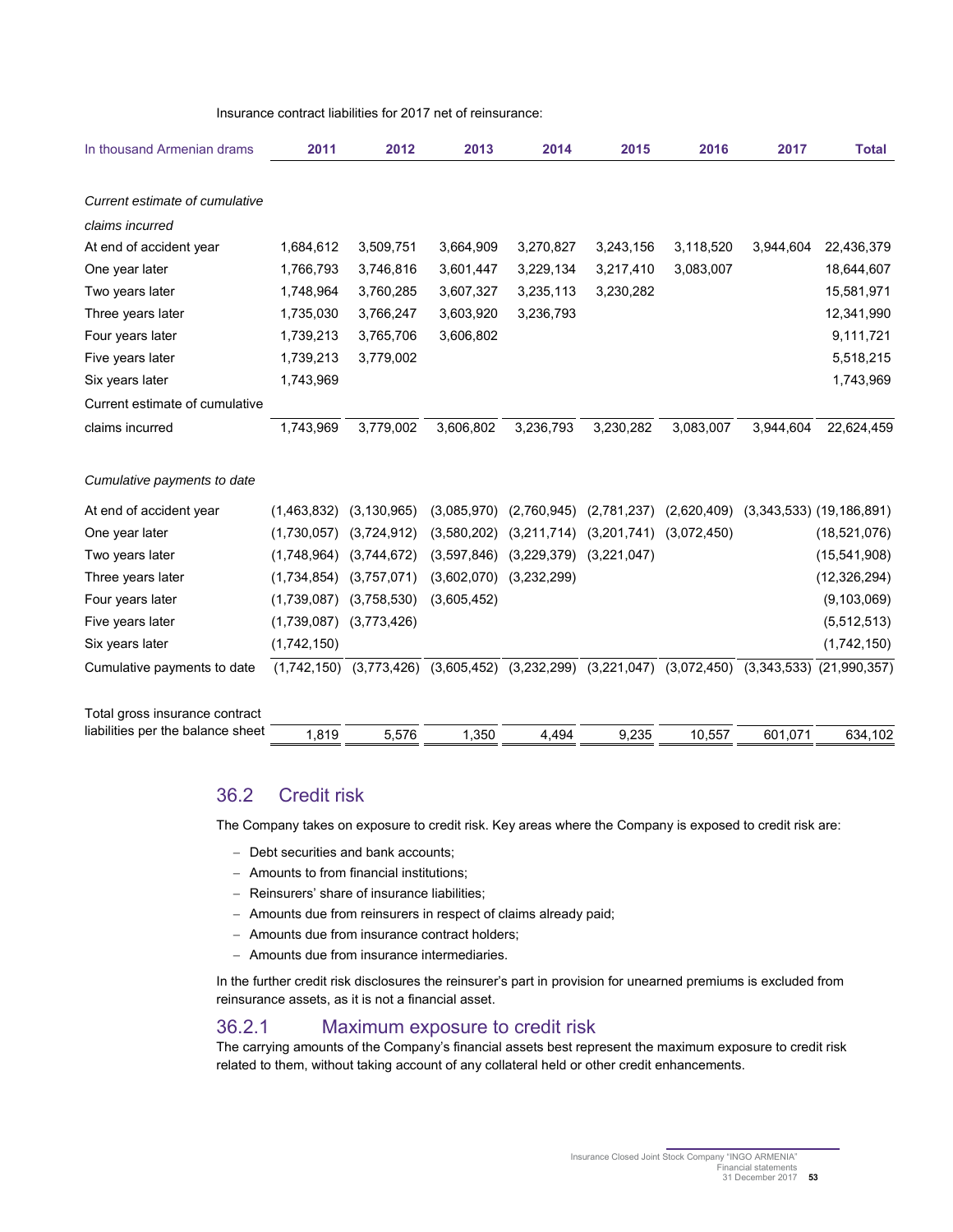Insurance contract liabilities for 2017 net of reinsurance:

| In thousand Armenian drams        | 2011        | 2012          | 2013        | 2014                        | 2015        | 2016        | 2017        | <b>Total</b>                 |
|-----------------------------------|-------------|---------------|-------------|-----------------------------|-------------|-------------|-------------|------------------------------|
| Current estimate of cumulative    |             |               |             |                             |             |             |             |                              |
| claims incurred                   |             |               |             |                             |             |             |             |                              |
| At end of accident year           | 1,684,612   | 3,509,751     | 3,664,909   | 3,270,827                   | 3,243,156   | 3,118,520   | 3,944,604   | 22,436,379                   |
| One year later                    | 1,766,793   | 3,746,816     | 3,601,447   | 3,229,134                   | 3,217,410   | 3,083,007   |             | 18,644,607                   |
| Two years later                   | 1,748,964   | 3,760,285     | 3,607,327   | 3,235,113                   | 3,230,282   |             |             | 15,581,971                   |
| Three years later                 | 1,735,030   | 3,766,247     | 3,603,920   | 3,236,793                   |             |             |             | 12,341,990                   |
| Four years later                  | 1,739,213   | 3,765,706     | 3,606,802   |                             |             |             |             | 9,111,721                    |
| Five years later                  | 1,739,213   | 3,779,002     |             |                             |             |             |             | 5,518,215                    |
| Six years later                   | 1,743,969   |               |             |                             |             |             |             | 1,743,969                    |
| Current estimate of cumulative    |             |               |             |                             |             |             |             |                              |
| claims incurred                   | 1,743,969   | 3,779,002     | 3,606,802   | 3,236,793                   | 3,230,282   | 3,083,007   | 3,944,604   | 22,624,459                   |
| Cumulative payments to date       |             |               |             |                             |             |             |             |                              |
| At end of accident year           | (1,463,832) | (3, 130, 965) | (3,085,970) | (2,760,945)                 | (2,781,237) | (2,620,409) |             | $(3,343,533)$ $(19,186,891)$ |
| One year later                    | (1,730,057) | (3,724,912)   | (3,580,202) | (3,211,714)                 | (3,201,741) | (3,072,450) |             | (18,521,076)                 |
| Two years later                   | (1,748,964) | (3,744,672)   | (3,597,846) | $(3,229,379)$ $(3,221,047)$ |             |             |             | (15,541,908)                 |
| Three years later                 | (1,734,854) | (3,757,071)   | (3,602,070) | (3,232,299)                 |             |             |             | (12, 326, 294)               |
| Four years later                  | (1,739,087) | (3,758,530)   | (3,605,452) |                             |             |             |             | (9, 103, 069)                |
| Five years later                  | (1,739,087) | (3,773,426)   |             |                             |             |             |             | (5,512,513)                  |
| Six years later                   | (1,742,150) |               |             |                             |             |             |             | (1,742,150)                  |
| Cumulative payments to date       | (1,742,150) | (3,773,426)   |             | $(3,605,452)$ $(3,232,299)$ | (3,221,047) | (3,072,450) | (3,343,533) | (21,990,357)                 |
| Total gross insurance contract    |             |               |             |                             |             |             |             |                              |
| liabilities per the balance sheet | 1,819       | 5.576         | 1,350       | 4.494                       | 9,235       | 10,557      | 601,071     | 634,102                      |

## 36.2 Credit risk

The Company takes on exposure to credit risk. Key areas where the Company is exposed to credit risk are:

- Debt securities and bank accounts;
- Amounts to from financial institutions;
- Reinsurers' share of insurance liabilities;
- Amounts due from reinsurers in respect of claims already paid;
- Amounts due from insurance contract holders;
- Amounts due from insurance intermediaries.

In the further credit risk disclosures the reinsurer's part in provision for unearned premiums is excluded from reinsurance assets, as it is not a financial asset.

### 36.2.1 Maximum exposure to credit risk

The carrying amounts of the Company's financial assets best represent the maximum exposure to credit risk related to them, without taking account of any collateral held or other credit enhancements.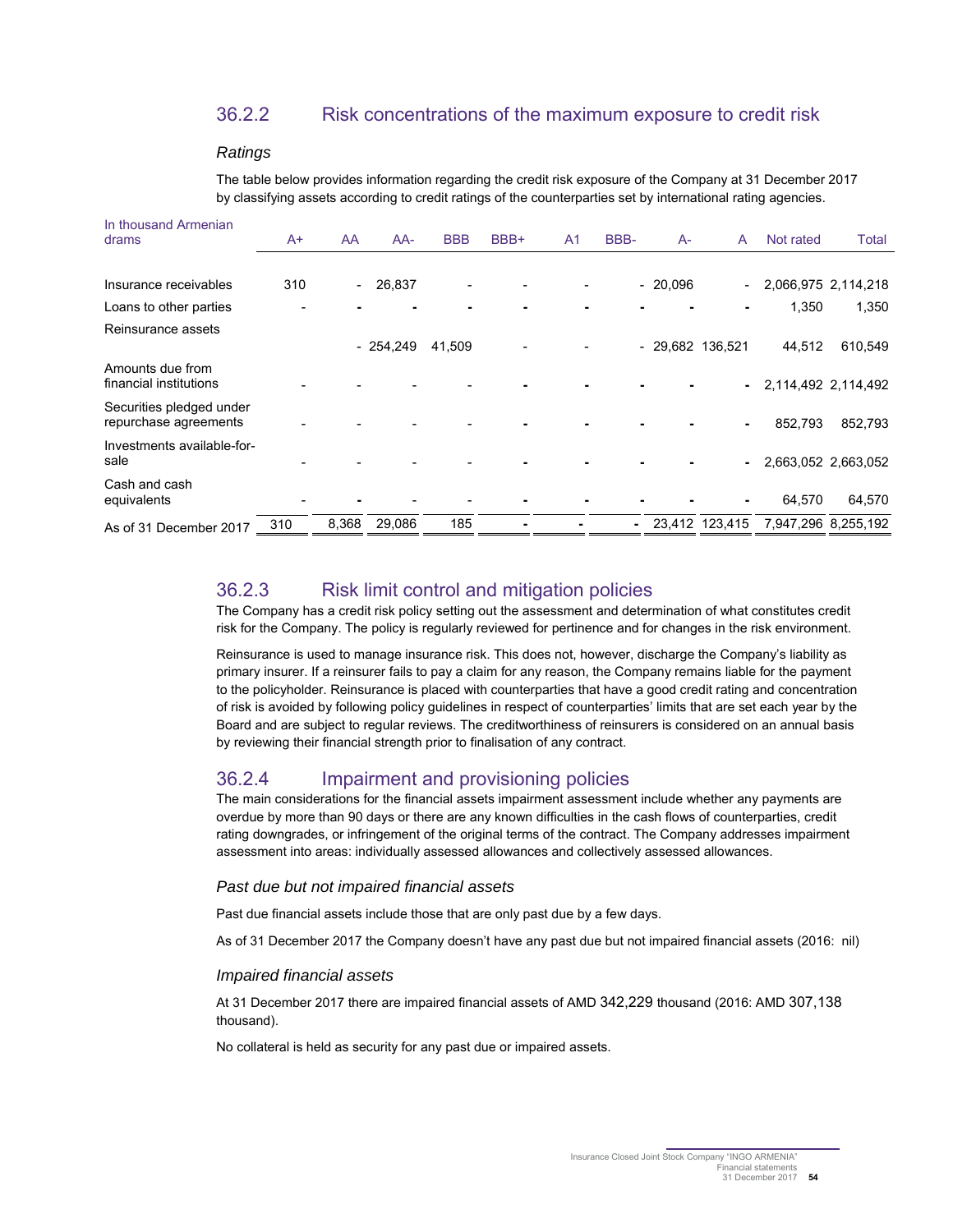## 36.2.2 Risk concentrations of the maximum exposure to credit risk

#### **Ratings**

The table below provides information regarding the credit risk exposure of the Company at 31 December 2017 by classifying assets according to credit ratings of the counterparties set by international rating agencies.

| In thousand Armenian<br>drams                     | A+  | AA                       | $AA-$      | <b>BBB</b> | BBB+ | A1 | BBB- | $A-$      | A                | Not rated | Total               |
|---------------------------------------------------|-----|--------------------------|------------|------------|------|----|------|-----------|------------------|-----------|---------------------|
|                                                   |     |                          |            |            |      |    |      |           |                  |           |                     |
| Insurance receivables                             | 310 | $\overline{\phantom{0}}$ | 26,837     |            |      |    |      | $-20,096$ | $\sim$           |           | 2,066,975 2,114,218 |
| Loans to other parties                            |     |                          |            |            |      |    |      |           |                  | 1,350     | 1,350               |
| Reinsurance assets                                |     |                          |            |            |      |    |      |           |                  |           |                     |
|                                                   |     |                          | $-254,249$ | 41,509     |      |    |      |           | - 29,682 136,521 | 44,512    | 610,549             |
| Amounts due from<br>financial institutions        |     |                          |            |            |      |    |      |           | $\sim$ 10 $\pm$  |           | 2,114,492 2,114,492 |
| Securities pledged under<br>repurchase agreements |     |                          |            |            |      |    |      |           | ۰.               | 852,793   | 852,793             |
| Investments available-for-<br>sale                |     |                          |            |            |      |    |      |           |                  |           | 2,663,052 2,663,052 |
| Cash and cash<br>equivalents                      |     |                          |            |            |      |    |      |           |                  | 64,570    | 64,570              |
| As of 31 December 2017                            | 310 | 8,368                    | 29,086     | 185        |      |    | ۰.   |           | 23.412 123.415   |           | 7,947,296 8,255,192 |

## 36.2.3 Risk limit control and mitigation policies

The Company has a credit risk policy setting out the assessment and determination of what constitutes credit risk for the Company. The policy is regularly reviewed for pertinence and for changes in the risk environment.

Reinsurance is used to manage insurance risk. This does not, however, discharge the Company's liability as primary insurer. If a reinsurer fails to pay a claim for any reason, the Company remains liable for the payment to the policyholder. Reinsurance is placed with counterparties that have a good credit rating and concentration of risk is avoided by following policy guidelines in respect of counterparties' limits that are set each year by the Board and are subject to regular reviews. The creditworthiness of reinsurers is considered on an annual basis by reviewing their financial strength prior to finalisation of any contract.

## 36.2.4 Impairment and provisioning policies

The main considerations for the financial assets impairment assessment include whether any payments are overdue by more than 90 days or there are any known difficulties in the cash flows of counterparties, credit rating downgrades, or infringement of the original terms of the contract. The Company addresses impairment assessment into areas: individually assessed allowances and collectively assessed allowances.

#### Past due but not impaired financial assets

Past due financial assets include those that are only past due by a few days.

As of 31 December 2017 the Company doesn't have any past due but not impaired financial assets (2016: nil)

#### Impaired financial assets

At 31 December 2017 there are impaired financial assets of AMD 342,229 thousand (2016: AMD 307,138 thousand).

No collateral is held as security for any past due or impaired assets.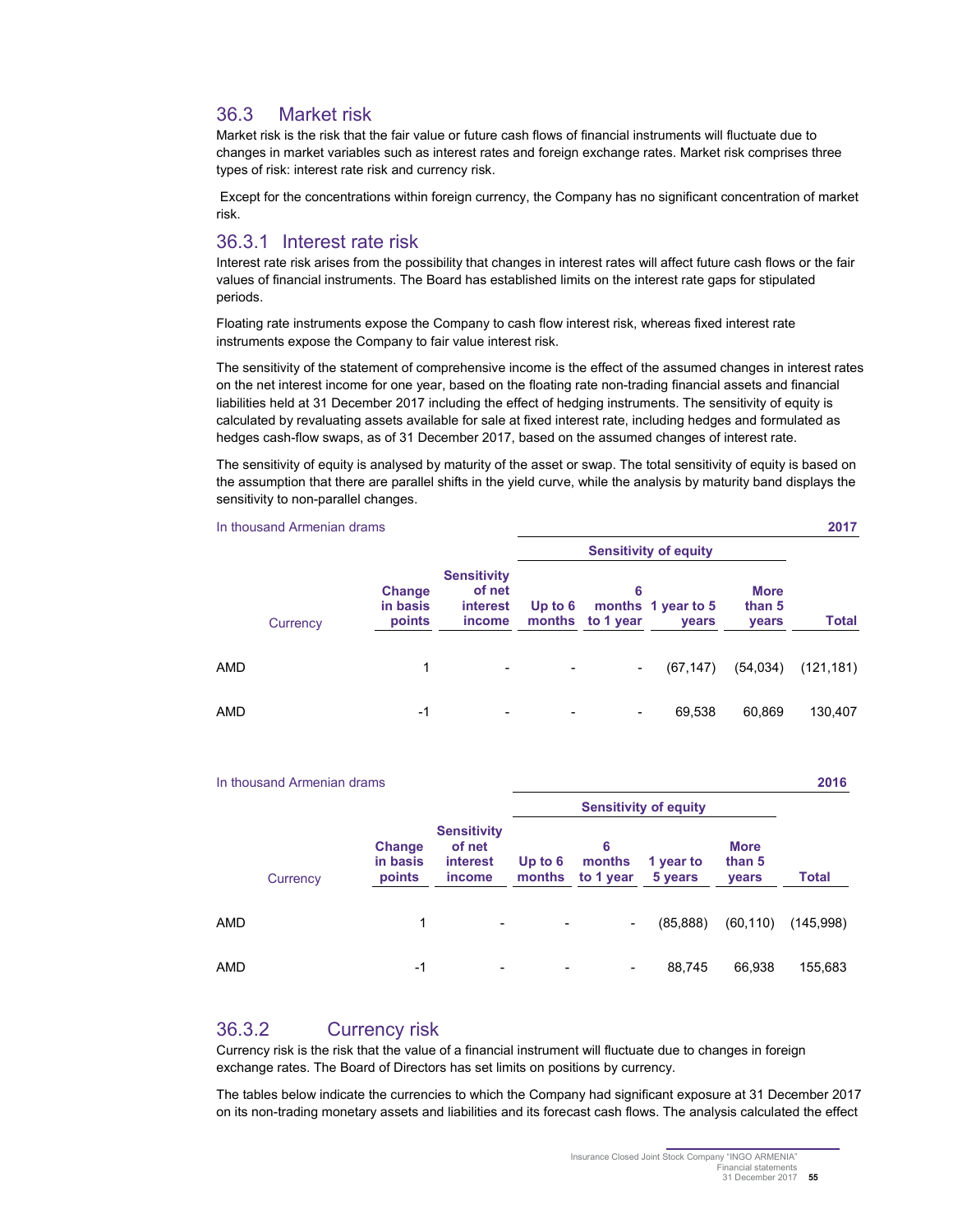## 36.3 Market risk

Market risk is the risk that the fair value or future cash flows of financial instruments will fluctuate due to changes in market variables such as interest rates and foreign exchange rates. Market risk comprises three types of risk: interest rate risk and currency risk.

 Except for the concentrations within foreign currency, the Company has no significant concentration of market risk.

### 36.3.1 Interest rate risk

Interest rate risk arises from the possibility that changes in interest rates will affect future cash flows or the fair values of financial instruments. The Board has established limits on the interest rate gaps for stipulated periods.

Floating rate instruments expose the Company to cash flow interest risk, whereas fixed interest rate instruments expose the Company to fair value interest risk.

The sensitivity of the statement of comprehensive income is the effect of the assumed changes in interest rates on the net interest income for one year, based on the floating rate non-trading financial assets and financial liabilities held at 31 December 2017 including the effect of hedging instruments. The sensitivity of equity is calculated by revaluating assets available for sale at fixed interest rate, including hedges and formulated as hedges cash-flow swaps, as of 31 December 2017, based on the assumed changes of interest rate.

The sensitivity of equity is analysed by maturity of the asset or swap. The total sensitivity of equity is based on the assumption that there are parallel shifts in the yield curve, while the analysis by maturity band displays the sensitivity to non-parallel changes.

|     | In thousand Armenian drams |                              |                                                    |                              |                       |                                    |                                       | 2017         |
|-----|----------------------------|------------------------------|----------------------------------------------------|------------------------------|-----------------------|------------------------------------|---------------------------------------|--------------|
|     |                            |                              |                                                    | <b>Sensitivity of equity</b> |                       |                                    |                                       |              |
|     | Currency                   | Change<br>in basis<br>points | <b>Sensitivity</b><br>of net<br>interest<br>income | Up to $6$                    | 6<br>months to 1 year | months 1 year to 5<br><b>vears</b> | <b>More</b><br>than 5<br><b>vears</b> | <b>Total</b> |
| AMD |                            | 1                            | $\overline{\phantom{a}}$                           |                              |                       | (67, 147)                          | (54, 034)                             | (121, 181)   |
| AMD |                            | $-1$                         |                                                    |                              |                       | 69,538                             | 60,869                                | 130,407      |

|            | 2016<br>In thousand Armenian drams |                              |                                                                  |                              |                          |                      |                                       |           |
|------------|------------------------------------|------------------------------|------------------------------------------------------------------|------------------------------|--------------------------|----------------------|---------------------------------------|-----------|
|            |                                    |                              |                                                                  | <b>Sensitivity of equity</b> |                          |                      |                                       |           |
|            | Currency                           | Change<br>in basis<br>points | <b>Sensitivity</b><br>of net<br><b>interest</b><br><i>income</i> | Up to $6$<br>months          | 6<br>months<br>to 1 year | 1 year to<br>5 years | <b>More</b><br>than 5<br><b>vears</b> | Total     |
| AMD        |                                    | 1                            | $\overline{\phantom{a}}$                                         |                              | -                        | (85, 888)            | (60, 110)                             | (145,998) |
| <b>AMD</b> |                                    | -1                           |                                                                  |                              | $\overline{\phantom{0}}$ | 88,745               | 66,938                                | 155,683   |

## 36.3.2 Currency risk

Currency risk is the risk that the value of a financial instrument will fluctuate due to changes in foreign exchange rates. The Board of Directors has set limits on positions by currency.

The tables below indicate the currencies to which the Company had significant exposure at 31 December 2017 on its non-trading monetary assets and liabilities and its forecast cash flows. The analysis calculated the effect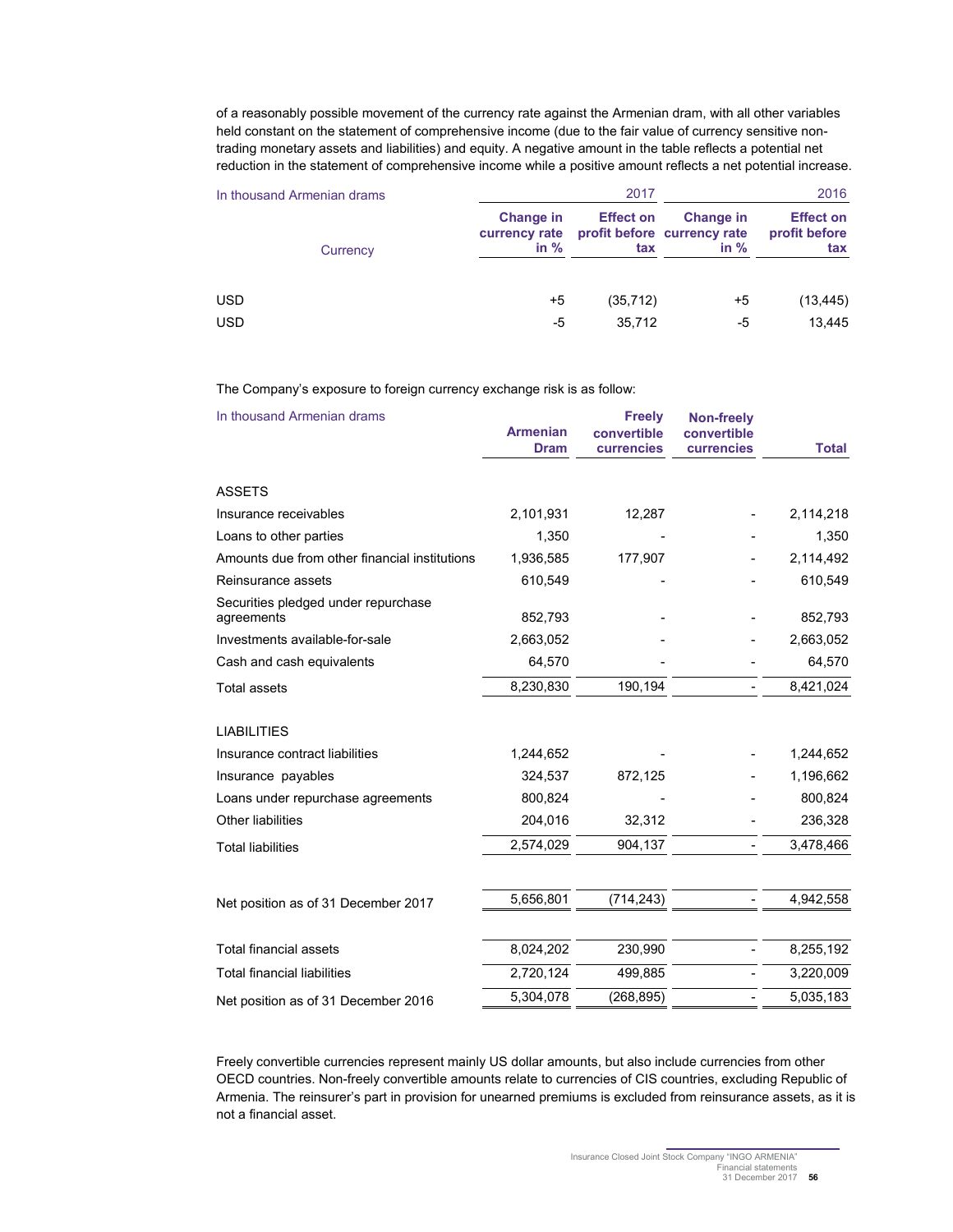of a reasonably possible movement of the currency rate against the Armenian dram, with all other variables held constant on the statement of comprehensive income (due to the fair value of currency sensitive nontrading monetary assets and liabilities) and equity. A negative amount in the table reflects a potential net reduction in the statement of comprehensive income while a positive amount reflects a net potential increase.

| In thousand Armenian drams |                                      | 2017                    | 2016                                                      |                                          |
|----------------------------|--------------------------------------|-------------------------|-----------------------------------------------------------|------------------------------------------|
| Currency                   | Change in<br>currency rate<br>in $%$ | <b>Effect on</b><br>tax | <b>Change in</b><br>profit before currency rate<br>in $%$ | <b>Effect on</b><br>profit before<br>tax |
| <b>USD</b>                 | +5                                   | (35, 712)               | +5                                                        | (13, 445)                                |
| <b>USD</b>                 | -5                                   | 35.712                  | -5                                                        | 13,445                                   |

#### The Company's exposure to foreign currency exchange risk is as follow:

| In thousand Armenian drams                        | <b>Armenian</b><br><b>Dram</b> | <b>Freely</b><br>convertible<br>currencies | <b>Non-freely</b><br>convertible<br><b>currencies</b> | <b>Total</b> |
|---------------------------------------------------|--------------------------------|--------------------------------------------|-------------------------------------------------------|--------------|
| <b>ASSETS</b>                                     |                                |                                            |                                                       |              |
| Insurance receivables                             | 2,101,931                      | 12,287                                     |                                                       | 2,114,218    |
| Loans to other parties                            | 1,350                          |                                            |                                                       | 1,350        |
| Amounts due from other financial institutions     | 1,936,585                      | 177,907                                    |                                                       | 2,114,492    |
| Reinsurance assets                                | 610,549                        |                                            |                                                       | 610,549      |
| Securities pledged under repurchase<br>agreements | 852,793                        |                                            |                                                       | 852,793      |
| Investments available-for-sale                    | 2,663,052                      |                                            |                                                       | 2,663,052    |
| Cash and cash equivalents                         | 64,570                         |                                            |                                                       | 64,570       |
| <b>Total assets</b>                               | 8,230,830                      | 190,194                                    |                                                       | 8,421,024    |
| <b>LIABILITIES</b>                                |                                |                                            |                                                       |              |
| Insurance contract liabilities                    | 1,244,652                      |                                            |                                                       | 1,244,652    |
| Insurance payables                                | 324,537                        | 872,125                                    |                                                       | 1,196,662    |
| Loans under repurchase agreements                 | 800,824                        |                                            |                                                       | 800,824      |
| Other liabilities                                 | 204,016                        | 32,312                                     |                                                       | 236,328      |
| <b>Total liabilities</b>                          | 2,574,029                      | 904,137                                    |                                                       | 3,478,466    |
|                                                   |                                |                                            |                                                       |              |
| Net position as of 31 December 2017               | 5,656,801                      | (714, 243)                                 |                                                       | 4,942,558    |
| <b>Total financial assets</b>                     | 8,024,202                      | 230,990                                    |                                                       | 8,255,192    |
| <b>Total financial liabilities</b>                | 2,720,124                      | 499,885                                    |                                                       | 3,220,009    |
| Net position as of 31 December 2016               | 5,304,078                      | (268, 895)                                 |                                                       | 5,035,183    |
|                                                   |                                |                                            |                                                       |              |

Freely convertible currencies represent mainly US dollar amounts, but also include currencies from other OECD countries. Non-freely convertible amounts relate to currencies of CIS countries, excluding Republic of Armenia. The reinsurer's part in provision for unearned premiums is excluded from reinsurance assets, as it is not a financial asset.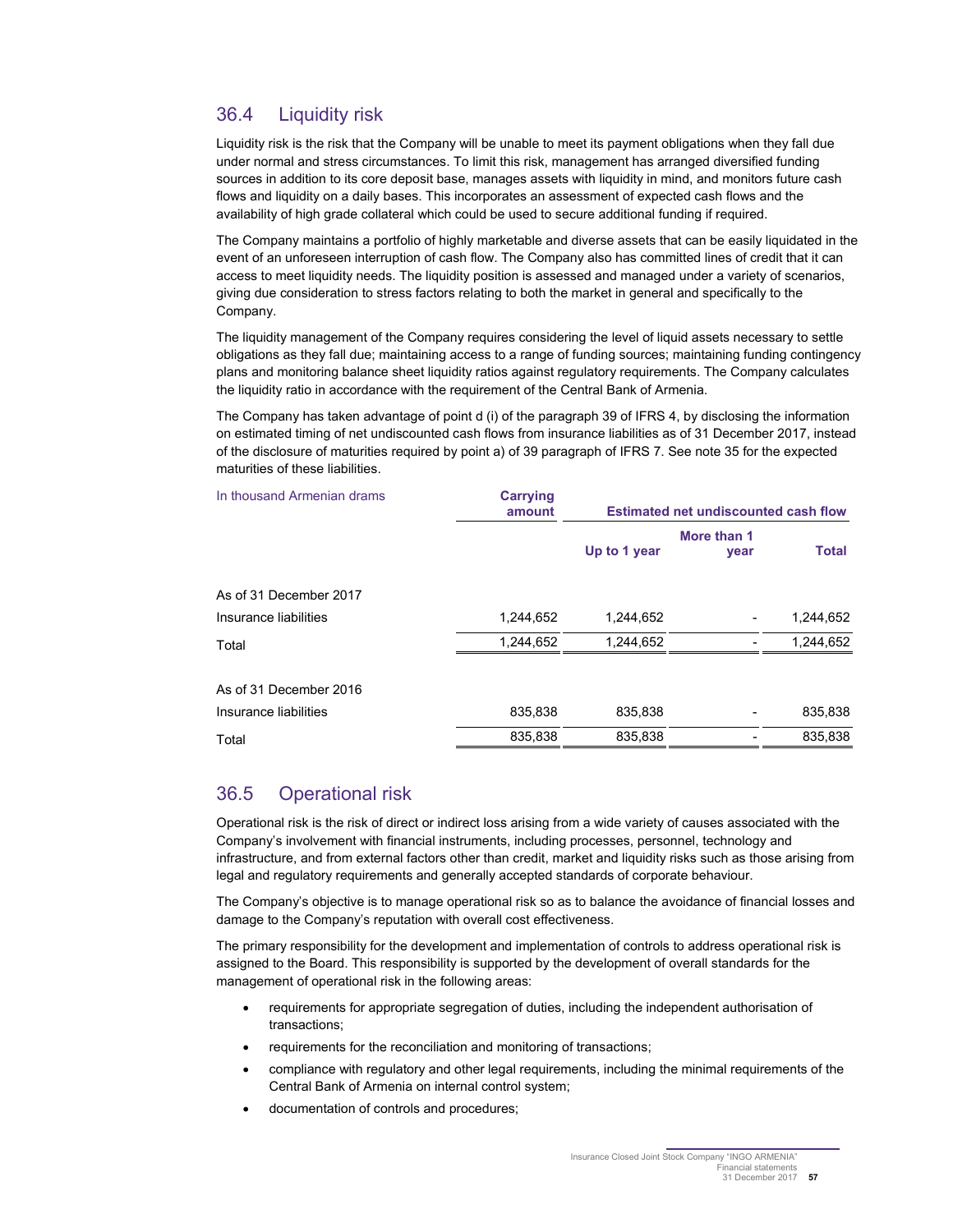## 36.4 Liquidity risk

Liquidity risk is the risk that the Company will be unable to meet its payment obligations when they fall due under normal and stress circumstances. To limit this risk, management has arranged diversified funding sources in addition to its core deposit base, manages assets with liquidity in mind, and monitors future cash flows and liquidity on a daily bases. This incorporates an assessment of expected cash flows and the availability of high grade collateral which could be used to secure additional funding if required.

The Company maintains a portfolio of highly marketable and diverse assets that can be easily liquidated in the event of an unforeseen interruption of cash flow. The Company also has committed lines of credit that it can access to meet liquidity needs. The liquidity position is assessed and managed under a variety of scenarios, giving due consideration to stress factors relating to both the market in general and specifically to the Company.

The liquidity management of the Company requires considering the level of liquid assets necessary to settle obligations as they fall due; maintaining access to a range of funding sources; maintaining funding contingency plans and monitoring balance sheet liquidity ratios against regulatory requirements. The Company calculates the liquidity ratio in accordance with the requirement of the Central Bank of Armenia.

The Company has taken advantage of point d (i) of the paragraph 39 of IFRS 4, by disclosing the information on estimated timing of net undiscounted cash flows from insurance liabilities as of 31 December 2017, instead of the disclosure of maturities required by point a) of 39 paragraph of IFRS 7. See note 35 for the expected maturities of these liabilities.

| In thousand Armenian drams | <b>Carrying</b><br>amount | <b>Estimated net undiscounted cash flow</b> |                     |              |
|----------------------------|---------------------------|---------------------------------------------|---------------------|--------------|
|                            |                           | Up to 1 year                                | More than 1<br>year | <b>Total</b> |
| As of 31 December 2017     |                           |                                             |                     |              |
| Insurance liabilities      | 1,244,652                 | 1,244,652                                   |                     | 1,244,652    |
| Total                      | 1,244,652                 | 1,244,652                                   |                     | 1,244,652    |
| As of 31 December 2016     |                           |                                             |                     |              |
| Insurance liabilities      | 835,838                   | 835,838                                     |                     | 835,838      |
| Total                      | 835,838                   | 835,838                                     |                     | 835,838      |
|                            |                           |                                             |                     |              |

## 36.5 Operational risk

Operational risk is the risk of direct or indirect loss arising from a wide variety of causes associated with the Company's involvement with financial instruments, including processes, personnel, technology and infrastructure, and from external factors other than credit, market and liquidity risks such as those arising from legal and regulatory requirements and generally accepted standards of corporate behaviour.

The Company's objective is to manage operational risk so as to balance the avoidance of financial losses and damage to the Company's reputation with overall cost effectiveness.

The primary responsibility for the development and implementation of controls to address operational risk is assigned to the Board. This responsibility is supported by the development of overall standards for the management of operational risk in the following areas:

- requirements for appropriate segregation of duties, including the independent authorisation of transactions;
- requirements for the reconciliation and monitoring of transactions;
- compliance with regulatory and other legal requirements, including the minimal requirements of the Central Bank of Armenia on internal control system;
- documentation of controls and procedures;